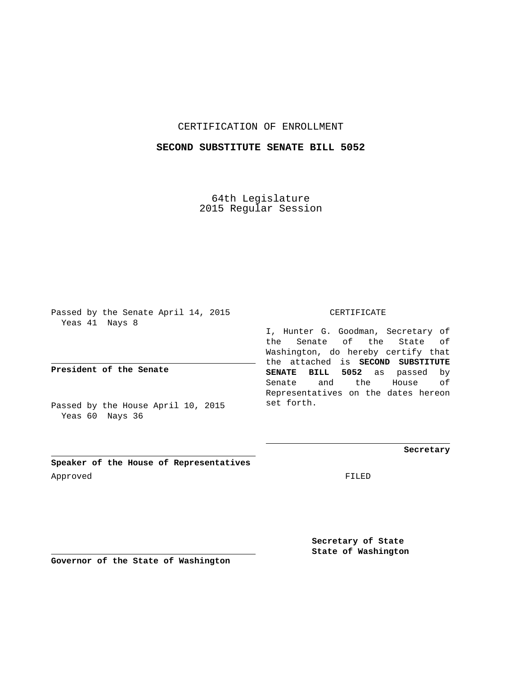## CERTIFICATION OF ENROLLMENT

## **SECOND SUBSTITUTE SENATE BILL 5052**

64th Legislature 2015 Regular Session

Passed by the Senate April 14, 2015 Yeas 41 Nays 8

**President of the Senate**

Passed by the House April 10, 2015 Yeas 60 Nays 36

CERTIFICATE

I, Hunter G. Goodman, Secretary of the Senate of the State of Washington, do hereby certify that the attached is **SECOND SUBSTITUTE SENATE BILL 5052** as passed by Senate and the House of Representatives on the dates hereon set forth.

**Secretary**

**Speaker of the House of Representatives** Approved FILED

**Secretary of State State of Washington**

**Governor of the State of Washington**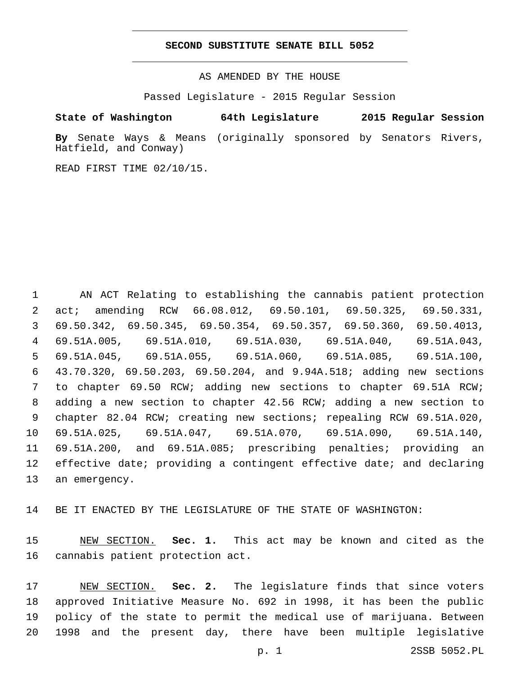## **SECOND SUBSTITUTE SENATE BILL 5052**

AS AMENDED BY THE HOUSE

Passed Legislature - 2015 Regular Session

## **State of Washington 64th Legislature 2015 Regular Session**

**By** Senate Ways & Means (originally sponsored by Senators Rivers, Hatfield, and Conway)

READ FIRST TIME 02/10/15.

 AN ACT Relating to establishing the cannabis patient protection act; amending RCW 66.08.012, 69.50.101, 69.50.325, 69.50.331, 69.50.342, 69.50.345, 69.50.354, 69.50.357, 69.50.360, 69.50.4013, 69.51A.005, 69.51A.010, 69.51A.030, 69.51A.040, 69.51A.043, 69.51A.045, 69.51A.055, 69.51A.060, 69.51A.085, 69.51A.100, 43.70.320, 69.50.203, 69.50.204, and 9.94A.518; adding new sections to chapter 69.50 RCW; adding new sections to chapter 69.51A RCW; adding a new section to chapter 42.56 RCW; adding a new section to chapter 82.04 RCW; creating new sections; repealing RCW 69.51A.020, 69.51A.025, 69.51A.047, 69.51A.070, 69.51A.090, 69.51A.140, 69.51A.200, and 69.51A.085; prescribing penalties; providing an 12 effective date; providing a contingent effective date; and declaring 13 an emergency.

BE IT ENACTED BY THE LEGISLATURE OF THE STATE OF WASHINGTON:

 NEW SECTION. **Sec. 1.** This act may be known and cited as the cannabis patient protection act.

 NEW SECTION. **Sec. 2.** The legislature finds that since voters approved Initiative Measure No. 692 in 1998, it has been the public policy of the state to permit the medical use of marijuana. Between 1998 and the present day, there have been multiple legislative

p. 1 2SSB 5052.PL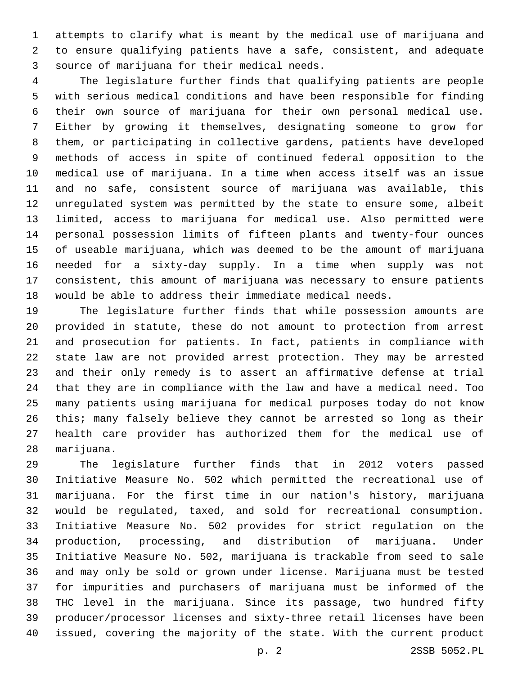attempts to clarify what is meant by the medical use of marijuana and to ensure qualifying patients have a safe, consistent, and adequate source of marijuana for their medical needs.3

 The legislature further finds that qualifying patients are people with serious medical conditions and have been responsible for finding their own source of marijuana for their own personal medical use. Either by growing it themselves, designating someone to grow for them, or participating in collective gardens, patients have developed methods of access in spite of continued federal opposition to the medical use of marijuana. In a time when access itself was an issue and no safe, consistent source of marijuana was available, this unregulated system was permitted by the state to ensure some, albeit limited, access to marijuana for medical use. Also permitted were personal possession limits of fifteen plants and twenty-four ounces of useable marijuana, which was deemed to be the amount of marijuana needed for a sixty-day supply. In a time when supply was not consistent, this amount of marijuana was necessary to ensure patients would be able to address their immediate medical needs.

 The legislature further finds that while possession amounts are provided in statute, these do not amount to protection from arrest and prosecution for patients. In fact, patients in compliance with state law are not provided arrest protection. They may be arrested and their only remedy is to assert an affirmative defense at trial that they are in compliance with the law and have a medical need. Too many patients using marijuana for medical purposes today do not know this; many falsely believe they cannot be arrested so long as their health care provider has authorized them for the medical use of 28 marijuana.

 The legislature further finds that in 2012 voters passed Initiative Measure No. 502 which permitted the recreational use of marijuana. For the first time in our nation's history, marijuana would be regulated, taxed, and sold for recreational consumption. Initiative Measure No. 502 provides for strict regulation on the production, processing, and distribution of marijuana. Under Initiative Measure No. 502, marijuana is trackable from seed to sale and may only be sold or grown under license. Marijuana must be tested for impurities and purchasers of marijuana must be informed of the THC level in the marijuana. Since its passage, two hundred fifty producer/processor licenses and sixty-three retail licenses have been issued, covering the majority of the state. With the current product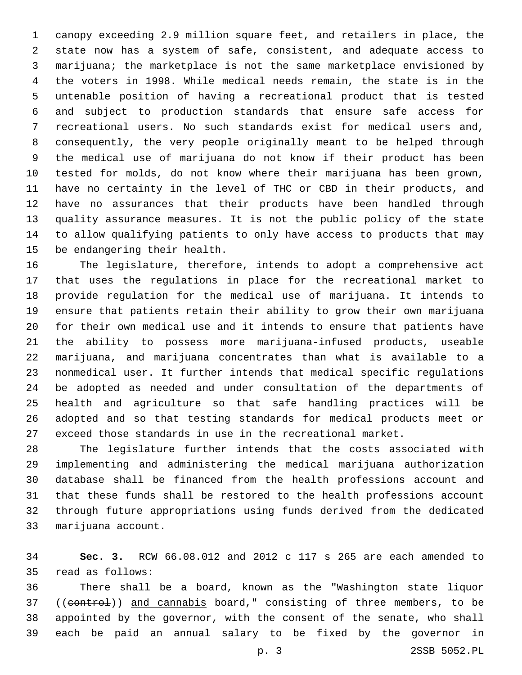canopy exceeding 2.9 million square feet, and retailers in place, the state now has a system of safe, consistent, and adequate access to marijuana; the marketplace is not the same marketplace envisioned by the voters in 1998. While medical needs remain, the state is in the untenable position of having a recreational product that is tested and subject to production standards that ensure safe access for recreational users. No such standards exist for medical users and, consequently, the very people originally meant to be helped through the medical use of marijuana do not know if their product has been tested for molds, do not know where their marijuana has been grown, have no certainty in the level of THC or CBD in their products, and have no assurances that their products have been handled through quality assurance measures. It is not the public policy of the state to allow qualifying patients to only have access to products that may 15 be endangering their health.

 The legislature, therefore, intends to adopt a comprehensive act that uses the regulations in place for the recreational market to provide regulation for the medical use of marijuana. It intends to ensure that patients retain their ability to grow their own marijuana for their own medical use and it intends to ensure that patients have the ability to possess more marijuana-infused products, useable marijuana, and marijuana concentrates than what is available to a nonmedical user. It further intends that medical specific regulations be adopted as needed and under consultation of the departments of health and agriculture so that safe handling practices will be adopted and so that testing standards for medical products meet or exceed those standards in use in the recreational market.

 The legislature further intends that the costs associated with implementing and administering the medical marijuana authorization database shall be financed from the health professions account and that these funds shall be restored to the health professions account through future appropriations using funds derived from the dedicated 33 marijuana account.

 **Sec. 3.** RCW 66.08.012 and 2012 c 117 s 265 are each amended to 35 read as follows:

 There shall be a board, known as the "Washington state liquor 37 ((control)) and cannabis board," consisting of three members, to be appointed by the governor, with the consent of the senate, who shall each be paid an annual salary to be fixed by the governor in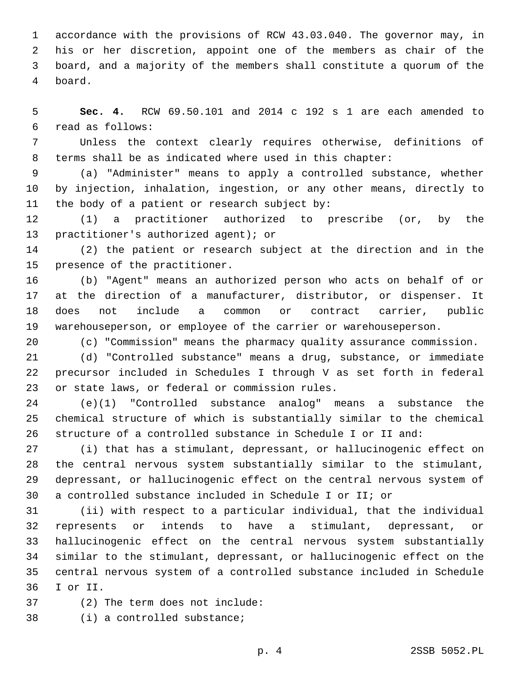accordance with the provisions of RCW 43.03.040. The governor may, in his or her discretion, appoint one of the members as chair of the board, and a majority of the members shall constitute a quorum of the board.4

 **Sec. 4.** RCW 69.50.101 and 2014 c 192 s 1 are each amended to read as follows:6

 Unless the context clearly requires otherwise, definitions of terms shall be as indicated where used in this chapter:

 (a) "Administer" means to apply a controlled substance, whether by injection, inhalation, ingestion, or any other means, directly to 11 the body of a patient or research subject by:

 (1) a practitioner authorized to prescribe (or, by the 13 practitioner's authorized agent); or

 (2) the patient or research subject at the direction and in the 15 presence of the practitioner.

 (b) "Agent" means an authorized person who acts on behalf of or at the direction of a manufacturer, distributor, or dispenser. It does not include a common or contract carrier, public warehouseperson, or employee of the carrier or warehouseperson.

(c) "Commission" means the pharmacy quality assurance commission.

 (d) "Controlled substance" means a drug, substance, or immediate precursor included in Schedules I through V as set forth in federal 23 or state laws, or federal or commission rules.

 (e)(1) "Controlled substance analog" means a substance the chemical structure of which is substantially similar to the chemical structure of a controlled substance in Schedule I or II and:

 (i) that has a stimulant, depressant, or hallucinogenic effect on the central nervous system substantially similar to the stimulant, depressant, or hallucinogenic effect on the central nervous system of a controlled substance included in Schedule I or II; or

 (ii) with respect to a particular individual, that the individual represents or intends to have a stimulant, depressant, or hallucinogenic effect on the central nervous system substantially similar to the stimulant, depressant, or hallucinogenic effect on the central nervous system of a controlled substance included in Schedule I or II.36

(2) The term does not include:37

38 (i) a controlled substance;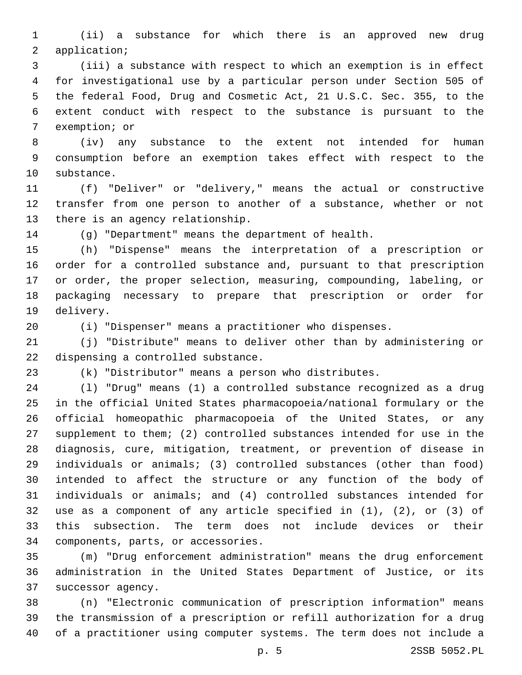(ii) a substance for which there is an approved new drug 2 application;

 (iii) a substance with respect to which an exemption is in effect for investigational use by a particular person under Section 505 of the federal Food, Drug and Cosmetic Act, 21 U.S.C. Sec. 355, to the extent conduct with respect to the substance is pursuant to the 7 exemption; or

 (iv) any substance to the extent not intended for human consumption before an exemption takes effect with respect to the 10 substance.

 (f) "Deliver" or "delivery," means the actual or constructive transfer from one person to another of a substance, whether or not 13 there is an agency relationship.

(g) "Department" means the department of health.

 (h) "Dispense" means the interpretation of a prescription or order for a controlled substance and, pursuant to that prescription or order, the proper selection, measuring, compounding, labeling, or packaging necessary to prepare that prescription or order for 19 delivery.

(i) "Dispenser" means a practitioner who dispenses.

 (j) "Distribute" means to deliver other than by administering or 22 dispensing a controlled substance.

(k) "Distributor" means a person who distributes.

 (l) "Drug" means (1) a controlled substance recognized as a drug in the official United States pharmacopoeia/national formulary or the official homeopathic pharmacopoeia of the United States, or any supplement to them; (2) controlled substances intended for use in the diagnosis, cure, mitigation, treatment, or prevention of disease in individuals or animals; (3) controlled substances (other than food) intended to affect the structure or any function of the body of individuals or animals; and (4) controlled substances intended for use as a component of any article specified in (1), (2), or (3) of this subsection. The term does not include devices or their 34 components, parts, or accessories.

 (m) "Drug enforcement administration" means the drug enforcement administration in the United States Department of Justice, or its 37 successor agency.

 (n) "Electronic communication of prescription information" means the transmission of a prescription or refill authorization for a drug of a practitioner using computer systems. The term does not include a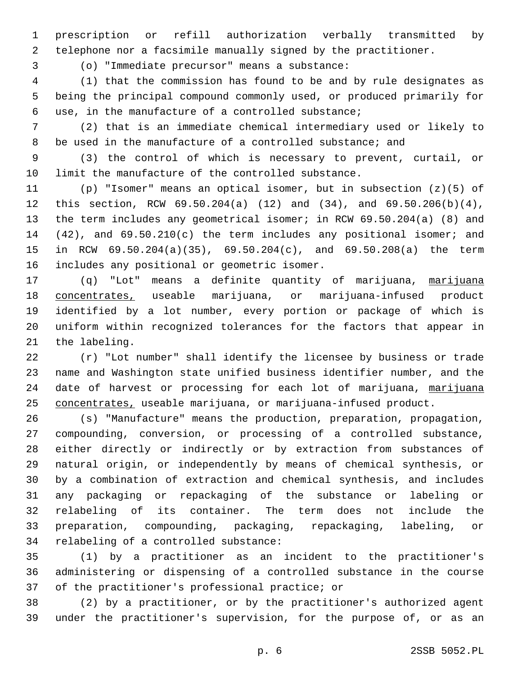prescription or refill authorization verbally transmitted by telephone nor a facsimile manually signed by the practitioner.

(o) "Immediate precursor" means a substance:3

 (1) that the commission has found to be and by rule designates as being the principal compound commonly used, or produced primarily for use, in the manufacture of a controlled substance;6

 (2) that is an immediate chemical intermediary used or likely to be used in the manufacture of a controlled substance; and

 (3) the control of which is necessary to prevent, curtail, or limit the manufacture of the controlled substance.

 (p) "Isomer" means an optical isomer, but in subsection (z)(5) of this section, RCW 69.50.204(a) (12) and (34), and 69.50.206(b)(4), the term includes any geometrical isomer; in RCW 69.50.204(a) (8) and (42), and 69.50.210(c) the term includes any positional isomer; and in RCW 69.50.204(a)(35), 69.50.204(c), and 69.50.208(a) the term 16 includes any positional or geometric isomer.

17 (q) "Lot" means a definite quantity of marijuana, marijuana concentrates, useable marijuana, or marijuana-infused product identified by a lot number, every portion or package of which is uniform within recognized tolerances for the factors that appear in 21 the labeling.

 (r) "Lot number" shall identify the licensee by business or trade name and Washington state unified business identifier number, and the 24 date of harvest or processing for each lot of marijuana, marijuana concentrates, useable marijuana, or marijuana-infused product.

 (s) "Manufacture" means the production, preparation, propagation, compounding, conversion, or processing of a controlled substance, either directly or indirectly or by extraction from substances of natural origin, or independently by means of chemical synthesis, or by a combination of extraction and chemical synthesis, and includes any packaging or repackaging of the substance or labeling or relabeling of its container. The term does not include the preparation, compounding, packaging, repackaging, labeling, or 34 relabeling of a controlled substance:

 (1) by a practitioner as an incident to the practitioner's administering or dispensing of a controlled substance in the course 37 of the practitioner's professional practice; or

 (2) by a practitioner, or by the practitioner's authorized agent under the practitioner's supervision, for the purpose of, or as an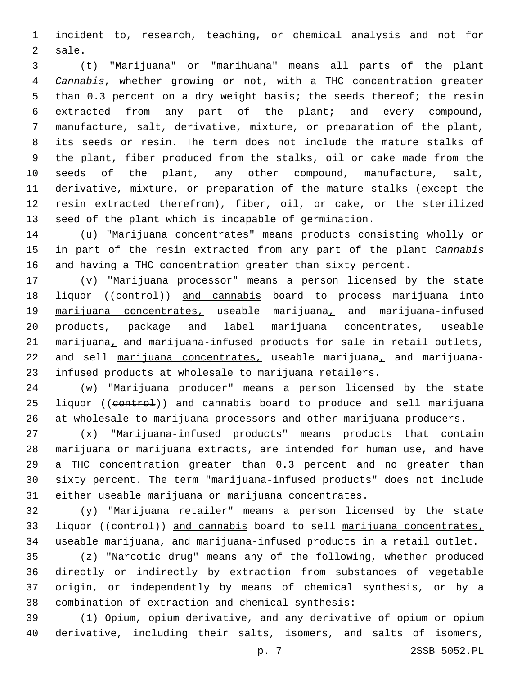incident to, research, teaching, or chemical analysis and not for 2 sale.

 (t) "Marijuana" or "marihuana" means all parts of the plant *Cannabis*, whether growing or not, with a THC concentration greater than 0.3 percent on a dry weight basis; the seeds thereof; the resin extracted from any part of the plant; and every compound, manufacture, salt, derivative, mixture, or preparation of the plant, its seeds or resin. The term does not include the mature stalks of the plant, fiber produced from the stalks, oil or cake made from the seeds of the plant, any other compound, manufacture, salt, derivative, mixture, or preparation of the mature stalks (except the resin extracted therefrom), fiber, oil, or cake, or the sterilized seed of the plant which is incapable of germination.

 (u) "Marijuana concentrates" means products consisting wholly or in part of the resin extracted from any part of the plant *Cannabis* and having a THC concentration greater than sixty percent.

 (v) "Marijuana processor" means a person licensed by the state 18 liquor ((control)) and cannabis board to process marijuana into marijuana concentrates, useable marijuana, and marijuana-infused 20 products, package and label marijuana concentrates, useable 21 marijuana, and marijuana-infused products for sale in retail outlets, 22 and sell marijuana concentrates, useable marijuana, and marijuana-infused products at wholesale to marijuana retailers.

 (w) "Marijuana producer" means a person licensed by the state 25 liquor ((control)) and cannabis board to produce and sell marijuana at wholesale to marijuana processors and other marijuana producers.

 (x) "Marijuana-infused products" means products that contain marijuana or marijuana extracts, are intended for human use, and have a THC concentration greater than 0.3 percent and no greater than sixty percent. The term "marijuana-infused products" does not include either useable marijuana or marijuana concentrates.

 (y) "Marijuana retailer" means a person licensed by the state 33 liquor ((control)) and cannabis board to sell marijuana concentrates, useable marijuana, and marijuana-infused products in a retail outlet.

 (z) "Narcotic drug" means any of the following, whether produced directly or indirectly by extraction from substances of vegetable origin, or independently by means of chemical synthesis, or by a 38 combination of extraction and chemical synthesis:

 (1) Opium, opium derivative, and any derivative of opium or opium derivative, including their salts, isomers, and salts of isomers,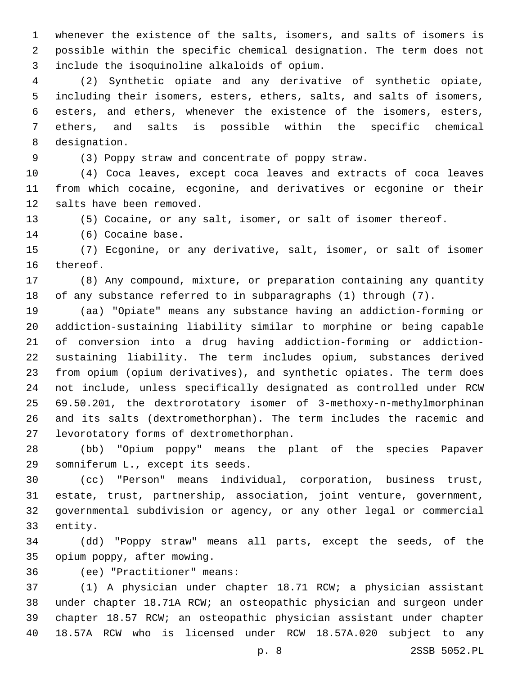whenever the existence of the salts, isomers, and salts of isomers is possible within the specific chemical designation. The term does not include the isoquinoline alkaloids of opium.3

 (2) Synthetic opiate and any derivative of synthetic opiate, including their isomers, esters, ethers, salts, and salts of isomers, esters, and ethers, whenever the existence of the isomers, esters, ethers, and salts is possible within the specific chemical 8 designation.

(3) Poppy straw and concentrate of poppy straw.

 (4) Coca leaves, except coca leaves and extracts of coca leaves from which cocaine, ecgonine, and derivatives or ecgonine or their 12 salts have been removed.

(5) Cocaine, or any salt, isomer, or salt of isomer thereof.

14 (6) Cocaine base.

 (7) Ecgonine, or any derivative, salt, isomer, or salt of isomer 16 thereof.

 (8) Any compound, mixture, or preparation containing any quantity of any substance referred to in subparagraphs (1) through (7).

 (aa) "Opiate" means any substance having an addiction-forming or addiction-sustaining liability similar to morphine or being capable of conversion into a drug having addiction-forming or addiction- sustaining liability. The term includes opium, substances derived from opium (opium derivatives), and synthetic opiates. The term does not include, unless specifically designated as controlled under RCW 69.50.201, the dextrorotatory isomer of 3-methoxy-n-methylmorphinan and its salts (dextromethorphan). The term includes the racemic and 27 levorotatory forms of dextromethorphan.

 (bb) "Opium poppy" means the plant of the species Papaver somniferum L., except its seeds.29

 (cc) "Person" means individual, corporation, business trust, estate, trust, partnership, association, joint venture, government, governmental subdivision or agency, or any other legal or commercial 33 entity.

 (dd) "Poppy straw" means all parts, except the seeds, of the 35 opium poppy, after mowing.

(ee) "Practitioner" means:36

 (1) A physician under chapter 18.71 RCW; a physician assistant under chapter 18.71A RCW; an osteopathic physician and surgeon under chapter 18.57 RCW; an osteopathic physician assistant under chapter 18.57A RCW who is licensed under RCW 18.57A.020 subject to any

p. 8 2SSB 5052.PL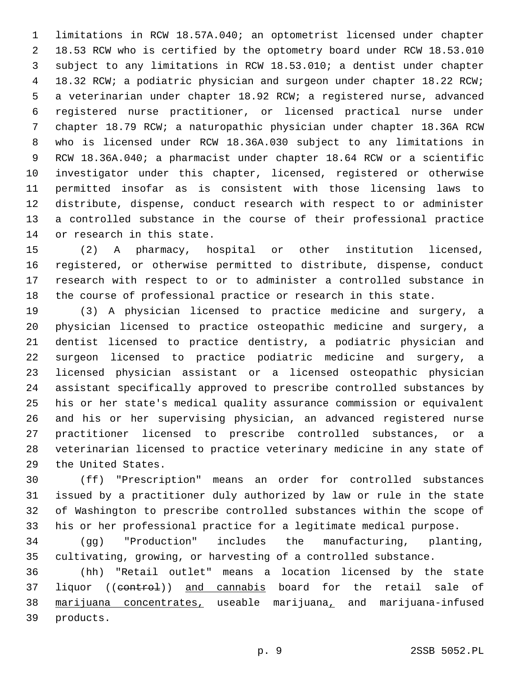limitations in RCW 18.57A.040; an optometrist licensed under chapter 18.53 RCW who is certified by the optometry board under RCW 18.53.010 subject to any limitations in RCW 18.53.010; a dentist under chapter 18.32 RCW; a podiatric physician and surgeon under chapter 18.22 RCW; a veterinarian under chapter 18.92 RCW; a registered nurse, advanced registered nurse practitioner, or licensed practical nurse under chapter 18.79 RCW; a naturopathic physician under chapter 18.36A RCW who is licensed under RCW 18.36A.030 subject to any limitations in RCW 18.36A.040; a pharmacist under chapter 18.64 RCW or a scientific investigator under this chapter, licensed, registered or otherwise permitted insofar as is consistent with those licensing laws to distribute, dispense, conduct research with respect to or administer a controlled substance in the course of their professional practice 14 or research in this state.

 (2) A pharmacy, hospital or other institution licensed, registered, or otherwise permitted to distribute, dispense, conduct research with respect to or to administer a controlled substance in the course of professional practice or research in this state.

 (3) A physician licensed to practice medicine and surgery, a physician licensed to practice osteopathic medicine and surgery, a dentist licensed to practice dentistry, a podiatric physician and surgeon licensed to practice podiatric medicine and surgery, a licensed physician assistant or a licensed osteopathic physician assistant specifically approved to prescribe controlled substances by his or her state's medical quality assurance commission or equivalent and his or her supervising physician, an advanced registered nurse practitioner licensed to prescribe controlled substances, or a veterinarian licensed to practice veterinary medicine in any state of 29 the United States.

 (ff) "Prescription" means an order for controlled substances issued by a practitioner duly authorized by law or rule in the state of Washington to prescribe controlled substances within the scope of his or her professional practice for a legitimate medical purpose.

 (gg) "Production" includes the manufacturing, planting, cultivating, growing, or harvesting of a controlled substance.

 (hh) "Retail outlet" means a location licensed by the state 37 liquor ((control)) and cannabis board for the retail sale of marijuana concentrates, useable marijuana, and marijuana-infused 39 products.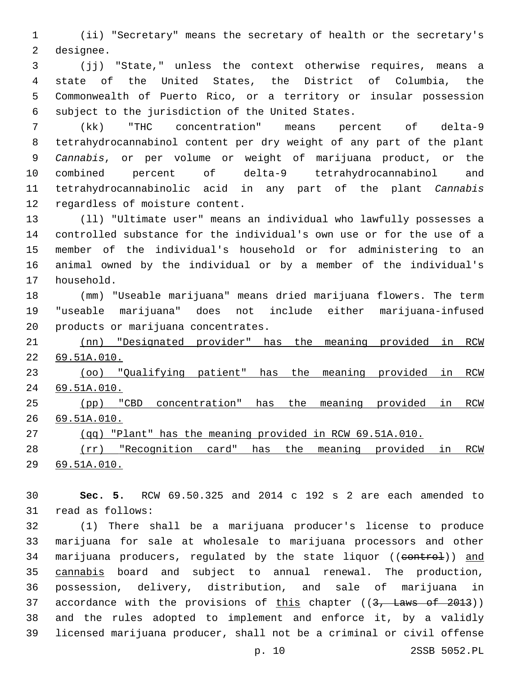(ii) "Secretary" means the secretary of health or the secretary's 2 designee.

 (jj) "State," unless the context otherwise requires, means a state of the United States, the District of Columbia, the Commonwealth of Puerto Rico, or a territory or insular possession 6 subject to the jurisdiction of the United States.

 (kk) "THC concentration" means percent of delta-9 tetrahydrocannabinol content per dry weight of any part of the plant *Cannabis*, or per volume or weight of marijuana product, or the combined percent of delta-9 tetrahydrocannabinol and tetrahydrocannabinolic acid in any part of the plant *Cannabis* 12 regardless of moisture content.

 (ll) "Ultimate user" means an individual who lawfully possesses a controlled substance for the individual's own use or for the use of a member of the individual's household or for administering to an animal owned by the individual or by a member of the individual's 17 household.

 (mm) "Useable marijuana" means dried marijuana flowers. The term "useable marijuana" does not include either marijuana-infused 20 products or marijuana concentrates.

 (nn) "Designated provider" has the meaning provided in RCW 69.51A.010.

 (oo) "Qualifying patient" has the meaning provided in RCW 69.51A.010.

 (pp) "CBD concentration" has the meaning provided in RCW 69.51A.010.

(qq) "Plant" has the meaning provided in RCW 69.51A.010.

 (rr) "Recognition card" has the meaning provided in RCW 69.51A.010.

 **Sec. 5.** RCW 69.50.325 and 2014 c 192 s 2 are each amended to 31 read as follows:

 (1) There shall be a marijuana producer's license to produce marijuana for sale at wholesale to marijuana processors and other 34 marijuana producers, regulated by the state liquor ((control)) and cannabis board and subject to annual renewal. The production, possession, delivery, distribution, and sale of marijuana in 37 accordance with the provisions of this chapter  $((3, \text{ Laws of } 2013))$  and the rules adopted to implement and enforce it, by a validly licensed marijuana producer, shall not be a criminal or civil offense

p. 10 2SSB 5052.PL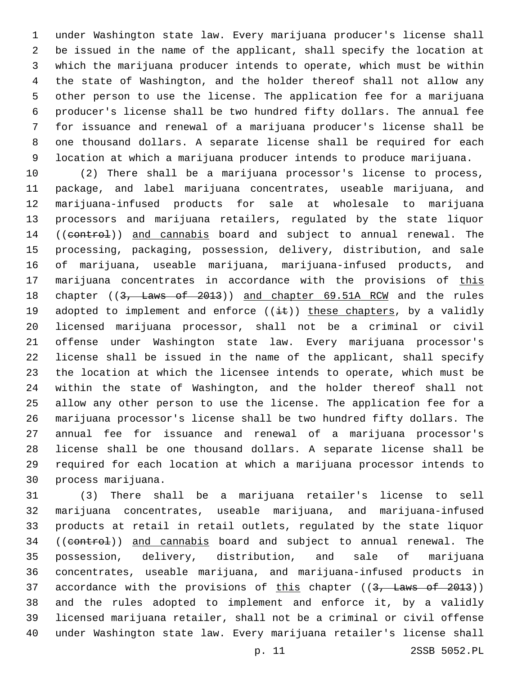under Washington state law. Every marijuana producer's license shall be issued in the name of the applicant, shall specify the location at which the marijuana producer intends to operate, which must be within the state of Washington, and the holder thereof shall not allow any other person to use the license. The application fee for a marijuana producer's license shall be two hundred fifty dollars. The annual fee for issuance and renewal of a marijuana producer's license shall be one thousand dollars. A separate license shall be required for each location at which a marijuana producer intends to produce marijuana.

 (2) There shall be a marijuana processor's license to process, package, and label marijuana concentrates, useable marijuana, and marijuana-infused products for sale at wholesale to marijuana processors and marijuana retailers, regulated by the state liquor 14 ((control)) and cannabis board and subject to annual renewal. The processing, packaging, possession, delivery, distribution, and sale of marijuana, useable marijuana, marijuana-infused products, and 17 marijuana concentrates in accordance with the provisions of this 18 chapter ((3, Laws of 2013)) and chapter 69.51A RCW and the rules 19 adopted to implement and enforce  $((\pm \epsilon))$  these chapters, by a validly licensed marijuana processor, shall not be a criminal or civil offense under Washington state law. Every marijuana processor's license shall be issued in the name of the applicant, shall specify the location at which the licensee intends to operate, which must be within the state of Washington, and the holder thereof shall not allow any other person to use the license. The application fee for a marijuana processor's license shall be two hundred fifty dollars. The annual fee for issuance and renewal of a marijuana processor's license shall be one thousand dollars. A separate license shall be required for each location at which a marijuana processor intends to 30 process marijuana.

 (3) There shall be a marijuana retailer's license to sell marijuana concentrates, useable marijuana, and marijuana-infused products at retail in retail outlets, regulated by the state liquor 34 ((control)) and cannabis board and subject to annual renewal. The possession, delivery, distribution, and sale of marijuana concentrates, useable marijuana, and marijuana-infused products in 37 accordance with the provisions of this chapter ((3, Laws of 2013)) and the rules adopted to implement and enforce it, by a validly licensed marijuana retailer, shall not be a criminal or civil offense under Washington state law. Every marijuana retailer's license shall

p. 11 2SSB 5052.PL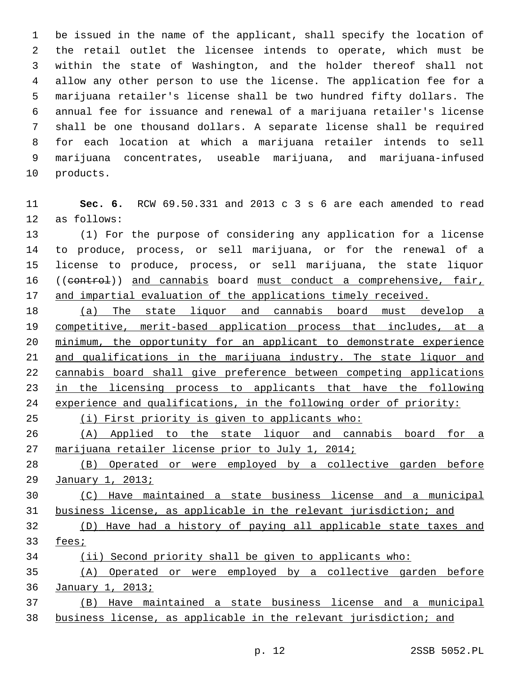be issued in the name of the applicant, shall specify the location of the retail outlet the licensee intends to operate, which must be within the state of Washington, and the holder thereof shall not allow any other person to use the license. The application fee for a marijuana retailer's license shall be two hundred fifty dollars. The annual fee for issuance and renewal of a marijuana retailer's license shall be one thousand dollars. A separate license shall be required for each location at which a marijuana retailer intends to sell marijuana concentrates, useable marijuana, and marijuana-infused 10 products.

 **Sec. 6.** RCW 69.50.331 and 2013 c 3 s 6 are each amended to read 12 as follows:

 (1) For the purpose of considering any application for a license to produce, process, or sell marijuana, or for the renewal of a license to produce, process, or sell marijuana, the state liquor 16 ((control)) and cannabis board must conduct a comprehensive, fair, and impartial evaluation of the applications timely received.

 (a) The state liquor and cannabis board must develop a competitive, merit-based application process that includes, at a minimum, the opportunity for an applicant to demonstrate experience and qualifications in the marijuana industry. The state liquor and cannabis board shall give preference between competing applications 23 in the licensing process to applicants that have the following experience and qualifications, in the following order of priority:

(i) First priority is given to applicants who:

 (A) Applied to the state liquor and cannabis board for a marijuana retailer license prior to July 1, 2014;

 (B) Operated or were employed by a collective garden before January 1, 2013;

 (C) Have maintained a state business license and a municipal business license, as applicable in the relevant jurisdiction; and

 (D) Have had a history of paying all applicable state taxes and fees;

(ii) Second priority shall be given to applicants who:

 (A) Operated or were employed by a collective garden before January 1, 2013;

 (B) Have maintained a state business license and a municipal business license, as applicable in the relevant jurisdiction; and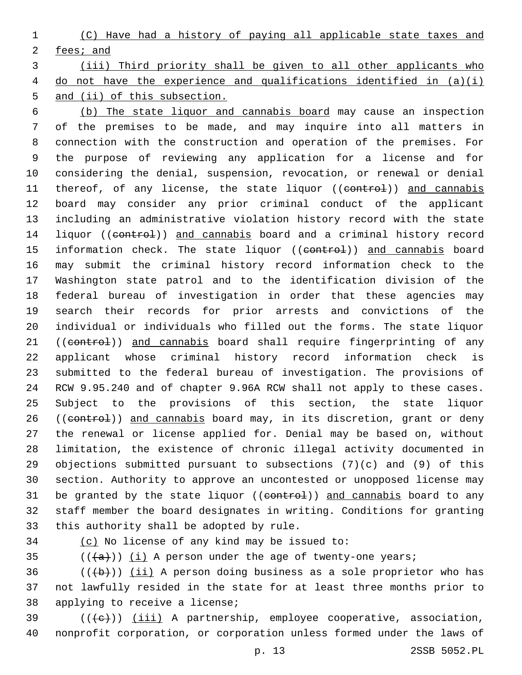(C) Have had a history of paying all applicable state taxes and fees; and

 (iii) Third priority shall be given to all other applicants who do not have the experience and qualifications identified in (a)(i) and (ii) of this subsection.

 (b) The state liquor and cannabis board may cause an inspection of the premises to be made, and may inquire into all matters in connection with the construction and operation of the premises. For the purpose of reviewing any application for a license and for considering the denial, suspension, revocation, or renewal or denial 11 thereof, of any license, the state liquor ((control)) and cannabis board may consider any prior criminal conduct of the applicant including an administrative violation history record with the state 14 liquor ((control)) and cannabis board and a criminal history record 15 information check. The state liquor ((control)) and cannabis board may submit the criminal history record information check to the Washington state patrol and to the identification division of the federal bureau of investigation in order that these agencies may search their records for prior arrests and convictions of the individual or individuals who filled out the forms. The state liquor 21 ((control)) and cannabis board shall require fingerprinting of any applicant whose criminal history record information check is submitted to the federal bureau of investigation. The provisions of RCW 9.95.240 and of chapter 9.96A RCW shall not apply to these cases. Subject to the provisions of this section, the state liquor 26 ((control)) and cannabis board may, in its discretion, grant or deny the renewal or license applied for. Denial may be based on, without limitation, the existence of chronic illegal activity documented in objections submitted pursuant to subsections (7)(c) and (9) of this section. Authority to approve an uncontested or unopposed license may 31 be granted by the state liquor ((control)) and cannabis board to any staff member the board designates in writing. Conditions for granting 33 this authority shall be adopted by rule.

34 (c) No license of any kind may be issued to:

35  $((+a))$   $(i)$  A person under the age of twenty-one years;

 (( $\left(\frac{b}{b}\right)$ ) (ii) A person doing business as a sole proprietor who has not lawfully resided in the state for at least three months prior to 38 applying to receive a license;

 (( $\left(\frac{1}{11}\right)$  ) (iii) A partnership, employee cooperative, association, nonprofit corporation, or corporation unless formed under the laws of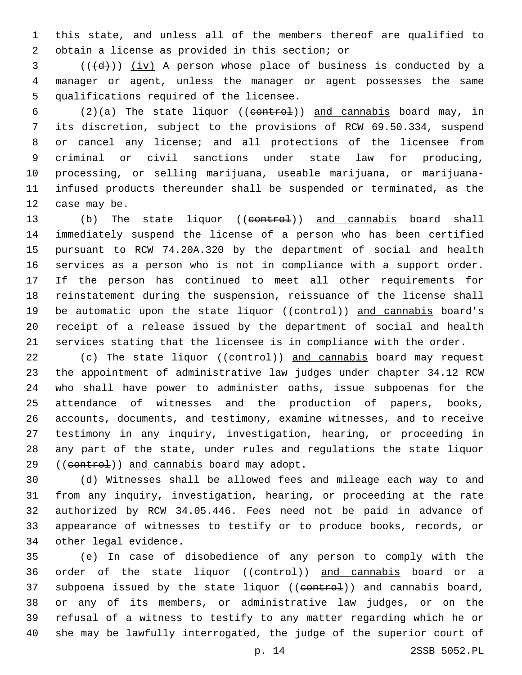this state, and unless all of the members thereof are qualified to 2 obtain a license as provided in this section; or

 $($   $((\dagger d))$   $(iv)$  A person whose place of business is conducted by a manager or agent, unless the manager or agent possesses the same 5 qualifications required of the licensee.

 (2)(a) The state liquor ((control)) and cannabis board may, in its discretion, subject to the provisions of RCW 69.50.334, suspend or cancel any license; and all protections of the licensee from criminal or civil sanctions under state law for producing, processing, or selling marijuana, useable marijuana, or marijuana- infused products thereunder shall be suspended or terminated, as the 12 case may be.

13 (b) The state liquor ((control)) and cannabis board shall immediately suspend the license of a person who has been certified pursuant to RCW 74.20A.320 by the department of social and health services as a person who is not in compliance with a support order. If the person has continued to meet all other requirements for reinstatement during the suspension, reissuance of the license shall 19 be automatic upon the state liquor ((control)) and cannabis board's receipt of a release issued by the department of social and health services stating that the licensee is in compliance with the order.

22 (c) The state liquor ((control)) and cannabis board may request the appointment of administrative law judges under chapter 34.12 RCW who shall have power to administer oaths, issue subpoenas for the attendance of witnesses and the production of papers, books, accounts, documents, and testimony, examine witnesses, and to receive testimony in any inquiry, investigation, hearing, or proceeding in any part of the state, under rules and regulations the state liquor 29 ((control)) and cannabis board may adopt.

 (d) Witnesses shall be allowed fees and mileage each way to and from any inquiry, investigation, hearing, or proceeding at the rate authorized by RCW 34.05.446. Fees need not be paid in advance of appearance of witnesses to testify or to produce books, records, or 34 other legal evidence.

 (e) In case of disobedience of any person to comply with the 36 order of the state liquor ((control)) and cannabis board or a 37 subpoena issued by the state liquor ((eontrol)) and cannabis board, or any of its members, or administrative law judges, or on the refusal of a witness to testify to any matter regarding which he or she may be lawfully interrogated, the judge of the superior court of

p. 14 2SSB 5052.PL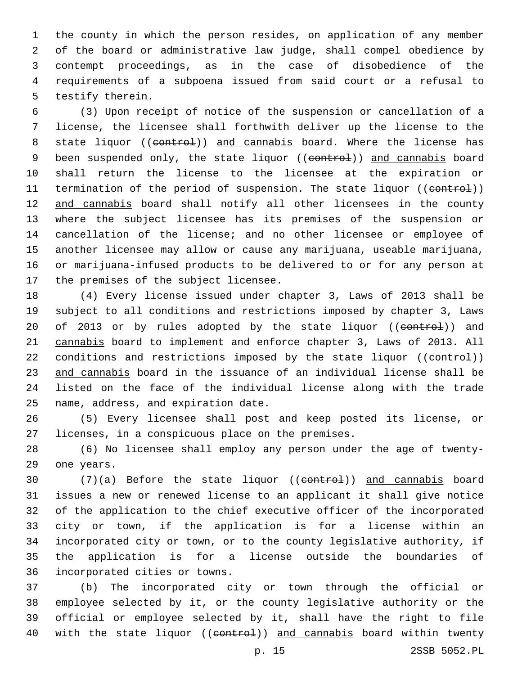the county in which the person resides, on application of any member of the board or administrative law judge, shall compel obedience by contempt proceedings, as in the case of disobedience of the requirements of a subpoena issued from said court or a refusal to 5 testify therein.

 (3) Upon receipt of notice of the suspension or cancellation of a license, the licensee shall forthwith deliver up the license to the 8 state liquor ((control)) and cannabis board. Where the license has 9 been suspended only, the state liquor ((eontrol)) and cannabis board shall return the license to the licensee at the expiration or 11 termination of the period of suspension. The state liquor ((control)) 12 and cannabis board shall notify all other licensees in the county where the subject licensee has its premises of the suspension or cancellation of the license; and no other licensee or employee of another licensee may allow or cause any marijuana, useable marijuana, or marijuana-infused products to be delivered to or for any person at 17 the premises of the subject licensee.

 (4) Every license issued under chapter 3, Laws of 2013 shall be subject to all conditions and restrictions imposed by chapter 3, Laws 20 of 2013 or by rules adopted by the state liquor ((control)) and cannabis board to implement and enforce chapter 3, Laws of 2013. All 22 conditions and restrictions imposed by the state liquor ((control)) and cannabis board in the issuance of an individual license shall be listed on the face of the individual license along with the trade 25 name, address, and expiration date.

 (5) Every licensee shall post and keep posted its license, or 27 licenses, in a conspicuous place on the premises.

 (6) No licensee shall employ any person under the age of twenty-29 one years.

30 (7)(a) Before the state liquor ((control)) and cannabis board issues a new or renewed license to an applicant it shall give notice of the application to the chief executive officer of the incorporated city or town, if the application is for a license within an incorporated city or town, or to the county legislative authority, if the application is for a license outside the boundaries of 36 incorporated cities or towns.

 (b) The incorporated city or town through the official or employee selected by it, or the county legislative authority or the official or employee selected by it, shall have the right to file 40 with the state liquor ((control)) and cannabis board within twenty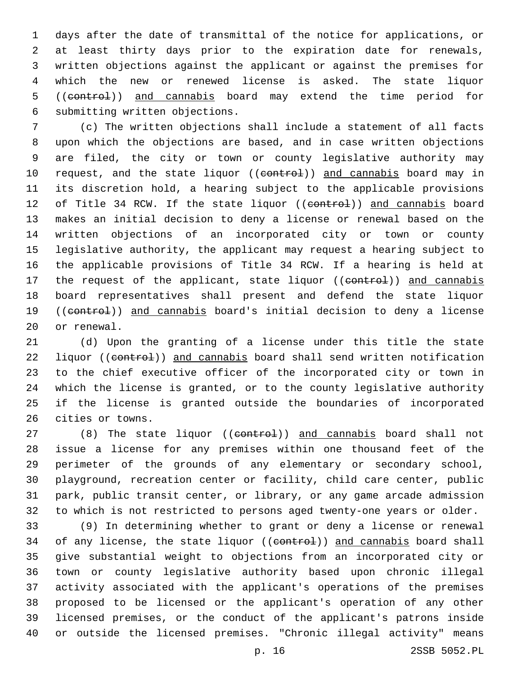days after the date of transmittal of the notice for applications, or at least thirty days prior to the expiration date for renewals, written objections against the applicant or against the premises for which the new or renewed license is asked. The state liquor 5 ((control)) and cannabis board may extend the time period for 6 submitting written objections.

 (c) The written objections shall include a statement of all facts upon which the objections are based, and in case written objections are filed, the city or town or county legislative authority may 10 request, and the state liquor ((control)) and cannabis board may in its discretion hold, a hearing subject to the applicable provisions 12 of Title 34 RCW. If the state liquor ((control)) and cannabis board makes an initial decision to deny a license or renewal based on the written objections of an incorporated city or town or county legislative authority, the applicant may request a hearing subject to the applicable provisions of Title 34 RCW. If a hearing is held at 17 the request of the applicant, state liquor ((control)) and cannabis board representatives shall present and defend the state liquor 19 ((control)) and cannabis board's initial decision to deny a license 20 or renewal.

 (d) Upon the granting of a license under this title the state 22 liquor ((control)) and cannabis board shall send written notification to the chief executive officer of the incorporated city or town in which the license is granted, or to the county legislative authority if the license is granted outside the boundaries of incorporated 26 cities or towns.

27 (8) The state liquor ((control)) and cannabis board shall not issue a license for any premises within one thousand feet of the perimeter of the grounds of any elementary or secondary school, playground, recreation center or facility, child care center, public park, public transit center, or library, or any game arcade admission to which is not restricted to persons aged twenty-one years or older.

 (9) In determining whether to grant or deny a license or renewal 34 of any license, the state liquor ((control)) and cannabis board shall give substantial weight to objections from an incorporated city or town or county legislative authority based upon chronic illegal activity associated with the applicant's operations of the premises proposed to be licensed or the applicant's operation of any other licensed premises, or the conduct of the applicant's patrons inside or outside the licensed premises. "Chronic illegal activity" means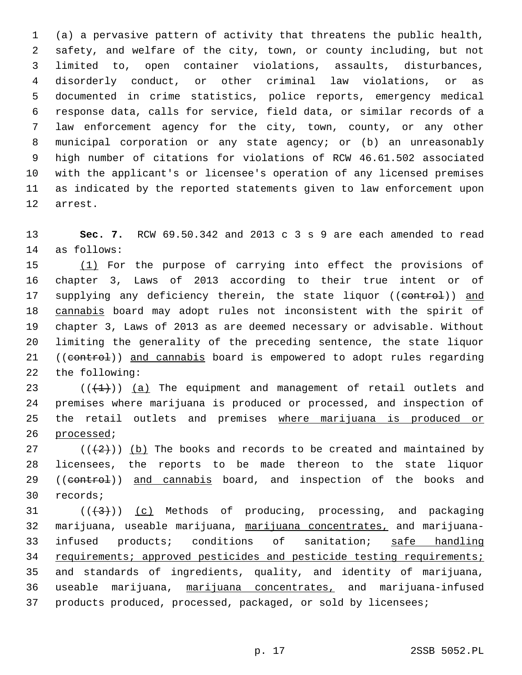(a) a pervasive pattern of activity that threatens the public health, safety, and welfare of the city, town, or county including, but not limited to, open container violations, assaults, disturbances, disorderly conduct, or other criminal law violations, or as documented in crime statistics, police reports, emergency medical response data, calls for service, field data, or similar records of a law enforcement agency for the city, town, county, or any other municipal corporation or any state agency; or (b) an unreasonably high number of citations for violations of RCW 46.61.502 associated with the applicant's or licensee's operation of any licensed premises as indicated by the reported statements given to law enforcement upon 12 arrest.

 **Sec. 7.** RCW 69.50.342 and 2013 c 3 s 9 are each amended to read 14 as follows:

 (1) For the purpose of carrying into effect the provisions of chapter 3, Laws of 2013 according to their true intent or of 17 supplying any deficiency therein, the state liquor ((control)) and cannabis board may adopt rules not inconsistent with the spirit of chapter 3, Laws of 2013 as are deemed necessary or advisable. Without limiting the generality of the preceding sentence, the state liquor 21 ((control)) and cannabis board is empowered to adopt rules regarding 22 the following:

 $((+1))$  (a) The equipment and management of retail outlets and premises where marijuana is produced or processed, and inspection of the retail outlets and premises where marijuana is produced or 26 processed;

27 ( $(\frac{2}{2})$ ) (b) The books and records to be created and maintained by licensees, the reports to be made thereon to the state liquor 29 ((control)) and cannabis board, and inspection of the books and 30 records;

  $((+3))$   $(c)$  Methods of producing, processing, and packaging marijuana, useable marijuana, marijuana concentrates, and marijuana- infused products; conditions of sanitation; safe handling 34 requirements; approved pesticides and pesticide testing requirements; and standards of ingredients, quality, and identity of marijuana, useable marijuana, marijuana concentrates, and marijuana-infused products produced, processed, packaged, or sold by licensees;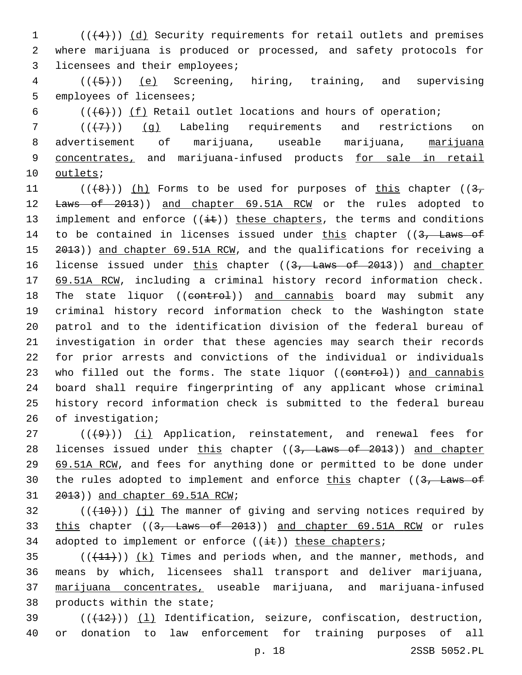$1$  (( $(4)$ )) (d) Security requirements for retail outlets and premises 2 where marijuana is produced or processed, and safety protocols for 3 licensees and their employees;

 $4$   $((+5))$   $(e)$  Screening, hiring, training, and supervising 5 employees of licensees;

6  $((+6))$  ( $\underline{f}$ ) Retail outlet locations and hours of operation;

 $7$   $((+7)$ ) (q) Labeling requirements and restrictions on 8 advertisement of marijuana, useable marijuana, marijuana 9 concentrates, and marijuana-infused products for sale in retail 10 outlets;

11 ( $(\frac{1}{8})$ ) (h) Forms to be used for purposes of this chapter ( $\frac{3}{7}$ ) 12 <del>Laws of 2013</del>)) and chapter 69.51A RCW or the rules adopted to 13 implement and enforce  $((i+1))$  these chapters, the terms and conditions 14 to be contained in licenses issued under this chapter ((3, Laws of 15 2013)) and chapter 69.51A RCW, and the qualifications for receiving a 16 license issued under this chapter ((3, Laws of 2013)) and chapter 17 69.51A RCW, including a criminal history record information check. 18 The state liquor ((control)) and cannabis board may submit any 19 criminal history record information check to the Washington state 20 patrol and to the identification division of the federal bureau of 21 investigation in order that these agencies may search their records 22 for prior arrests and convictions of the individual or individuals 23 who filled out the forms. The state liquor ((control)) and cannabis 24 board shall require fingerprinting of any applicant whose criminal 25 history record information check is submitted to the federal bureau 26 of investigation;

 $(1 + 9)$ )  $(i)$  Application, reinstatement, and renewal fees for 28 licenses issued under this chapter ((3, Laws of 2013)) and chapter 29 69.51A RCW, and fees for anything done or permitted to be done under 30 the rules adopted to implement and enforce this chapter ( $(3,$  Laws of  $31$   $2013)$ ) and chapter 69.51A RCW;

 $32$  (( $(10)$ )) (j) The manner of giving and serving notices required by 33 this chapter ((3, Laws of 2013)) and chapter 69.51A RCM or rules 34 adopted to implement or enforce  $((i+1)$ ) these chapters;

 $((+11))$   $(k)$  Times and periods when, and the manner, methods, and means by which, licensees shall transport and deliver marijuana, marijuana concentrates, useable marijuana, and marijuana-infused products within the state;

39  $((+12))$   $(1)$  Identification, seizure, confiscation, destruction, 40 or donation to law enforcement for training purposes of all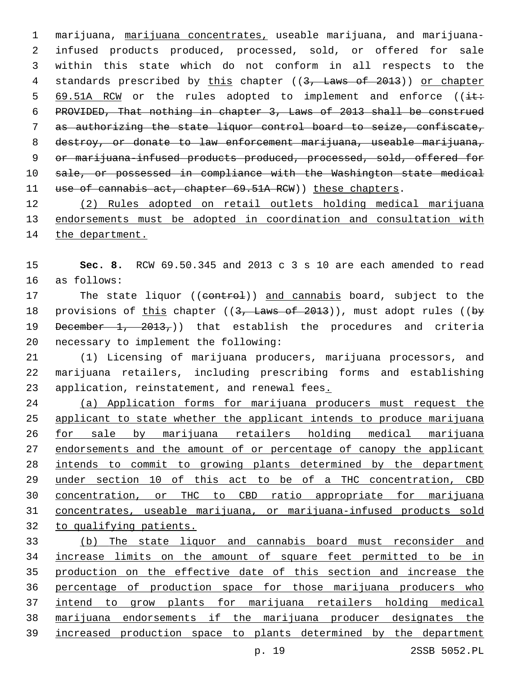marijuana, marijuana concentrates, useable marijuana, and marijuana- infused products produced, processed, sold, or offered for sale within this state which do not conform in all respects to the 4 standards prescribed by this chapter ((3, Laws of 2013)) or chapter 5 69.51A RCW or the rules adopted to implement and enforce ( $(i \pm \epsilon)$  PROVIDED, That nothing in chapter 3, Laws of 2013 shall be construed as authorizing the state liquor control board to seize, confiscate, 8 destroy, or donate to law enforcement marijuana, useable marijuana, 9 or marijuana-infused products produced, processed, sold, offered for sale, or possessed in compliance with the Washington state medical 11 use of cannabis act, chapter 69.51A RCW) these chapters.

 (2) Rules adopted on retail outlets holding medical marijuana endorsements must be adopted in coordination and consultation with 14 the department.

 **Sec. 8.** RCW 69.50.345 and 2013 c 3 s 10 are each amended to read 16 as follows:

17 The state liquor ((control)) and cannabis board, subject to the 18 provisions of this chapter  $((3, \text{ Laws of } 2013))$ , must adopt rules  $((by$ 19 December  $1, 2013,$ )) that establish the procedures and criteria 20 necessary to implement the following:

 (1) Licensing of marijuana producers, marijuana processors, and marijuana retailers, including prescribing forms and establishing 23 application, reinstatement, and renewal fees.

 (a) Application forms for marijuana producers must request the applicant to state whether the applicant intends to produce marijuana for sale by marijuana retailers holding medical marijuana 27 endorsements and the amount of or percentage of canopy the applicant intends to commit to growing plants determined by the department under section 10 of this act to be of a THC concentration, CBD concentration, or THC to CBD ratio appropriate for marijuana concentrates, useable marijuana, or marijuana-infused products sold to qualifying patients.

 (b) The state liquor and cannabis board must reconsider and increase limits on the amount of square feet permitted to be in production on the effective date of this section and increase the percentage of production space for those marijuana producers who intend to grow plants for marijuana retailers holding medical marijuana endorsements if the marijuana producer designates the increased production space to plants determined by the department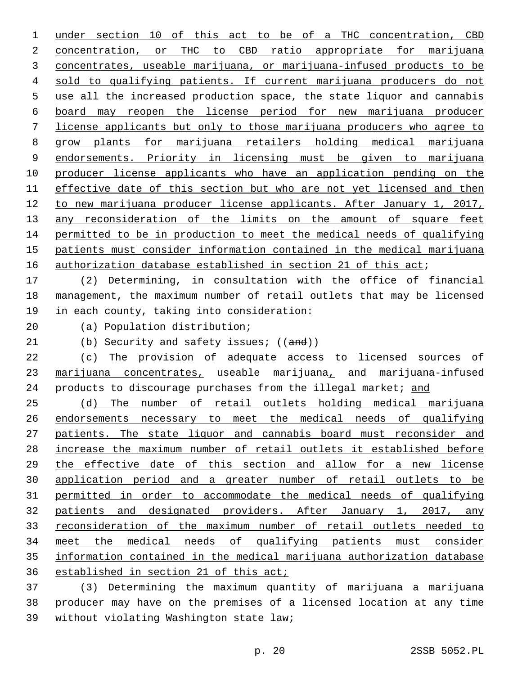under section 10 of this act to be of a THC concentration, CBD 2 concentration, or THC to CBD ratio appropriate for marijuana concentrates, useable marijuana, or marijuana-infused products to be sold to qualifying patients. If current marijuana producers do not use all the increased production space, the state liquor and cannabis board may reopen the license period for new marijuana producer license applicants but only to those marijuana producers who agree to 8 grow plants for marijuana retailers holding medical marijuana endorsements. Priority in licensing must be given to marijuana producer license applicants who have an application pending on the effective date of this section but who are not yet licensed and then to new marijuana producer license applicants. After January 1, 2017, 13 any reconsideration of the limits on the amount of square feet permitted to be in production to meet the medical needs of qualifying patients must consider information contained in the medical marijuana 16 authorization database established in section 21 of this act;

 (2) Determining, in consultation with the office of financial management, the maximum number of retail outlets that may be licensed 19 in each county, taking into consideration:

(a) Population distribution;20

21 (b) Security and safety issues; ((and))

 (c) The provision of adequate access to licensed sources of marijuana concentrates, useable marijuana, and marijuana-infused 24 products to discourage purchases from the illegal market; and

 (d) The number of retail outlets holding medical marijuana endorsements necessary to meet the medical needs of qualifying patients. The state liquor and cannabis board must reconsider and increase the maximum number of retail outlets it established before the effective date of this section and allow for a new license application period and a greater number of retail outlets to be permitted in order to accommodate the medical needs of qualifying patients and designated providers. After January 1, 2017, any reconsideration of the maximum number of retail outlets needed to meet the medical needs of qualifying patients must consider information contained in the medical marijuana authorization database established in section 21 of this act;

 (3) Determining the maximum quantity of marijuana a marijuana producer may have on the premises of a licensed location at any time 39 without violating Washington state law;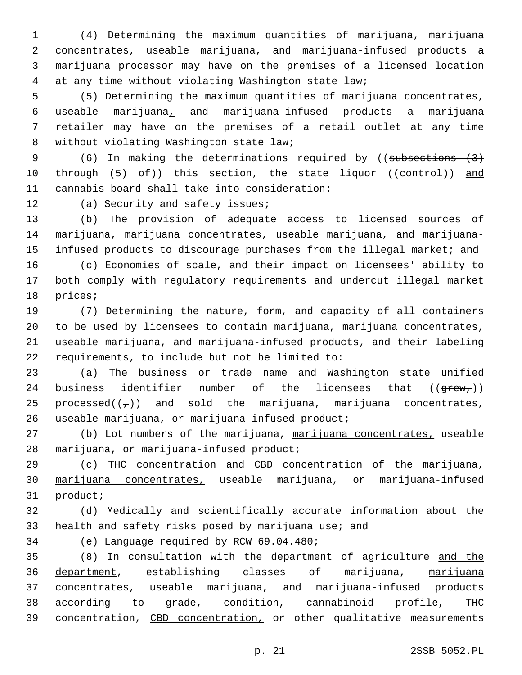(4) Determining the maximum quantities of marijuana, marijuana concentrates, useable marijuana, and marijuana-infused products a marijuana processor may have on the premises of a licensed location at any time without violating Washington state law;

 (5) Determining the maximum quantities of marijuana concentrates, useable marijuana, and marijuana-infused products a marijuana retailer may have on the premises of a retail outlet at any time 8 without violating Washington state law;

9 (6) In making the determinations required by ((subsections (3) 10 through (5) of)) this section, the state liquor ((control)) and 11 cannabis board shall take into consideration:

12 (a) Security and safety issues;

13 (b) The provision of adequate access to licensed sources of 14 marijuana, marijuana concentrates, useable marijuana, and marijuana-15 infused products to discourage purchases from the illegal market; and

16 (c) Economies of scale, and their impact on licensees' ability to 17 both comply with regulatory requirements and undercut illegal market 18 prices;

 (7) Determining the nature, form, and capacity of all containers to be used by licensees to contain marijuana, marijuana concentrates, useable marijuana, and marijuana-infused products, and their labeling 22 requirements, to include but not be limited to:

23 (a) The business or trade name and Washington state unified 24 business identifier number of the licensees that  $((\text{green}_r))$ 25 processed( $(\tau)$ ) and sold the marijuana, marijuana concentrates, useable marijuana, or marijuana-infused product;26

27 (b) Lot numbers of the marijuana, marijuana concentrates, useable 28 marijuana, or marijuana-infused product;

29 (c) THC concentration and CBD concentration of the marijuana, 30 marijuana concentrates, useable marijuana, or marijuana-infused 31 product;

32 (d) Medically and scientifically accurate information about the 33 health and safety risks posed by marijuana use; and

34 (e) Language required by RCW 69.04.480;

 (8) In consultation with the department of agriculture and the department, establishing classes of marijuana, marijuana concentrates, useable marijuana, and marijuana-infused products according to grade, condition, cannabinoid profile, THC 39 concentration, CBD concentration, or other qualitative measurements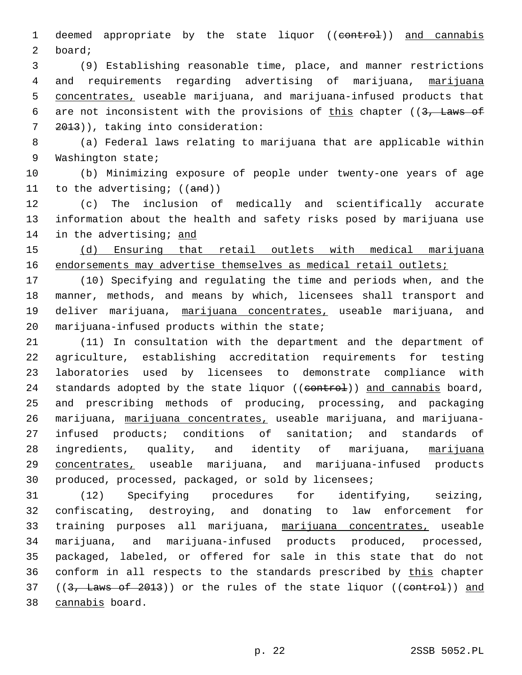1 deemed appropriate by the state liquor ((eontrol)) and cannabis 2 board;

3 (9) Establishing reasonable time, place, and manner restrictions 4 and requirements regarding advertising of marijuana, marijuana 5 concentrates, useable marijuana, and marijuana-infused products that 6 are not inconsistent with the provisions of this chapter ( $(3,$  Laws of 7 2013)), taking into consideration:

8 (a) Federal laws relating to marijuana that are applicable within 9 Washington state;

10 (b) Minimizing exposure of people under twenty-one years of age 11 to the advertising;  $((and))$ 

12 (c) The inclusion of medically and scientifically accurate 13 information about the health and safety risks posed by marijuana use 14 in the advertising; and

15 (d) Ensuring that retail outlets with medical marijuana 16 endorsements may advertise themselves as medical retail outlets;

17 (10) Specifying and regulating the time and periods when, and the 18 manner, methods, and means by which, licensees shall transport and 19 deliver marijuana, marijuana concentrates, useable marijuana, and 20 marijuana-infused products within the state;

 (11) In consultation with the department and the department of agriculture, establishing accreditation requirements for testing laboratories used by licensees to demonstrate compliance with 24 standards adopted by the state liquor ((eontrol)) and cannabis board, and prescribing methods of producing, processing, and packaging marijuana, marijuana concentrates, useable marijuana, and marijuana- infused products; conditions of sanitation; and standards of 28 ingredients, quality, and identity of marijuana, marijuana concentrates, useable marijuana, and marijuana-infused products produced, processed, packaged, or sold by licensees;

31 (12) Specifying procedures for identifying, seizing, 32 confiscating, destroying, and donating to law enforcement for 33 training purposes all marijuana, marijuana concentrates, useable 34 marijuana, and marijuana-infused products produced, processed, 35 packaged, labeled, or offered for sale in this state that do not 36 conform in all respects to the standards prescribed by this chapter 37 ((3, Laws of 2013)) or the rules of the state liquor ((control)) and 38 cannabis board.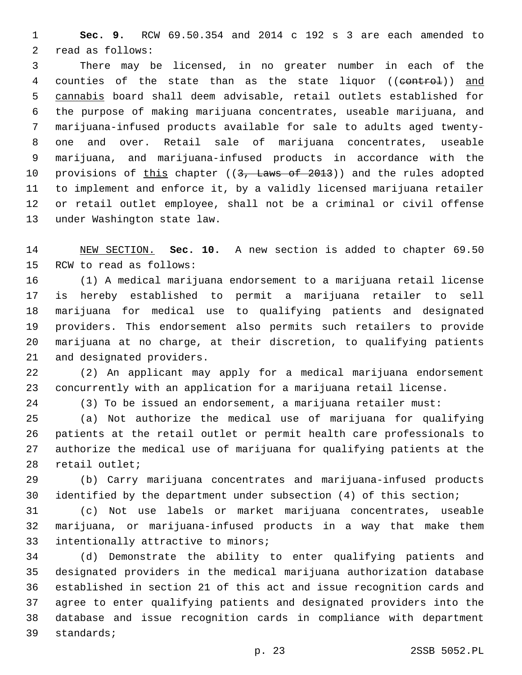**Sec. 9.** RCW 69.50.354 and 2014 c 192 s 3 are each amended to 2 read as follows:

 There may be licensed, in no greater number in each of the 4 counties of the state than as the state liquor ((control)) and cannabis board shall deem advisable, retail outlets established for the purpose of making marijuana concentrates, useable marijuana, and marijuana-infused products available for sale to adults aged twenty- one and over. Retail sale of marijuana concentrates, useable marijuana, and marijuana-infused products in accordance with the 10 provisions of this chapter ((3, Laws of 2013)) and the rules adopted to implement and enforce it, by a validly licensed marijuana retailer or retail outlet employee, shall not be a criminal or civil offense 13 under Washington state law.

 NEW SECTION. **Sec. 10.** A new section is added to chapter 69.50 15 RCW to read as follows:

 (1) A medical marijuana endorsement to a marijuana retail license is hereby established to permit a marijuana retailer to sell marijuana for medical use to qualifying patients and designated providers. This endorsement also permits such retailers to provide marijuana at no charge, at their discretion, to qualifying patients 21 and designated providers.

 (2) An applicant may apply for a medical marijuana endorsement concurrently with an application for a marijuana retail license.

(3) To be issued an endorsement, a marijuana retailer must:

 (a) Not authorize the medical use of marijuana for qualifying patients at the retail outlet or permit health care professionals to authorize the medical use of marijuana for qualifying patients at the 28 retail outlet;

 (b) Carry marijuana concentrates and marijuana-infused products identified by the department under subsection (4) of this section;

 (c) Not use labels or market marijuana concentrates, useable marijuana, or marijuana-infused products in a way that make them 33 intentionally attractive to minors;

 (d) Demonstrate the ability to enter qualifying patients and designated providers in the medical marijuana authorization database established in section 21 of this act and issue recognition cards and agree to enter qualifying patients and designated providers into the database and issue recognition cards in compliance with department 39 standards;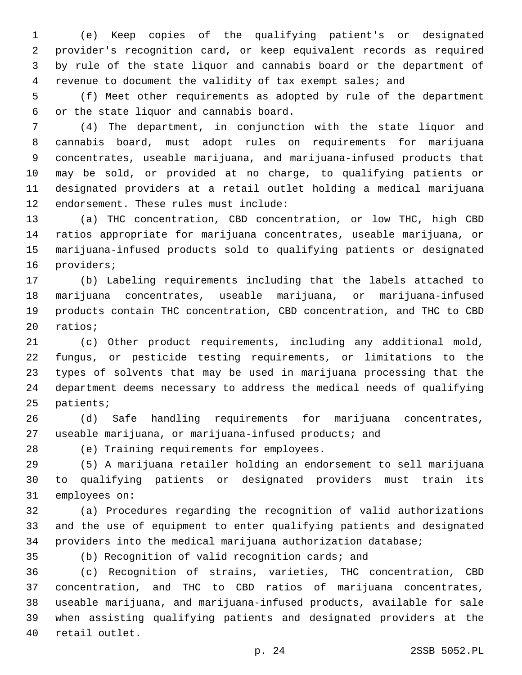(e) Keep copies of the qualifying patient's or designated provider's recognition card, or keep equivalent records as required by rule of the state liquor and cannabis board or the department of revenue to document the validity of tax exempt sales; and

 (f) Meet other requirements as adopted by rule of the department 6 or the state liquor and cannabis board.

 (4) The department, in conjunction with the state liquor and cannabis board, must adopt rules on requirements for marijuana concentrates, useable marijuana, and marijuana-infused products that may be sold, or provided at no charge, to qualifying patients or designated providers at a retail outlet holding a medical marijuana 12 endorsement. These rules must include:

 (a) THC concentration, CBD concentration, or low THC, high CBD ratios appropriate for marijuana concentrates, useable marijuana, or marijuana-infused products sold to qualifying patients or designated 16 providers;

 (b) Labeling requirements including that the labels attached to marijuana concentrates, useable marijuana, or marijuana-infused products contain THC concentration, CBD concentration, and THC to CBD 20 ratios;

 (c) Other product requirements, including any additional mold, fungus, or pesticide testing requirements, or limitations to the types of solvents that may be used in marijuana processing that the department deems necessary to address the medical needs of qualifying 25 patients;

 (d) Safe handling requirements for marijuana concentrates, useable marijuana, or marijuana-infused products; and

28 (e) Training requirements for employees.

 (5) A marijuana retailer holding an endorsement to sell marijuana to qualifying patients or designated providers must train its 31 employees on:

 (a) Procedures regarding the recognition of valid authorizations and the use of equipment to enter qualifying patients and designated providers into the medical marijuana authorization database;

(b) Recognition of valid recognition cards; and

 (c) Recognition of strains, varieties, THC concentration, CBD concentration, and THC to CBD ratios of marijuana concentrates, useable marijuana, and marijuana-infused products, available for sale when assisting qualifying patients and designated providers at the 40 retail outlet.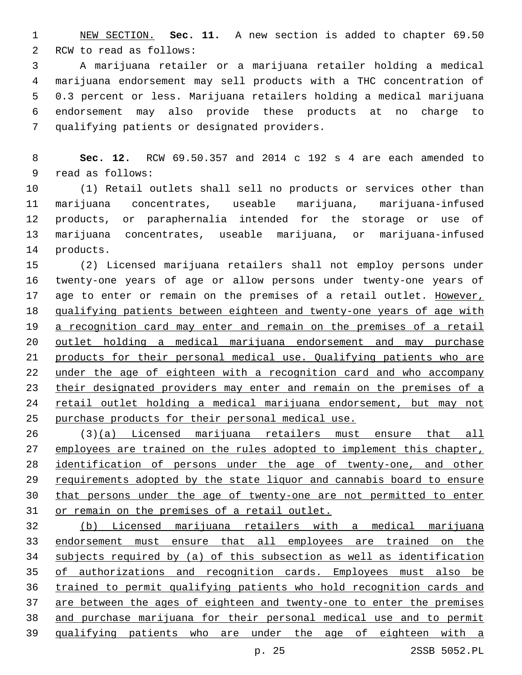NEW SECTION. **Sec. 11.** A new section is added to chapter 69.50 2 RCW to read as follows:

 A marijuana retailer or a marijuana retailer holding a medical marijuana endorsement may sell products with a THC concentration of 0.3 percent or less. Marijuana retailers holding a medical marijuana endorsement may also provide these products at no charge to 7 qualifying patients or designated providers.

 **Sec. 12.** RCW 69.50.357 and 2014 c 192 s 4 are each amended to 9 read as follows:

 (1) Retail outlets shall sell no products or services other than marijuana concentrates, useable marijuana, marijuana-infused products, or paraphernalia intended for the storage or use of marijuana concentrates, useable marijuana, or marijuana-infused 14 products.

 (2) Licensed marijuana retailers shall not employ persons under twenty-one years of age or allow persons under twenty-one years of age to enter or remain on the premises of a retail outlet. However, qualifying patients between eighteen and twenty-one years of age with 19 a recognition card may enter and remain on the premises of a retail outlet holding a medical marijuana endorsement and may purchase products for their personal medical use. Qualifying patients who are under the age of eighteen with a recognition card and who accompany their designated providers may enter and remain on the premises of a retail outlet holding a medical marijuana endorsement, but may not purchase products for their personal medical use.

 (3)(a) Licensed marijuana retailers must ensure that all 27 employees are trained on the rules adopted to implement this chapter, identification of persons under the age of twenty-one, and other requirements adopted by the state liquor and cannabis board to ensure that persons under the age of twenty-one are not permitted to enter or remain on the premises of a retail outlet.

 (b) Licensed marijuana retailers with a medical marijuana endorsement must ensure that all employees are trained on the subjects required by (a) of this subsection as well as identification of authorizations and recognition cards. Employees must also be trained to permit qualifying patients who hold recognition cards and 37 are between the ages of eighteen and twenty-one to enter the premises and purchase marijuana for their personal medical use and to permit qualifying patients who are under the age of eighteen with a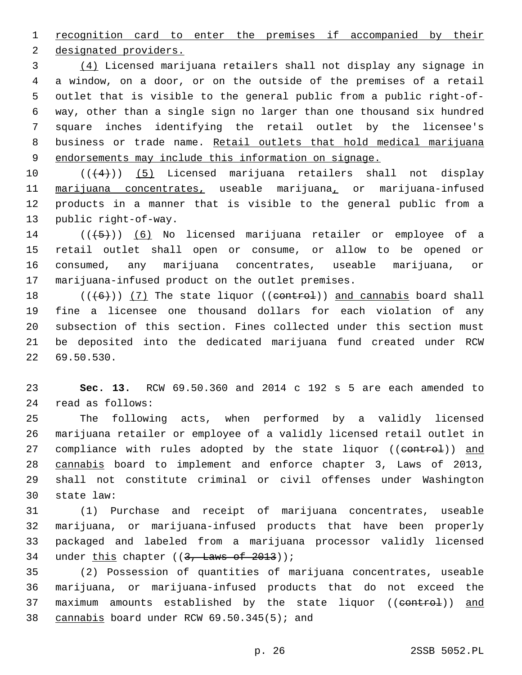recognition card to enter the premises if accompanied by their

2 designated providers.

 (4) Licensed marijuana retailers shall not display any signage in a window, on a door, or on the outside of the premises of a retail outlet that is visible to the general public from a public right-of- way, other than a single sign no larger than one thousand six hundred square inches identifying the retail outlet by the licensee's business or trade name. Retail outlets that hold medical marijuana endorsements may include this information on signage.

10 ((+4))) (5) Licensed marijuana retailers shall not display marijuana concentrates, useable marijuana, or marijuana-infused products in a manner that is visible to the general public from a 13 public right-of-way.

14 (((+5))) (6) No licensed marijuana retailer or employee of a retail outlet shall open or consume, or allow to be opened or consumed, any marijuana concentrates, useable marijuana, or 17 marijuana-infused product on the outlet premises.

 $((+6))$  (7) The state liquor (( $\text{center}$ )) and cannabis board shall fine a licensee one thousand dollars for each violation of any subsection of this section. Fines collected under this section must be deposited into the dedicated marijuana fund created under RCW 22 69.50.530.

 **Sec. 13.** RCW 69.50.360 and 2014 c 192 s 5 are each amended to read as follows:24

 The following acts, when performed by a validly licensed marijuana retailer or employee of a validly licensed retail outlet in 27 compliance with rules adopted by the state liquor ((control)) and cannabis board to implement and enforce chapter 3, Laws of 2013, shall not constitute criminal or civil offenses under Washington 30 state law:

 (1) Purchase and receipt of marijuana concentrates, useable marijuana, or marijuana-infused products that have been properly packaged and labeled from a marijuana processor validly licensed 34 under this chapter  $((3, \text{ Laws of } 2013))$ ;

 (2) Possession of quantities of marijuana concentrates, useable marijuana, or marijuana-infused products that do not exceed the 37 maximum amounts established by the state liquor ((eontrol)) and 38 cannabis board under RCW 69.50.345(5); and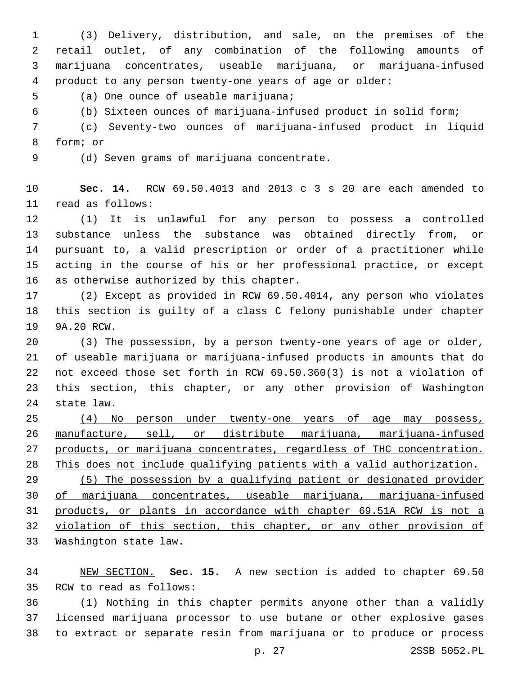(3) Delivery, distribution, and sale, on the premises of the retail outlet, of any combination of the following amounts of marijuana concentrates, useable marijuana, or marijuana-infused product to any person twenty-one years of age or older:

5 (a) One ounce of useable marijuana;

(b) Sixteen ounces of marijuana-infused product in solid form;

 (c) Seventy-two ounces of marijuana-infused product in liquid 8 form; or

9 (d) Seven grams of marijuana concentrate.

 **Sec. 14.** RCW 69.50.4013 and 2013 c 3 s 20 are each amended to 11 read as follows:

 (1) It is unlawful for any person to possess a controlled substance unless the substance was obtained directly from, or pursuant to, a valid prescription or order of a practitioner while acting in the course of his or her professional practice, or except 16 as otherwise authorized by this chapter.

 (2) Except as provided in RCW 69.50.4014, any person who violates this section is guilty of a class C felony punishable under chapter 19 9A.20 RCW.

 (3) The possession, by a person twenty-one years of age or older, of useable marijuana or marijuana-infused products in amounts that do not exceed those set forth in RCW 69.50.360(3) is not a violation of this section, this chapter, or any other provision of Washington 24 state law.

 (4) No person under twenty-one years of age may possess, manufacture, sell, or distribute marijuana, marijuana-infused products, or marijuana concentrates, regardless of THC concentration. This does not include qualifying patients with a valid authorization. (5) The possession by a qualifying patient or designated provider of marijuana concentrates, useable marijuana, marijuana-infused products, or plants in accordance with chapter 69.51A RCW is not a violation of this section, this chapter, or any other provision of Washington state law.

 NEW SECTION. **Sec. 15.** A new section is added to chapter 69.50 35 RCW to read as follows:

 (1) Nothing in this chapter permits anyone other than a validly licensed marijuana processor to use butane or other explosive gases to extract or separate resin from marijuana or to produce or process

p. 27 2SSB 5052.PL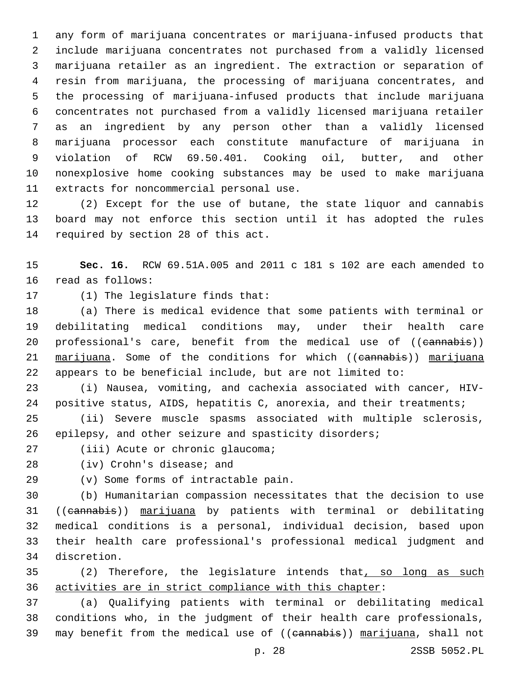any form of marijuana concentrates or marijuana-infused products that include marijuana concentrates not purchased from a validly licensed marijuana retailer as an ingredient. The extraction or separation of resin from marijuana, the processing of marijuana concentrates, and the processing of marijuana-infused products that include marijuana concentrates not purchased from a validly licensed marijuana retailer as an ingredient by any person other than a validly licensed marijuana processor each constitute manufacture of marijuana in violation of RCW 69.50.401. Cooking oil, butter, and other nonexplosive home cooking substances may be used to make marijuana 11 extracts for noncommercial personal use.

 (2) Except for the use of butane, the state liquor and cannabis board may not enforce this section until it has adopted the rules 14 required by section 28 of this act.

 **Sec. 16.** RCW 69.51A.005 and 2011 c 181 s 102 are each amended to 16 read as follows:

17 (1) The legislature finds that:

 (a) There is medical evidence that some patients with terminal or debilitating medical conditions may, under their health care 20 professional's care, benefit from the medical use of ((cannabis)) 21 marijuana. Some of the conditions for which ((eannabis)) marijuana appears to be beneficial include, but are not limited to:

 (i) Nausea, vomiting, and cachexia associated with cancer, HIV-positive status, AIDS, hepatitis C, anorexia, and their treatments;

 (ii) Severe muscle spasms associated with multiple sclerosis, epilepsy, and other seizure and spasticity disorders;

27 (iii) Acute or chronic glaucoma;

28 (iv) Crohn's disease; and

(v) Some forms of intractable pain.29

 (b) Humanitarian compassion necessitates that the decision to use ((cannabis)) marijuana by patients with terminal or debilitating medical conditions is a personal, individual decision, based upon their health care professional's professional medical judgment and discretion.34

35 (2) Therefore, the legislature intends that, so long as such activities are in strict compliance with this chapter:

 (a) Qualifying patients with terminal or debilitating medical conditions who, in the judgment of their health care professionals, 39 may benefit from the medical use of ((eannabis)) marijuana, shall not

p. 28 2SSB 5052.PL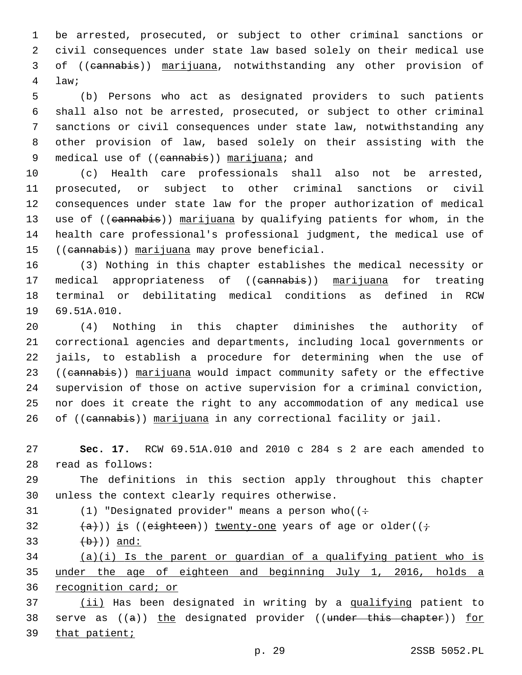be arrested, prosecuted, or subject to other criminal sanctions or civil consequences under state law based solely on their medical use of ((cannabis)) marijuana, notwithstanding any other provision of law;4

 (b) Persons who act as designated providers to such patients shall also not be arrested, prosecuted, or subject to other criminal sanctions or civil consequences under state law, notwithstanding any other provision of law, based solely on their assisting with the 9 medical use of ((cannabis)) marijuana; and

 (c) Health care professionals shall also not be arrested, prosecuted, or subject to other criminal sanctions or civil consequences under state law for the proper authorization of medical 13 use of ((cannabis)) marijuana by qualifying patients for whom, in the health care professional's professional judgment, the medical use of 15 ((cannabis)) marijuana may prove beneficial.

 (3) Nothing in this chapter establishes the medical necessity or 17 medical appropriateness of ((cannabis)) marijuana for treating terminal or debilitating medical conditions as defined in RCW 19 69.51A.010.

 (4) Nothing in this chapter diminishes the authority of correctional agencies and departments, including local governments or jails, to establish a procedure for determining when the use of 23 ((cannabis)) marijuana would impact community safety or the effective supervision of those on active supervision for a criminal conviction, nor does it create the right to any accommodation of any medical use 26 of ((cannabis)) marijuana in any correctional facility or jail.

 **Sec. 17.** RCW 69.51A.010 and 2010 c 284 s 2 are each amended to read as follows:28

 The definitions in this section apply throughout this chapter 30 unless the context clearly requires otherwise.

31 (1) "Designated provider" means a person who  $($  :

32  $(a)$  )) is ((eighteen)) twenty-one years of age or older((;

 $(b)$ ) and:

 (a)(i) Is the parent or guardian of a qualifying patient who is under the age of eighteen and beginning July 1, 2016, holds a recognition card; or

 (ii) Has been designated in writing by a qualifying patient to 38 serve as ((a)) the designated provider ((under this chapter)) for that patient;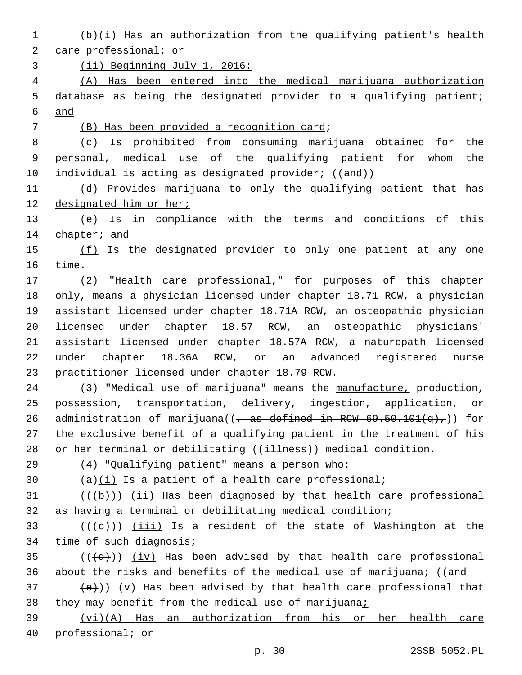1 (b)(i) Has an authorization from the qualifying patient's health 2 care professional; or 3 (ii) Beginning July 1, 2016: 4 (A) Has been entered into the medical marijuana authorization 5 database as being the designated provider to a qualifying patient; 6 and (B) Has been provided a recognition card;7 8 (c) Is prohibited from consuming marijuana obtained for the 9 personal, medical use of the qualifying patient for whom the 10 individual is acting as designated provider; ((and)) 11 (d) Provides marijuana to only the qualifying patient that has 12 designated him or her; 13 (e) Is in compliance with the terms and conditions of this 14 chapter; and 15 (f) Is the designated provider to only one patient at any one 16 time. 17 (2) "Health care professional," for purposes of this chapter 18 only, means a physician licensed under chapter 18.71 RCW, a physician 19 assistant licensed under chapter 18.71A RCW, an osteopathic physician 20 licensed under chapter 18.57 RCW, an osteopathic physicians' 21 assistant licensed under chapter 18.57A RCW, a naturopath licensed 22 under chapter 18.36A RCW, or an advanced registered nurse 23 practitioner licensed under chapter 18.79 RCW. 24 (3) "Medical use of marijuana" means the manufacture, production, 25 possession, transportation, delivery, ingestion, application, or 26 administration of marijuana( $\left( \frac{1}{\sqrt{2}} \right)$  as defined in RCW 69.50.101 $\left( q \right)$ ,)) for 27 the exclusive benefit of a qualifying patient in the treatment of his 28 or her terminal or debilitating ((illness)) medical condition. (4) "Qualifying patient" means a person who:29 30 (a) $(i)$  Is a patient of a health care professional; 31  $((+b))$  (ii) Has been diagnosed by that health care professional 32 as having a terminal or debilitating medical condition; 33 ( $(\overline{\{e\}})$ ) (iii) Is a resident of the state of Washington at the 34 time of such diagnosis;  $35$  (( $\left(\frac{d}{d} \right)$ ) (iv) Has been advised by that health care professional 36 about the risks and benefits of the medical use of marijuana; ((and 37  $(e)$ )) (v) Has been advised by that health care professional that 38 they may benefit from the medical use of marijuana; 39 (vi)(A) Has an authorization from his or her health care 40 professional; or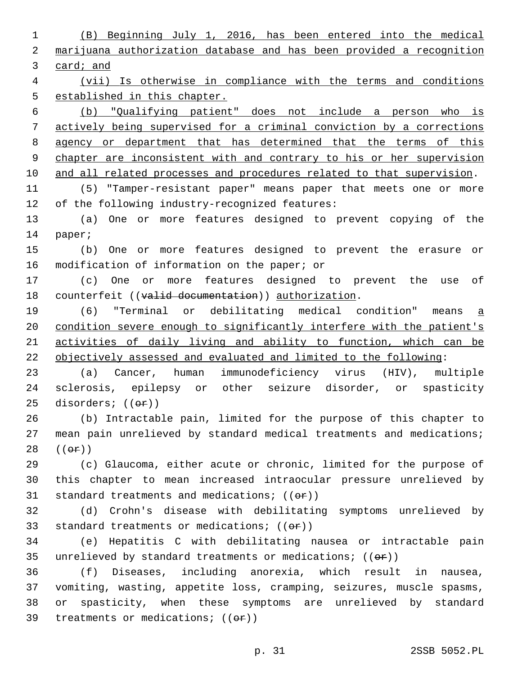(B) Beginning July 1, 2016, has been entered into the medical marijuana authorization database and has been provided a recognition card; and

 (vii) Is otherwise in compliance with the terms and conditions established in this chapter.

 (b) "Qualifying patient" does not include a person who is actively being supervised for a criminal conviction by a corrections agency or department that has determined that the terms of this chapter are inconsistent with and contrary to his or her supervision 10 and all related processes and procedures related to that supervision.

 (5) "Tamper-resistant paper" means paper that meets one or more 12 of the following industry-recognized features:

 (a) One or more features designed to prevent copying of the 14 paper;

 (b) One or more features designed to prevent the erasure or 16 modification of information on the paper; or

 (c) One or more features designed to prevent the use of 18 counterfeit ((valid documentation)) authorization.

 (6) "Terminal or debilitating medical condition" means a condition severe enough to significantly interfere with the patient's activities of daily living and ability to function, which can be objectively assessed and evaluated and limited to the following:

 (a) Cancer, human immunodeficiency virus (HIV), multiple sclerosis, epilepsy or other seizure disorder, or spasticity 25 disorders;  $((\theta \cdot \hat{r}))$ 

 (b) Intractable pain, limited for the purpose of this chapter to mean pain unrelieved by standard medical treatments and medications;  $((e \texttt{f})$ 

 (c) Glaucoma, either acute or chronic, limited for the purpose of this chapter to mean increased intraocular pressure unrelieved by 31 standard treatments and medications;  $((\theta \cdot \mathbf{r}))$ 

 (d) Crohn's disease with debilitating symptoms unrelieved by 33 standard treatments or medications;  $((\theta \cdot \hat{r}))$ 

 (e) Hepatitis C with debilitating nausea or intractable pain 35 unrelieved by standard treatments or medications;  $((\theta \cdot \hat{r}))$ 

 (f) Diseases, including anorexia, which result in nausea, vomiting, wasting, appetite loss, cramping, seizures, muscle spasms, or spasticity, when these symptoms are unrelieved by standard 39 treatments or medications;  $((\theta \cdot \mathbf{r}))$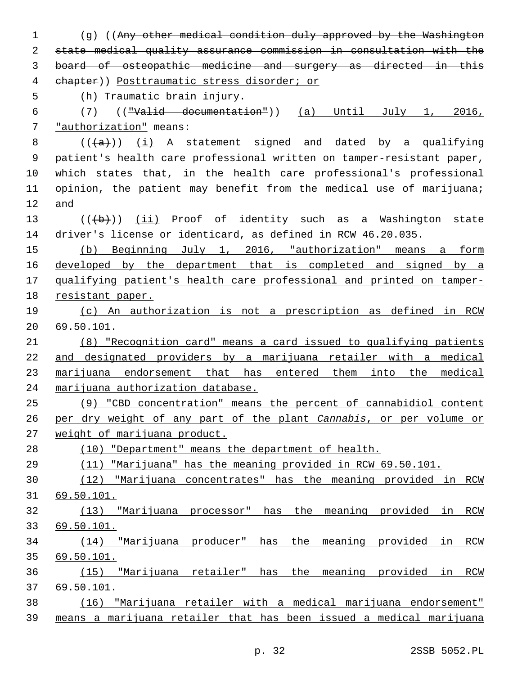(g) ((Any other medical condition duly approved by the Washington state medical quality assurance commission in consultation with the board of osteopathic medicine and surgery as directed in this chapter)) Posttraumatic stress disorder; or 5 (h) Traumatic brain injury. (7) (("Valid documentation")) (a) Until July 1, 2016, 7 "authorization" means:  $((+a))$  (i) A statement signed and dated by a qualifying patient's health care professional written on tamper-resistant paper, which states that, in the health care professional's professional 11 opinion, the patient may benefit from the medical use of marijuana; and 13 (((+b)) (ii) Proof of identity such as a Washington state driver's license or identicard, as defined in RCW 46.20.035. (b) Beginning July 1, 2016, "authorization" means a form developed by the department that is completed and signed by a qualifying patient's health care professional and printed on tamper- resistant paper. (c) An authorization is not a prescription as defined in RCW 69.50.101. (8) "Recognition card" means a card issued to qualifying patients and designated providers by a marijuana retailer with a medical marijuana endorsement that has entered them into the medical marijuana authorization database. (9) "CBD concentration" means the percent of cannabidiol content per dry weight of any part of the plant *Cannabis*, or per volume or weight of marijuana product. (10) "Department" means the department of health. (11) "Marijuana" has the meaning provided in RCW 69.50.101. (12) "Marijuana concentrates" has the meaning provided in RCW 69.50.101. (13) "Marijuana processor" has the meaning provided in RCW 69.50.101. (14) "Marijuana producer" has the meaning provided in RCW 69.50.101. (15) "Marijuana retailer" has the meaning provided in RCW 69.50.101. (16) "Marijuana retailer with a medical marijuana endorsement" means a marijuana retailer that has been issued a medical marijuana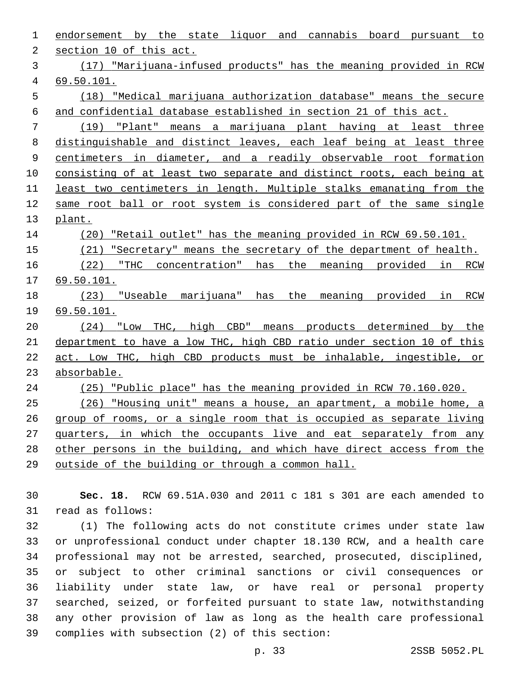| 1  | endorsement by the state liquor and cannabis board pursuant to              |
|----|-----------------------------------------------------------------------------|
| 2  | section 10 of this act.                                                     |
| 3  | (17) "Marijuana-infused products" has the meaning provided in RCW           |
| 4  | 69.50.101.                                                                  |
| 5  | (18) "Medical marijuana authorization database" means the secure            |
| 6  | and confidential database established in section 21 of this act.            |
| 7  | "Plant" means a marijuana plant having at least three<br>(19)               |
| 8  | distinguishable and distinct leaves, each leaf being at least three         |
| 9  | centimeters in diameter, and a readily observable root formation            |
| 10 | consisting of at least two separate and distinct roots, each being at       |
| 11 | least two centimeters in length. Multiple stalks emanating from the         |
| 12 | same root ball or root system is considered part of the same single         |
| 13 | plant.                                                                      |
| 14 | (20)<br>"Retail outlet" has the meaning provided in RCW 69.50.101.          |
| 15 | "Secretary" means the secretary of the department of health.<br>(21)        |
| 16 | (22)<br>"THC concentration" has the meaning provided in RCW                 |
| 17 | 69.50.101.                                                                  |
| 18 | the<br>(23) "Useable marijuana" has<br>meaning provided<br>in<br>RCW        |
| 19 | 69.50.101.                                                                  |
| 20 | THC, high<br>$CBD$ "<br>means products determined by<br>(24)<br>"Low<br>the |
| 21 | department to have a low THC, high CBD ratio under section 10 of this       |
| 22 | act. Low THC, high CBD products must be inhalable, ingestible, or           |
| 23 | absorbable.                                                                 |
| 24 | "Public place" has the meaning provided in RCW 70.160.020.<br>(25)          |
| 25 | (26) "Housing unit" means a house, an apartment, a mobile home, a           |
| 26 | group of rooms, or a single room that is occupied as separate living        |
| 27 | quarters, in which the occupants live and eat separately from any           |
| 28 | other persons in the building, and which have direct access from the        |
| 29 | outside of the building or through a common hall.                           |
|    |                                                                             |

 **Sec. 18.** RCW 69.51A.030 and 2011 c 181 s 301 are each amended to 31 read as follows:

 (1) The following acts do not constitute crimes under state law or unprofessional conduct under chapter 18.130 RCW, and a health care professional may not be arrested, searched, prosecuted, disciplined, or subject to other criminal sanctions or civil consequences or liability under state law, or have real or personal property searched, seized, or forfeited pursuant to state law, notwithstanding any other provision of law as long as the health care professional 39 complies with subsection (2) of this section: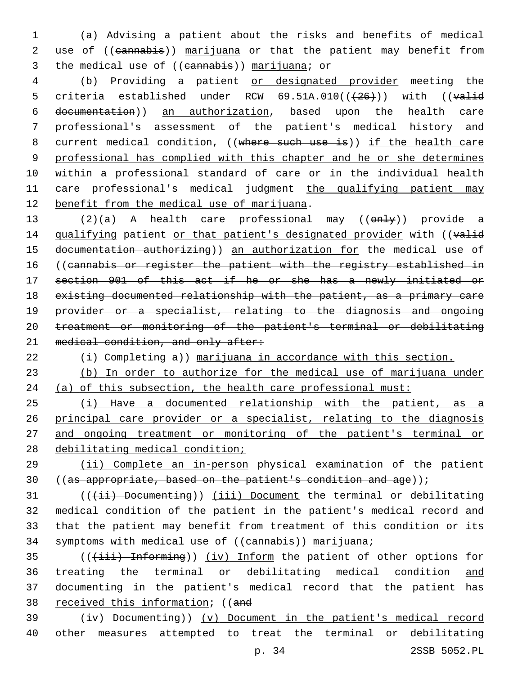1 (a) Advising a patient about the risks and benefits of medical 2 use of ((cannabis)) marijuana or that the patient may benefit from 3 the medical use of ((eannabis)) marijuana; or

4 (b) Providing a patient or designated provider meeting the 5 criteria established under RCW  $69.51A.010((+26))$  with ((valid 6 documentation)) an authorization, based upon the health care 7 professional's assessment of the patient's medical history and 8 current medical condition, ((where such use is)) if the health care 9 professional has complied with this chapter and he or she determines 10 within a professional standard of care or in the individual health 11 care professional's medical judgment the qualifying patient may 12 benefit from the medical use of marijuana.

13 (2)(a) A health care professional may ((only)) provide a 14 qualifying patient or that patient's designated provider with ((valid 15 documentation authorizing)) an authorization for the medical use of 16 ((cannabis or register the patient with the registry established in 17 section 901 of this act if he or she has a newly initiated or 18 existing documented relationship with the patient, as a primary care 19 provider or a specialist, relating to the diagnosis and ongoing 20 treatment or monitoring of the patient's terminal or debilitating 21 medical condition, and only after:

 $22$   $\leftrightarrow$  Completing a)) marijuana in accordance with this section.

23 (b) In order to authorize for the medical use of marijuana under 24 (a) of this subsection, the health care professional must:

 (i) Have a documented relationship with the patient, as a 26 principal care provider or a specialist, relating to the diagnosis and ongoing treatment or monitoring of the patient's terminal or debilitating medical condition;

29 (ii) Complete an in-person physical examination of the patient 30 ((as appropriate, based on the patient's condition and age));

31 (((ii) Documenting)) (iii) Document the terminal or debilitating 32 medical condition of the patient in the patient's medical record and 33 that the patient may benefit from treatment of this condition or its 34 symptoms with medical use of ((cannabis)) marijuana;

35 (((iii) Informing)) (iv) Inform the patient of other options for 36 treating the terminal or debilitating medical condition and 37 documenting in the patient's medical record that the patient has 38 received this information; ((and

 $39$   $(iv)$  Documenting)) (v) Document in the patient's medical record 40 other measures attempted to treat the terminal or debilitating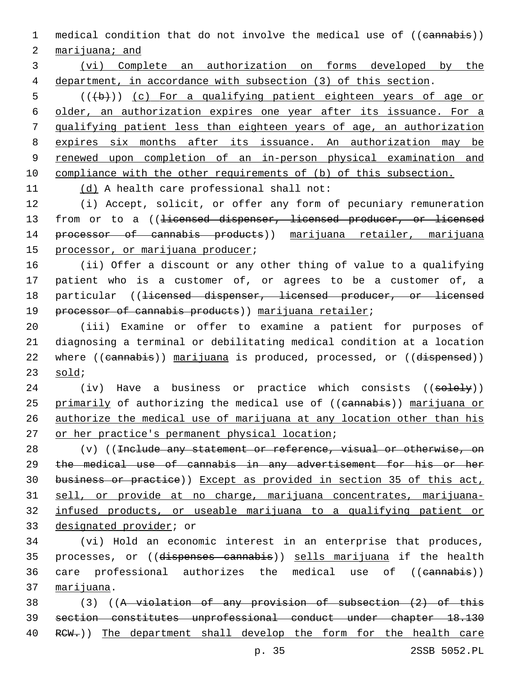1 medical condition that do not involve the medical use of ((eannabis))

2 marijuana; and

3 (vi) Complete an authorization on forms developed by the 4 department, in accordance with subsection (3) of this section.

 (( $(b)$ )) (c) For a qualifying patient eighteen years of age or older, an authorization expires one year after its issuance. For a qualifying patient less than eighteen years of age, an authorization expires six months after its issuance. An authorization may be renewed upon completion of an in-person physical examination and compliance with the other requirements of (b) of this subsection.

11 (d) A health care professional shall not:

12 (i) Accept, solicit, or offer any form of pecuniary remuneration 13 from or to a ((<del>licensed dispenser, licensed producer, or licensed</del> 14 processor of cannabis products)) marijuana retailer, marijuana 15 processor, or marijuana producer;

16 (ii) Offer a discount or any other thing of value to a qualifying 17 patient who is a customer of, or agrees to be a customer of, a 18 particular ((<del>licensed dispenser, licensed producer, or licensed</del> 19 processor of cannabis products)) marijuana retailer;

20 (iii) Examine or offer to examine a patient for purposes of 21 diagnosing a terminal or debilitating medical condition at a location 22 where ((cannabis)) marijuana is produced, processed, or ((dispensed))  $23$  sold;

24 (iv) Have a business or practice which consists ((solely)) 25 primarily of authorizing the medical use of ((eannabis)) marijuana or 26 authorize the medical use of marijuana at any location other than his 27 or her practice's permanent physical location;

28 (v) ((Include any statement or reference, visual or otherwise, on the medical use of cannabis in any advertisement for his or her business or practice)) Except as provided in section 35 of this act, sell, or provide at no charge, marijuana concentrates, marijuana- infused products, or useable marijuana to a qualifying patient or 33 designated provider; or

34 (vi) Hold an economic interest in an enterprise that produces, 35 processes, or ((dispenses cannabis)) sells marijuana if the health 36 care professional authorizes the medical use of ((cannabis)) 37 marijuana.

38 (3) ((A violation of any provision of subsection (2) of this 39 section constitutes unprofessional conduct under chapter 18.130 40 RCW.)) The department shall develop the form for the health care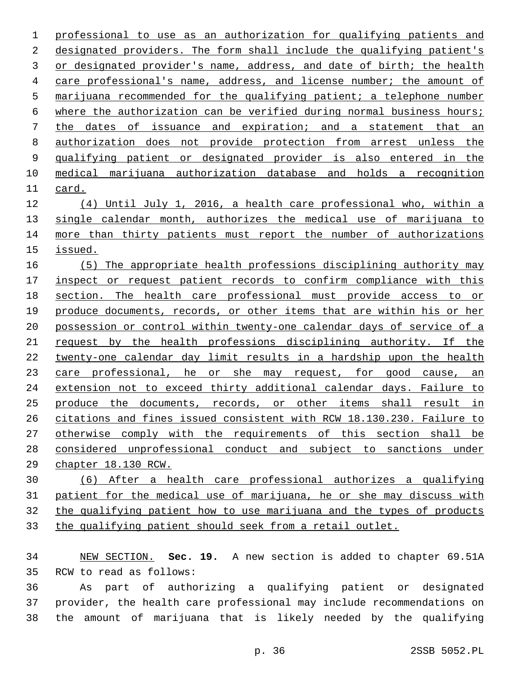professional to use as an authorization for qualifying patients and designated providers. The form shall include the qualifying patient's 3 or designated provider's name, address, and date of birth; the health care professional's name, address, and license number; the amount of marijuana recommended for the qualifying patient; a telephone number 6 where the authorization can be verified during normal business hours; the dates of issuance and expiration; and a statement that an authorization does not provide protection from arrest unless the qualifying patient or designated provider is also entered in the medical marijuana authorization database and holds a recognition 11 card.

 (4) Until July 1, 2016, a health care professional who, within a 13 single calendar month, authorizes the medical use of marijuana to 14 more than thirty patients must report the number of authorizations issued.

 (5) The appropriate health professions disciplining authority may inspect or request patient records to confirm compliance with this section. The health care professional must provide access to or produce documents, records, or other items that are within his or her possession or control within twenty-one calendar days of service of a request by the health professions disciplining authority. If the twenty-one calendar day limit results in a hardship upon the health 23 care professional, he or she may request, for good cause, an extension not to exceed thirty additional calendar days. Failure to produce the documents, records, or other items shall result in citations and fines issued consistent with RCW 18.130.230. Failure to otherwise comply with the requirements of this section shall be considered unprofessional conduct and subject to sanctions under chapter 18.130 RCW.

 (6) After a health care professional authorizes a qualifying patient for the medical use of marijuana, he or she may discuss with the qualifying patient how to use marijuana and the types of products the qualifying patient should seek from a retail outlet.

 NEW SECTION. **Sec. 19.** A new section is added to chapter 69.51A 35 RCW to read as follows:

 As part of authorizing a qualifying patient or designated provider, the health care professional may include recommendations on the amount of marijuana that is likely needed by the qualifying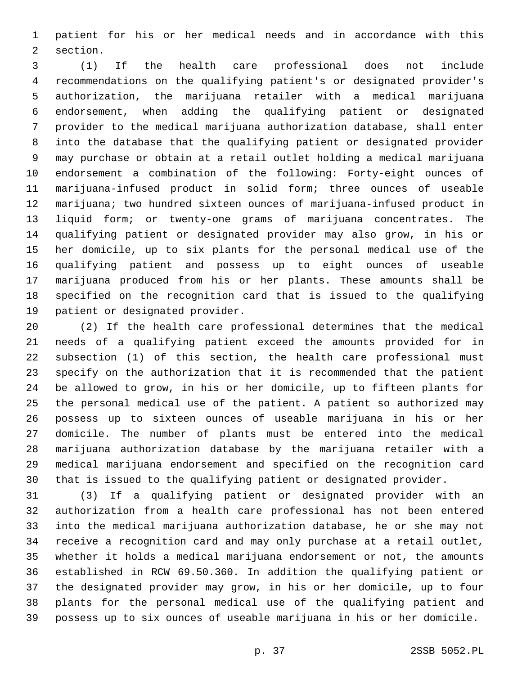patient for his or her medical needs and in accordance with this 2 section.

 (1) If the health care professional does not include recommendations on the qualifying patient's or designated provider's authorization, the marijuana retailer with a medical marijuana endorsement, when adding the qualifying patient or designated provider to the medical marijuana authorization database, shall enter into the database that the qualifying patient or designated provider may purchase or obtain at a retail outlet holding a medical marijuana endorsement a combination of the following: Forty-eight ounces of marijuana-infused product in solid form; three ounces of useable marijuana; two hundred sixteen ounces of marijuana-infused product in liquid form; or twenty-one grams of marijuana concentrates. The qualifying patient or designated provider may also grow, in his or her domicile, up to six plants for the personal medical use of the qualifying patient and possess up to eight ounces of useable marijuana produced from his or her plants. These amounts shall be specified on the recognition card that is issued to the qualifying 19 patient or designated provider.

 (2) If the health care professional determines that the medical needs of a qualifying patient exceed the amounts provided for in subsection (1) of this section, the health care professional must specify on the authorization that it is recommended that the patient be allowed to grow, in his or her domicile, up to fifteen plants for the personal medical use of the patient. A patient so authorized may possess up to sixteen ounces of useable marijuana in his or her domicile. The number of plants must be entered into the medical marijuana authorization database by the marijuana retailer with a medical marijuana endorsement and specified on the recognition card that is issued to the qualifying patient or designated provider.

 (3) If a qualifying patient or designated provider with an authorization from a health care professional has not been entered into the medical marijuana authorization database, he or she may not receive a recognition card and may only purchase at a retail outlet, whether it holds a medical marijuana endorsement or not, the amounts established in RCW 69.50.360. In addition the qualifying patient or the designated provider may grow, in his or her domicile, up to four plants for the personal medical use of the qualifying patient and possess up to six ounces of useable marijuana in his or her domicile.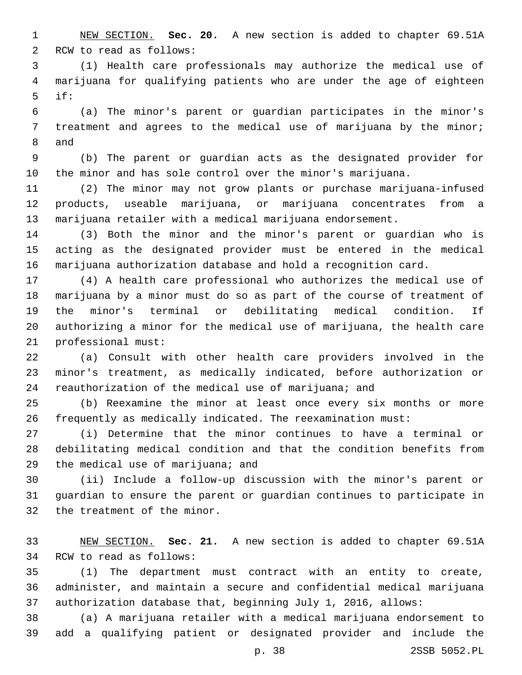NEW SECTION. **Sec. 20.** A new section is added to chapter 69.51A 2 RCW to read as follows:

 (1) Health care professionals may authorize the medical use of marijuana for qualifying patients who are under the age of eighteen if:

 (a) The minor's parent or guardian participates in the minor's treatment and agrees to the medical use of marijuana by the minor; 8 and

 (b) The parent or guardian acts as the designated provider for the minor and has sole control over the minor's marijuana.

 (2) The minor may not grow plants or purchase marijuana-infused products, useable marijuana, or marijuana concentrates from a marijuana retailer with a medical marijuana endorsement.

 (3) Both the minor and the minor's parent or guardian who is acting as the designated provider must be entered in the medical marijuana authorization database and hold a recognition card.

 (4) A health care professional who authorizes the medical use of marijuana by a minor must do so as part of the course of treatment of the minor's terminal or debilitating medical condition. If authorizing a minor for the medical use of marijuana, the health care 21 professional must:

 (a) Consult with other health care providers involved in the minor's treatment, as medically indicated, before authorization or 24 reauthorization of the medical use of marijuana; and

 (b) Reexamine the minor at least once every six months or more frequently as medically indicated. The reexamination must:

 (i) Determine that the minor continues to have a terminal or debilitating medical condition and that the condition benefits from 29 the medical use of marijuana; and

 (ii) Include a follow-up discussion with the minor's parent or guardian to ensure the parent or guardian continues to participate in 32 the treatment of the minor.

 NEW SECTION. **Sec. 21.** A new section is added to chapter 69.51A 34 RCW to read as follows:

 (1) The department must contract with an entity to create, administer, and maintain a secure and confidential medical marijuana authorization database that, beginning July 1, 2016, allows:

 (a) A marijuana retailer with a medical marijuana endorsement to add a qualifying patient or designated provider and include the

p. 38 2SSB 5052.PL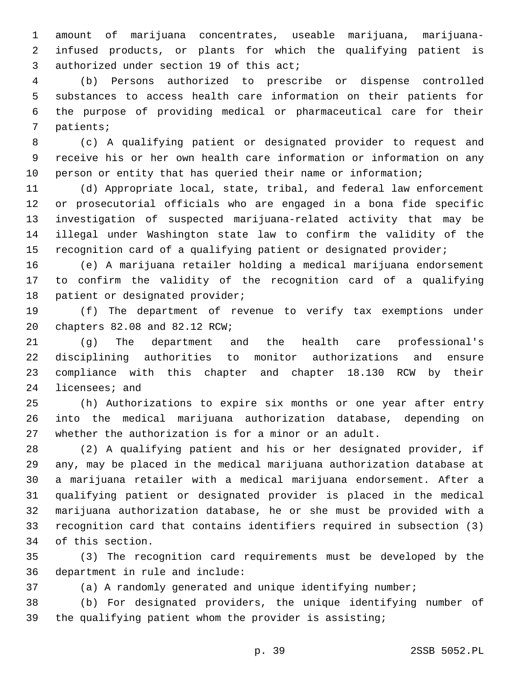amount of marijuana concentrates, useable marijuana, marijuana- infused products, or plants for which the qualifying patient is 3 authorized under section 19 of this act;

 (b) Persons authorized to prescribe or dispense controlled substances to access health care information on their patients for the purpose of providing medical or pharmaceutical care for their 7 patients;

 (c) A qualifying patient or designated provider to request and receive his or her own health care information or information on any person or entity that has queried their name or information;

 (d) Appropriate local, state, tribal, and federal law enforcement or prosecutorial officials who are engaged in a bona fide specific investigation of suspected marijuana-related activity that may be illegal under Washington state law to confirm the validity of the recognition card of a qualifying patient or designated provider;

 (e) A marijuana retailer holding a medical marijuana endorsement to confirm the validity of the recognition card of a qualifying 18 patient or designated provider;

 (f) The department of revenue to verify tax exemptions under 20 chapters 82.08 and 82.12 RCW;

 (g) The department and the health care professional's disciplining authorities to monitor authorizations and ensure compliance with this chapter and chapter 18.130 RCW by their 24 licensees; and

 (h) Authorizations to expire six months or one year after entry into the medical marijuana authorization database, depending on whether the authorization is for a minor or an adult.

 (2) A qualifying patient and his or her designated provider, if any, may be placed in the medical marijuana authorization database at a marijuana retailer with a medical marijuana endorsement. After a qualifying patient or designated provider is placed in the medical marijuana authorization database, he or she must be provided with a recognition card that contains identifiers required in subsection (3) 34 of this section.

 (3) The recognition card requirements must be developed by the 36 department in rule and include:

(a) A randomly generated and unique identifying number;

 (b) For designated providers, the unique identifying number of the qualifying patient whom the provider is assisting;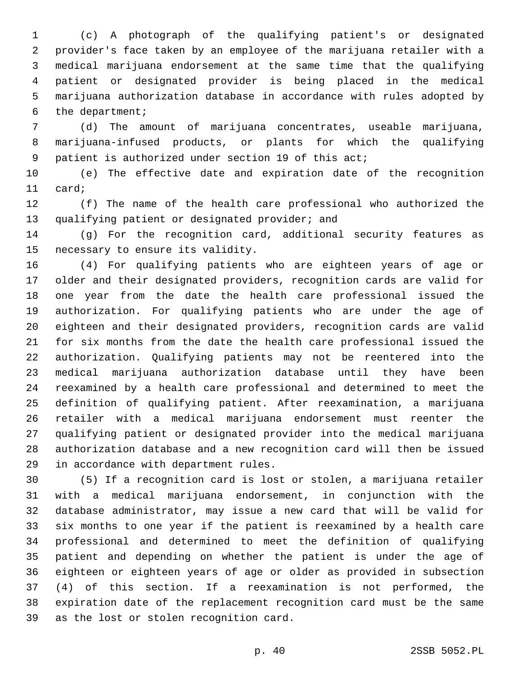(c) A photograph of the qualifying patient's or designated provider's face taken by an employee of the marijuana retailer with a medical marijuana endorsement at the same time that the qualifying patient or designated provider is being placed in the medical marijuana authorization database in accordance with rules adopted by 6 the department;

 (d) The amount of marijuana concentrates, useable marijuana, marijuana-infused products, or plants for which the qualifying patient is authorized under section 19 of this act;

 (e) The effective date and expiration date of the recognition 11 card;

 (f) The name of the health care professional who authorized the 13 qualifying patient or designated provider; and

 (g) For the recognition card, additional security features as 15 necessary to ensure its validity.

 (4) For qualifying patients who are eighteen years of age or older and their designated providers, recognition cards are valid for one year from the date the health care professional issued the authorization. For qualifying patients who are under the age of eighteen and their designated providers, recognition cards are valid for six months from the date the health care professional issued the authorization. Qualifying patients may not be reentered into the medical marijuana authorization database until they have been reexamined by a health care professional and determined to meet the definition of qualifying patient. After reexamination, a marijuana retailer with a medical marijuana endorsement must reenter the qualifying patient or designated provider into the medical marijuana authorization database and a new recognition card will then be issued 29 in accordance with department rules.

 (5) If a recognition card is lost or stolen, a marijuana retailer with a medical marijuana endorsement, in conjunction with the database administrator, may issue a new card that will be valid for six months to one year if the patient is reexamined by a health care professional and determined to meet the definition of qualifying patient and depending on whether the patient is under the age of eighteen or eighteen years of age or older as provided in subsection (4) of this section. If a reexamination is not performed, the expiration date of the replacement recognition card must be the same 39 as the lost or stolen recognition card.

p. 40 2SSB 5052.PL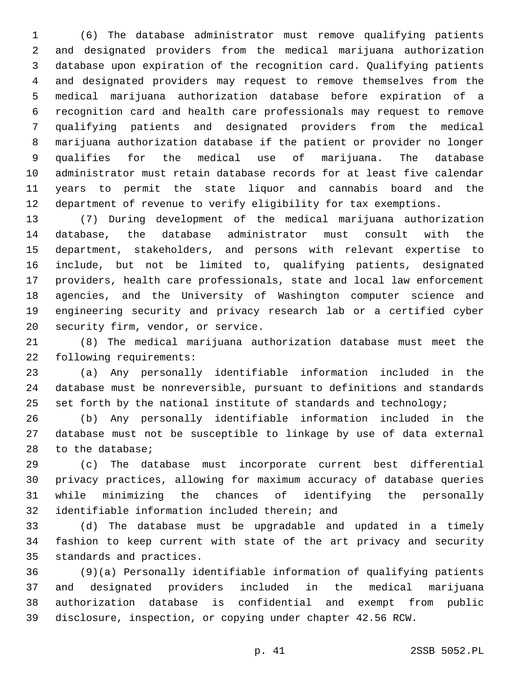(6) The database administrator must remove qualifying patients and designated providers from the medical marijuana authorization database upon expiration of the recognition card. Qualifying patients and designated providers may request to remove themselves from the medical marijuana authorization database before expiration of a recognition card and health care professionals may request to remove qualifying patients and designated providers from the medical marijuana authorization database if the patient or provider no longer qualifies for the medical use of marijuana. The database administrator must retain database records for at least five calendar years to permit the state liquor and cannabis board and the department of revenue to verify eligibility for tax exemptions.

 (7) During development of the medical marijuana authorization database, the database administrator must consult with the department, stakeholders, and persons with relevant expertise to include, but not be limited to, qualifying patients, designated providers, health care professionals, state and local law enforcement agencies, and the University of Washington computer science and engineering security and privacy research lab or a certified cyber 20 security firm, vendor, or service.

 (8) The medical marijuana authorization database must meet the 22 following requirements:

 (a) Any personally identifiable information included in the database must be nonreversible, pursuant to definitions and standards 25 set forth by the national institute of standards and technology;

 (b) Any personally identifiable information included in the database must not be susceptible to linkage by use of data external 28 to the database;

 (c) The database must incorporate current best differential privacy practices, allowing for maximum accuracy of database queries while minimizing the chances of identifying the personally 32 identifiable information included therein; and

 (d) The database must be upgradable and updated in a timely fashion to keep current with state of the art privacy and security 35 standards and practices.

 (9)(a) Personally identifiable information of qualifying patients and designated providers included in the medical marijuana authorization database is confidential and exempt from public disclosure, inspection, or copying under chapter 42.56 RCW.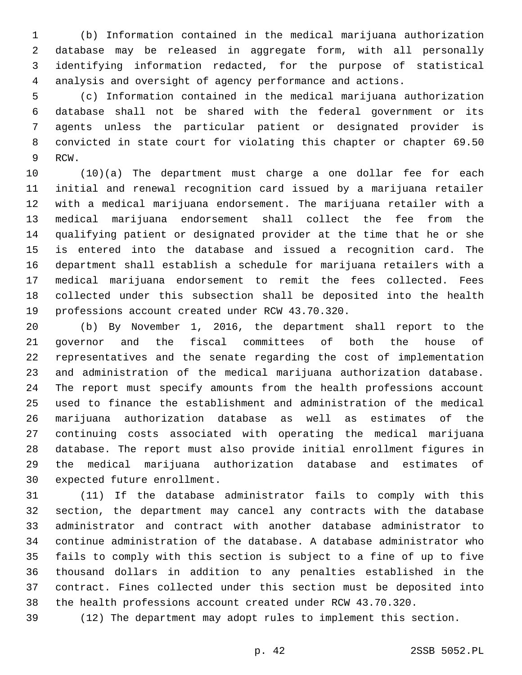(b) Information contained in the medical marijuana authorization database may be released in aggregate form, with all personally identifying information redacted, for the purpose of statistical analysis and oversight of agency performance and actions.

 (c) Information contained in the medical marijuana authorization database shall not be shared with the federal government or its agents unless the particular patient or designated provider is convicted in state court for violating this chapter or chapter 69.50 9 RCW.

 (10)(a) The department must charge a one dollar fee for each initial and renewal recognition card issued by a marijuana retailer with a medical marijuana endorsement. The marijuana retailer with a medical marijuana endorsement shall collect the fee from the qualifying patient or designated provider at the time that he or she is entered into the database and issued a recognition card. The department shall establish a schedule for marijuana retailers with a medical marijuana endorsement to remit the fees collected. Fees collected under this subsection shall be deposited into the health 19 professions account created under RCW 43.70.320.

 (b) By November 1, 2016, the department shall report to the governor and the fiscal committees of both the house of representatives and the senate regarding the cost of implementation and administration of the medical marijuana authorization database. The report must specify amounts from the health professions account used to finance the establishment and administration of the medical marijuana authorization database as well as estimates of the continuing costs associated with operating the medical marijuana database. The report must also provide initial enrollment figures in the medical marijuana authorization database and estimates of 30 expected future enrollment.

 (11) If the database administrator fails to comply with this section, the department may cancel any contracts with the database administrator and contract with another database administrator to continue administration of the database. A database administrator who fails to comply with this section is subject to a fine of up to five thousand dollars in addition to any penalties established in the contract. Fines collected under this section must be deposited into the health professions account created under RCW 43.70.320.

(12) The department may adopt rules to implement this section.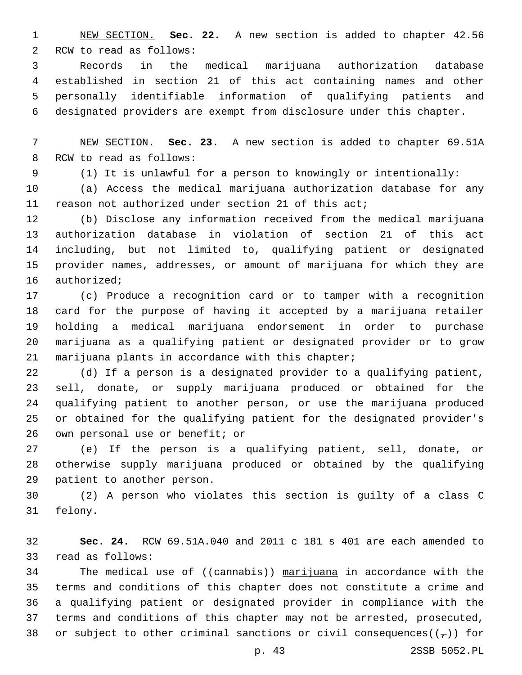NEW SECTION. **Sec. 22.** A new section is added to chapter 42.56 2 RCW to read as follows:

 Records in the medical marijuana authorization database established in section 21 of this act containing names and other personally identifiable information of qualifying patients and designated providers are exempt from disclosure under this chapter.

 NEW SECTION. **Sec. 23.** A new section is added to chapter 69.51A 8 RCW to read as follows:

(1) It is unlawful for a person to knowingly or intentionally:

 (a) Access the medical marijuana authorization database for any reason not authorized under section 21 of this act;

 (b) Disclose any information received from the medical marijuana authorization database in violation of section 21 of this act including, but not limited to, qualifying patient or designated provider names, addresses, or amount of marijuana for which they are 16 authorized;

 (c) Produce a recognition card or to tamper with a recognition card for the purpose of having it accepted by a marijuana retailer holding a medical marijuana endorsement in order to purchase marijuana as a qualifying patient or designated provider or to grow 21 marijuana plants in accordance with this chapter;

 (d) If a person is a designated provider to a qualifying patient, sell, donate, or supply marijuana produced or obtained for the qualifying patient to another person, or use the marijuana produced or obtained for the qualifying patient for the designated provider's 26 own personal use or benefit; or

 (e) If the person is a qualifying patient, sell, donate, or otherwise supply marijuana produced or obtained by the qualifying 29 patient to another person.

 (2) A person who violates this section is guilty of a class C 31 felony.

 **Sec. 24.** RCW 69.51A.040 and 2011 c 181 s 401 are each amended to 33 read as follows:

34 The medical use of ((cannabis)) marijuana in accordance with the terms and conditions of this chapter does not constitute a crime and a qualifying patient or designated provider in compliance with the terms and conditions of this chapter may not be arrested, prosecuted, 38 or subject to other criminal sanctions or civil consequences( $(\tau)$ ) for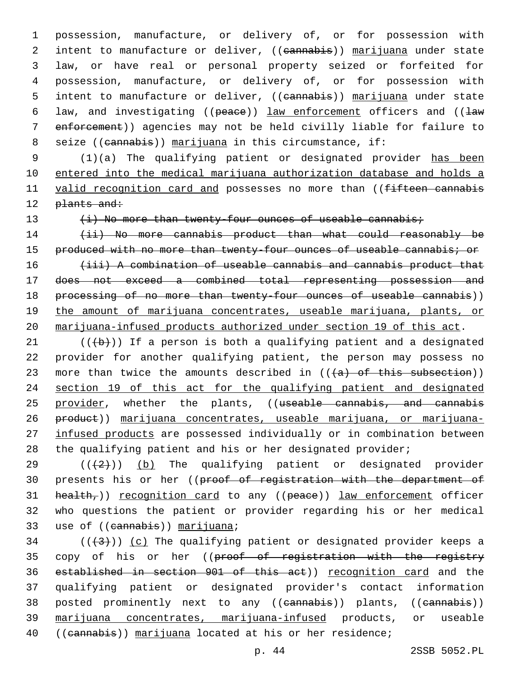1 possession, manufacture, or delivery of, or for possession with 2 intent to manufacture or deliver, ((cannabis)) marijuana under state 3 law, or have real or personal property seized or forfeited for 4 possession, manufacture, or delivery of, or for possession with 5 intent to manufacture or deliver, ((cannabis)) marijuana under state 6 law, and investigating ((peace)) law enforcement officers and (( $\frac{1}{2}$ 7 enforcement)) agencies may not be held civilly liable for failure to 8 seize ((cannabis)) marijuana in this circumstance, if:

9 (1)(a) The qualifying patient or designated provider has been 10 entered into the medical marijuana authorization database and holds a 11 valid recognition card and possesses no more than ((fifteen cannabis 12 plants and:

13 (i) No more than twenty-four ounces of useable cannabis;

14 (ii) No more cannabis product than what could reasonably be produced with no more than twenty-four ounces of useable cannabis; or (iii) A combination of useable cannabis and cannabis product that does not exceed a combined total representing possession and 18 processing of no more than twenty-four ounces of useable cannabis)) the amount of marijuana concentrates, useable marijuana, plants, or marijuana-infused products authorized under section 19 of this act.

21  $((+b))$  If a person is both a qualifying patient and a designated 22 provider for another qualifying patient, the person may possess no 23 more than twice the amounts described in  $((+a)$  of this subsection)) 24 section 19 of this act for the qualifying patient and designated 25 provider, whether the plants, ((useable cannabis, and cannabis 26 product)) marijuana concentrates, useable marijuana, or marijuana-27 infused products are possessed individually or in combination between 28 the qualifying patient and his or her designated provider;

29  $((+2+))$  (b) The qualifying patient or designated provider 30 presents his or her ((proof of registration with the department of 31 health,)) recognition card to any ((peace)) law enforcement officer 32 who questions the patient or provider regarding his or her medical 33 use of ((cannabis)) marijuana;

 $(1+3)$ ) (c) The qualifying patient or designated provider keeps a 35 copy of his or her ((proof of registration with the registry 36 established in section 901 of this act)) recognition card and the 37 qualifying patient or designated provider's contact information 38 posted prominently next to any ((cannabis)) plants, ((cannabis)) 39 marijuana concentrates, marijuana-infused products, or useable 40 ((cannabis)) marijuana located at his or her residence;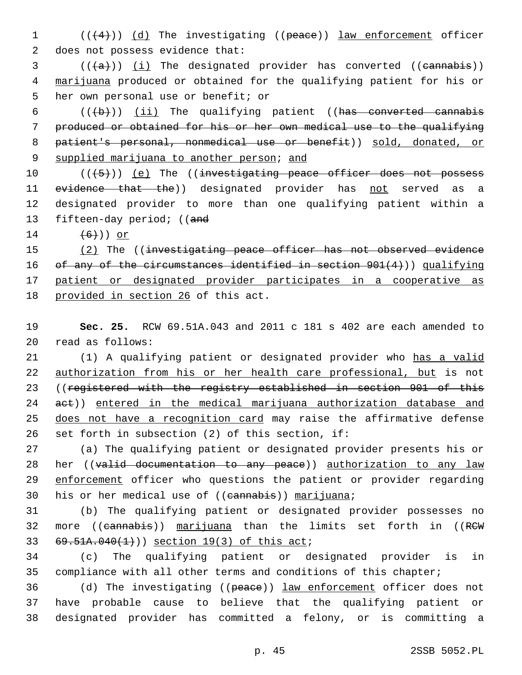1 (( $(4)$ )) (d) The investigating ((peace)) law enforcement officer 2 does not possess evidence that:

 $3$  (( $(a)$ )) (i) The designated provider has converted ((cannabis)) 4 marijuana produced or obtained for the qualifying patient for his or 5 her own personal use or benefit; or

 $((+b))$   $(ii)$  The qualifying patient ((has converted cannabis produced or obtained for his or her own medical use to the qualifying patient's personal, nonmedical use or benefit)) sold, donated, or 9 supplied marijuana to another person; and

10 (((+5))) (e) The ((investigating peace officer does not possess 11 evidence that the)) designated provider has not served as a 12 designated provider to more than one qualifying patient within a 13 fifteen-day period; ((and

14  $(6)$ )) or

15 (2) The ((investigating peace officer has not observed evidence 16 of any of the circumstances identified in section 901(4))) qualifying 17 patient or designated provider participates in a cooperative as 18 provided in section 26 of this act.

19 **Sec. 25.** RCW 69.51A.043 and 2011 c 181 s 402 are each amended to 20 read as follows:

21 (1) A qualifying patient or designated provider who has a valid 22 authorization from his or her health care professional, but is not 23 ((registered with the registry established in section 901 of this 24 aet)) entered in the medical marijuana authorization database and 25 does not have a recognition card may raise the affirmative defense 26 set forth in subsection (2) of this section, if:

27 (a) The qualifying patient or designated provider presents his or 28 her ((valid documentation to any peace)) authorization to any law 29 enforcement officer who questions the patient or provider regarding 30 his or her medical use of  $((\text{cannabis}))$  marijuana;

31 (b) The qualifying patient or designated provider possesses no 32 more ((cannabis)) marijuana than the limits set forth in ((RCW 69.51A.040(1)) section 19(3) of this act;

34 (c) The qualifying patient or designated provider is in 35 compliance with all other terms and conditions of this chapter;

36 (d) The investigating ((peace)) law enforcement officer does not 37 have probable cause to believe that the qualifying patient or 38 designated provider has committed a felony, or is committing a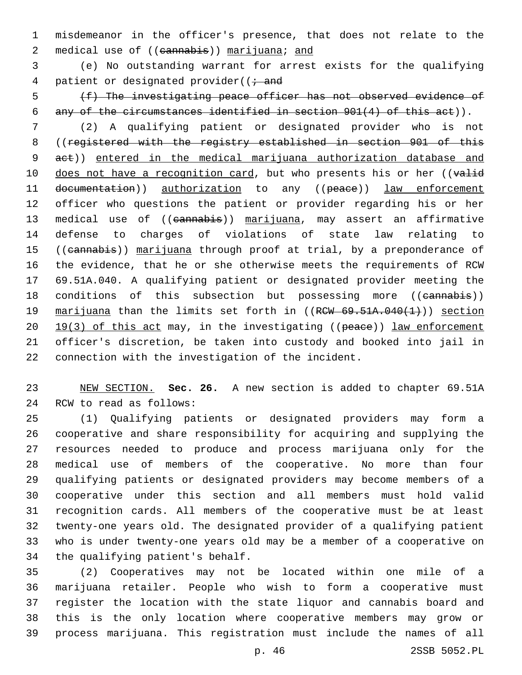misdemeanor in the officer's presence, that does not relate to the 2 medical use of ((cannabis)) marijuana; and

 (e) No outstanding warrant for arrest exists for the qualifying 4 patient or designated provider( $(i - and)$ 

 (f) The investigating peace officer has not observed evidence of any of the circumstances identified in section 901(4) of this act)).

 (2) A qualifying patient or designated provider who is not ((registered with the registry established in section 901 of this 9 act)) entered in the medical marijuana authorization database and 10 does not have a recognition card, but who presents his or her ((valid 11 documentation)) authorization to any ((peace)) law enforcement officer who questions the patient or provider regarding his or her 13 medical use of ((cannabis)) marijuana, may assert an affirmative defense to charges of violations of state law relating to 15 ((cannabis)) marijuana through proof at trial, by a preponderance of the evidence, that he or she otherwise meets the requirements of RCW 69.51A.040. A qualifying patient or designated provider meeting the 18 conditions of this subsection but possessing more ((cannabis)) 19 marijuana than the limits set forth in ((RCW 69.51A.040(1))) section 20  $19(3)$  of this act may, in the investigating ((peace)) law enforcement officer's discretion, be taken into custody and booked into jail in connection with the investigation of the incident.

 NEW SECTION. **Sec. 26.** A new section is added to chapter 69.51A 24 RCW to read as follows:

 (1) Qualifying patients or designated providers may form a cooperative and share responsibility for acquiring and supplying the resources needed to produce and process marijuana only for the medical use of members of the cooperative. No more than four qualifying patients or designated providers may become members of a cooperative under this section and all members must hold valid recognition cards. All members of the cooperative must be at least twenty-one years old. The designated provider of a qualifying patient who is under twenty-one years old may be a member of a cooperative on 34 the qualifying patient's behalf.

 (2) Cooperatives may not be located within one mile of a marijuana retailer. People who wish to form a cooperative must register the location with the state liquor and cannabis board and this is the only location where cooperative members may grow or process marijuana. This registration must include the names of all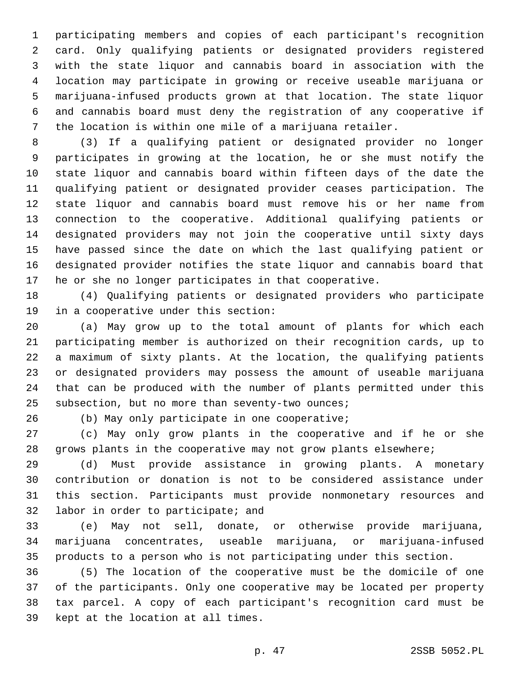participating members and copies of each participant's recognition card. Only qualifying patients or designated providers registered with the state liquor and cannabis board in association with the location may participate in growing or receive useable marijuana or marijuana-infused products grown at that location. The state liquor and cannabis board must deny the registration of any cooperative if the location is within one mile of a marijuana retailer.

 (3) If a qualifying patient or designated provider no longer participates in growing at the location, he or she must notify the state liquor and cannabis board within fifteen days of the date the qualifying patient or designated provider ceases participation. The state liquor and cannabis board must remove his or her name from connection to the cooperative. Additional qualifying patients or designated providers may not join the cooperative until sixty days have passed since the date on which the last qualifying patient or designated provider notifies the state liquor and cannabis board that he or she no longer participates in that cooperative.

 (4) Qualifying patients or designated providers who participate 19 in a cooperative under this section:

 (a) May grow up to the total amount of plants for which each participating member is authorized on their recognition cards, up to a maximum of sixty plants. At the location, the qualifying patients or designated providers may possess the amount of useable marijuana that can be produced with the number of plants permitted under this 25 subsection, but no more than seventy-two ounces;

26 (b) May only participate in one cooperative;

 (c) May only grow plants in the cooperative and if he or she grows plants in the cooperative may not grow plants elsewhere;

 (d) Must provide assistance in growing plants. A monetary contribution or donation is not to be considered assistance under this section. Participants must provide nonmonetary resources and 32 labor in order to participate; and

 (e) May not sell, donate, or otherwise provide marijuana, marijuana concentrates, useable marijuana, or marijuana-infused products to a person who is not participating under this section.

 (5) The location of the cooperative must be the domicile of one of the participants. Only one cooperative may be located per property tax parcel. A copy of each participant's recognition card must be 39 kept at the location at all times.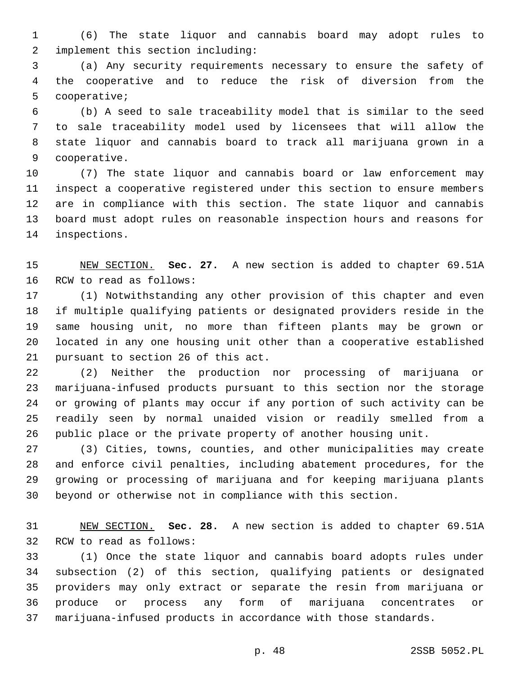(6) The state liquor and cannabis board may adopt rules to implement this section including:2

 (a) Any security requirements necessary to ensure the safety of the cooperative and to reduce the risk of diversion from the 5 cooperative;

 (b) A seed to sale traceability model that is similar to the seed to sale traceability model used by licensees that will allow the state liquor and cannabis board to track all marijuana grown in a 9 cooperative.

 (7) The state liquor and cannabis board or law enforcement may inspect a cooperative registered under this section to ensure members are in compliance with this section. The state liquor and cannabis board must adopt rules on reasonable inspection hours and reasons for 14 inspections.

 NEW SECTION. **Sec. 27.** A new section is added to chapter 69.51A 16 RCW to read as follows:

 (1) Notwithstanding any other provision of this chapter and even if multiple qualifying patients or designated providers reside in the same housing unit, no more than fifteen plants may be grown or located in any one housing unit other than a cooperative established 21 pursuant to section 26 of this act.

 (2) Neither the production nor processing of marijuana or marijuana-infused products pursuant to this section nor the storage or growing of plants may occur if any portion of such activity can be readily seen by normal unaided vision or readily smelled from a public place or the private property of another housing unit.

 (3) Cities, towns, counties, and other municipalities may create and enforce civil penalties, including abatement procedures, for the growing or processing of marijuana and for keeping marijuana plants beyond or otherwise not in compliance with this section.

 NEW SECTION. **Sec. 28.** A new section is added to chapter 69.51A 32 RCW to read as follows:

 (1) Once the state liquor and cannabis board adopts rules under subsection (2) of this section, qualifying patients or designated providers may only extract or separate the resin from marijuana or produce or process any form of marijuana concentrates or marijuana-infused products in accordance with those standards.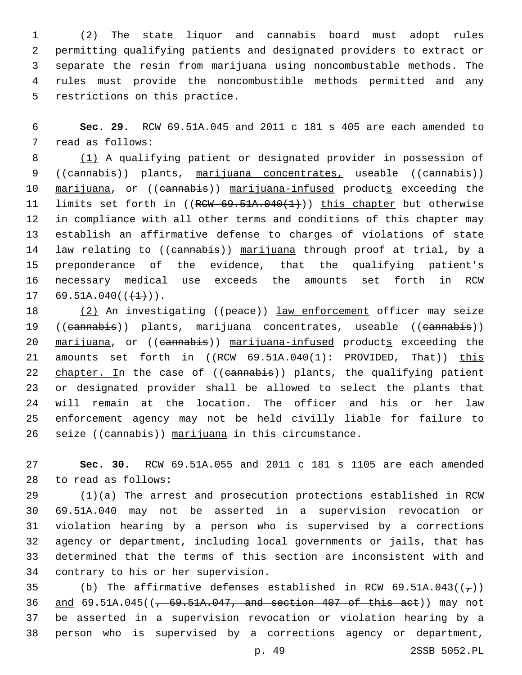(2) The state liquor and cannabis board must adopt rules permitting qualifying patients and designated providers to extract or separate the resin from marijuana using noncombustable methods. The rules must provide the noncombustible methods permitted and any 5 restrictions on this practice.

6 **Sec. 29.** RCW 69.51A.045 and 2011 c 181 s 405 are each amended to 7 read as follows:

8 (1) A qualifying patient or designated provider in possession of 9 ((cannabis)) plants, marijuana concentrates, useable ((cannabis)) 10 marijuana, or ((eannabis)) marijuana-infused products exceeding the 11 limits set forth in ((RCW 69.51A.040(1))) this chapter but otherwise 12 in compliance with all other terms and conditions of this chapter may 13 establish an affirmative defense to charges of violations of state 14 law relating to ((cannabis)) marijuana through proof at trial, by a 15 preponderance of the evidence, that the qualifying patient's 16 necessary medical use exceeds the amounts set forth in RCW 17 69.51A.040( $(\frac{1}{1})$ ).

18 (2) An investigating ((peace)) law enforcement officer may seize 19 ((cannabis)) plants, marijuana concentrates, useable ((cannabis)) 20 marijuana, or ((eannabis)) marijuana-infused products exceeding the 21 amounts set forth in ((RCW 69.51A.040(1): PROVIDED, That)) this 22 chapter. In the case of ((cannabis)) plants, the qualifying patient 23 or designated provider shall be allowed to select the plants that 24 will remain at the location. The officer and his or her law 25 enforcement agency may not be held civilly liable for failure to 26 seize ((cannabis)) marijuana in this circumstance.

27 **Sec. 30.** RCW 69.51A.055 and 2011 c 181 s 1105 are each amended 28 to read as follows:

 (1)(a) The arrest and prosecution protections established in RCW 69.51A.040 may not be asserted in a supervision revocation or violation hearing by a person who is supervised by a corrections agency or department, including local governments or jails, that has determined that the terms of this section are inconsistent with and 34 contrary to his or her supervision.

35 (b) The affirmative defenses established in RCW 69.51A.043( $(\tau)$ )  $\frac{and}{69.51A.045}$  ( $\frac{69.51A.047}{,}$  and section 407 of this act)) may not be asserted in a supervision revocation or violation hearing by a person who is supervised by a corrections agency or department,

p. 49 2SSB 5052.PL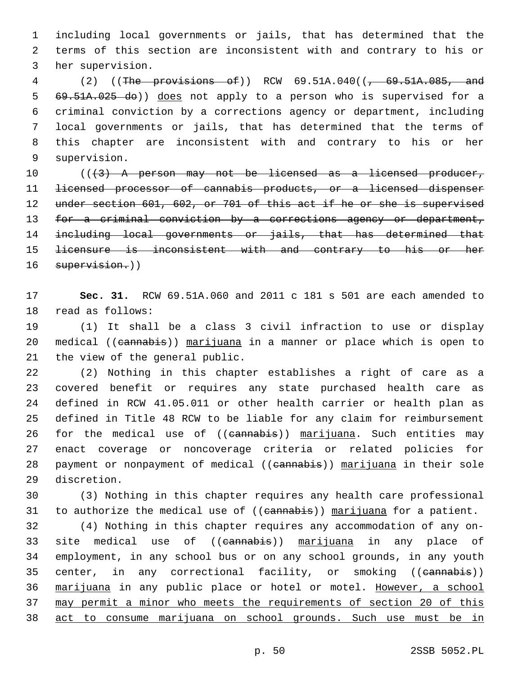1 including local governments or jails, that has determined that the 2 terms of this section are inconsistent with and contrary to his or 3 her supervision.

4 (2) ((The provisions of)) RCW 69.51A.040((, 69.51A.085, and 69.51A.025 do)) does not apply to a person who is supervised for a criminal conviction by a corrections agency or department, including local governments or jails, that has determined that the terms of this chapter are inconsistent with and contrary to his or her 9 supervision.

10 (((3) A person may not be licensed as a licensed producer, 11 licensed processor of cannabis products, or a licensed dispenser 12 under section 601, 602, or 701 of this act if he or she is supervised 13 for a criminal conviction by a corrections agency or department, 14 including local governments or jails, that has determined that 15 <del>licensure is inconsistent with and contrary to his or her</del> 16 supervision.))

17 **Sec. 31.** RCW 69.51A.060 and 2011 c 181 s 501 are each amended to 18 read as follows:

19 (1) It shall be a class 3 civil infraction to use or display 20 medical ((cannabis)) marijuana in a manner or place which is open to 21 the view of the general public.

 (2) Nothing in this chapter establishes a right of care as a covered benefit or requires any state purchased health care as defined in RCW 41.05.011 or other health carrier or health plan as defined in Title 48 RCW to be liable for any claim for reimbursement 26 for the medical use of ((eannabis)) marijuana. Such entities may enact coverage or noncoverage criteria or related policies for 28 payment or nonpayment of medical ((cannabis)) marijuana in their sole 29 discretion.

30 (3) Nothing in this chapter requires any health care professional 31 to authorize the medical use of ((eannabis)) marijuana for a patient.

 (4) Nothing in this chapter requires any accommodation of any on-33 site medical use of ((eannabis)) marijuana in any place of employment, in any school bus or on any school grounds, in any youth 35 center, in any correctional facility, or smoking ((cannabis)) marijuana in any public place or hotel or motel. However, a school may permit a minor who meets the requirements of section 20 of this act to consume marijuana on school grounds. Such use must be in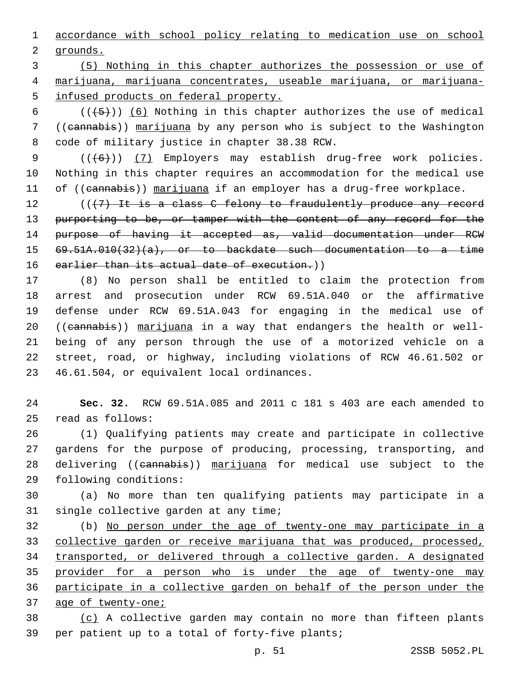1 accordance with school policy relating to medication use on school 2 grounds.

3 (5) Nothing in this chapter authorizes the possession or use of 4 marijuana, marijuana concentrates, useable marijuana, or marijuana-5 infused products on federal property.

6  $((+5))$  (6) Nothing in this chapter authorizes the use of medical 7 ((cannabis)) marijuana by any person who is subject to the Washington 8 code of military justice in chapter 38.38 RCW.

9 (((6)) (7) Employers may establish drug-free work policies. 10 Nothing in this chapter requires an accommodation for the medical use 11 of ((cannabis)) marijuana if an employer has a drug-free workplace.

12 (((7) It is a class C felony to fraudulently produce any record 13 purporting to be, or tamper with the content of any record for the 14 purpose of having it accepted as, valid documentation under RCW 15 69.51A.010(32)(a), or to backdate such documentation to a time 16 earlier than its actual date of execution.))

 (8) No person shall be entitled to claim the protection from arrest and prosecution under RCW 69.51A.040 or the affirmative defense under RCW 69.51A.043 for engaging in the medical use of 20 ((cannabis)) marijuana in a way that endangers the health or well- being of any person through the use of a motorized vehicle on a street, road, or highway, including violations of RCW 46.61.502 or 23 46.61.504, or equivalent local ordinances.

24 **Sec. 32.** RCW 69.51A.085 and 2011 c 181 s 403 are each amended to read as follows:25

26 (1) Qualifying patients may create and participate in collective 27 gardens for the purpose of producing, processing, transporting, and 28 delivering ((cannabis)) marijuana for medical use subject to the 29 following conditions:

30 (a) No more than ten qualifying patients may participate in a 31 single collective garden at any time;

 (b) No person under the age of twenty-one may participate in a collective garden or receive marijuana that was produced, processed, transported, or delivered through a collective garden. A designated provider for a person who is under the age of twenty-one may participate in a collective garden on behalf of the person under the age of twenty-one;

38 (c) A collective garden may contain no more than fifteen plants 39 per patient up to a total of forty-five plants;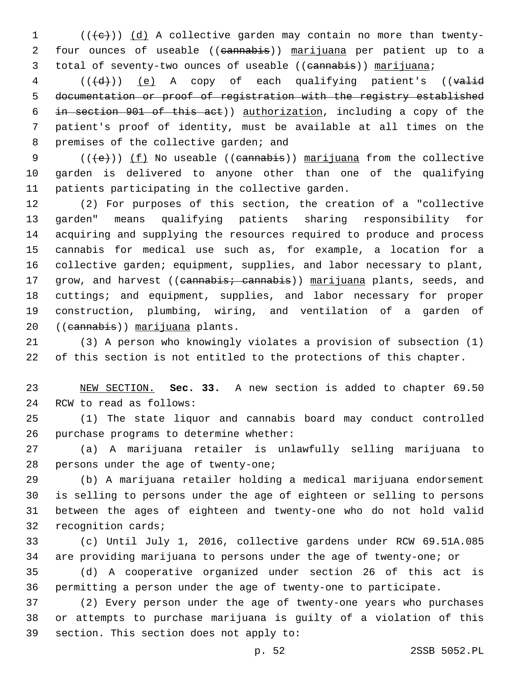(( $\left(\frac{1}{e}\right)$ ) (d) A collective garden may contain no more than twenty- four ounces of useable ((cannabis)) marijuana per patient up to a 3 total of seventy-two ounces of useable ((cannabis)) marijuana;

4 (((d))) (e) A copy of each qualifying patient's ((valid documentation or proof of registration with the registry established in section 901 of this act)) authorization, including a copy of the patient's proof of identity, must be available at all times on the 8 premises of the collective garden; and

9 ( $(\overline{\text{(e)}})$  ( $\overline{\text{(f)}}$  No useable ((cannabis)) marijuana from the collective garden is delivered to anyone other than one of the qualifying 11 patients participating in the collective garden.

 (2) For purposes of this section, the creation of a "collective garden" means qualifying patients sharing responsibility for acquiring and supplying the resources required to produce and process cannabis for medical use such as, for example, a location for a collective garden; equipment, supplies, and labor necessary to plant, 17 grow, and harvest ((cannabis; cannabis)) marijuana plants, seeds, and cuttings; and equipment, supplies, and labor necessary for proper construction, plumbing, wiring, and ventilation of a garden of 20 ((cannabis)) marijuana plants.

 (3) A person who knowingly violates a provision of subsection (1) of this section is not entitled to the protections of this chapter.

 NEW SECTION. **Sec. 33.** A new section is added to chapter 69.50 24 RCW to read as follows:

 (1) The state liquor and cannabis board may conduct controlled 26 purchase programs to determine whether:

 (a) A marijuana retailer is unlawfully selling marijuana to 28 persons under the age of twenty-one;

 (b) A marijuana retailer holding a medical marijuana endorsement is selling to persons under the age of eighteen or selling to persons between the ages of eighteen and twenty-one who do not hold valid 32 recognition cards;

 (c) Until July 1, 2016, collective gardens under RCW 69.51A.085 are providing marijuana to persons under the age of twenty-one; or

 (d) A cooperative organized under section 26 of this act is permitting a person under the age of twenty-one to participate.

 (2) Every person under the age of twenty-one years who purchases or attempts to purchase marijuana is guilty of a violation of this 39 section. This section does not apply to: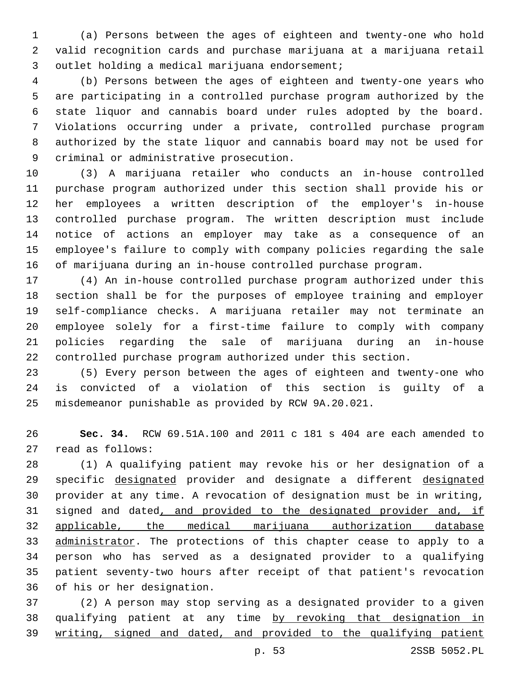(a) Persons between the ages of eighteen and twenty-one who hold valid recognition cards and purchase marijuana at a marijuana retail 3 outlet holding a medical marijuana endorsement;

 (b) Persons between the ages of eighteen and twenty-one years who are participating in a controlled purchase program authorized by the state liquor and cannabis board under rules adopted by the board. Violations occurring under a private, controlled purchase program authorized by the state liquor and cannabis board may not be used for 9 criminal or administrative prosecution.

 (3) A marijuana retailer who conducts an in-house controlled purchase program authorized under this section shall provide his or her employees a written description of the employer's in-house controlled purchase program. The written description must include notice of actions an employer may take as a consequence of an employee's failure to comply with company policies regarding the sale of marijuana during an in-house controlled purchase program.

 (4) An in-house controlled purchase program authorized under this section shall be for the purposes of employee training and employer self-compliance checks. A marijuana retailer may not terminate an employee solely for a first-time failure to comply with company policies regarding the sale of marijuana during an in-house controlled purchase program authorized under this section.

 (5) Every person between the ages of eighteen and twenty-one who is convicted of a violation of this section is guilty of a misdemeanor punishable as provided by RCW 9A.20.021.

 **Sec. 34.** RCW 69.51A.100 and 2011 c 181 s 404 are each amended to 27 read as follows:

 (1) A qualifying patient may revoke his or her designation of a 29 specific designated provider and designate a different designated provider at any time. A revocation of designation must be in writing, 31 signed and dated, and provided to the designated provider and, if applicable, the medical marijuana authorization database 33 administrator. The protections of this chapter cease to apply to a person who has served as a designated provider to a qualifying patient seventy-two hours after receipt of that patient's revocation 36 of his or her designation.

 (2) A person may stop serving as a designated provider to a given qualifying patient at any time by revoking that designation in writing, signed and dated, and provided to the qualifying patient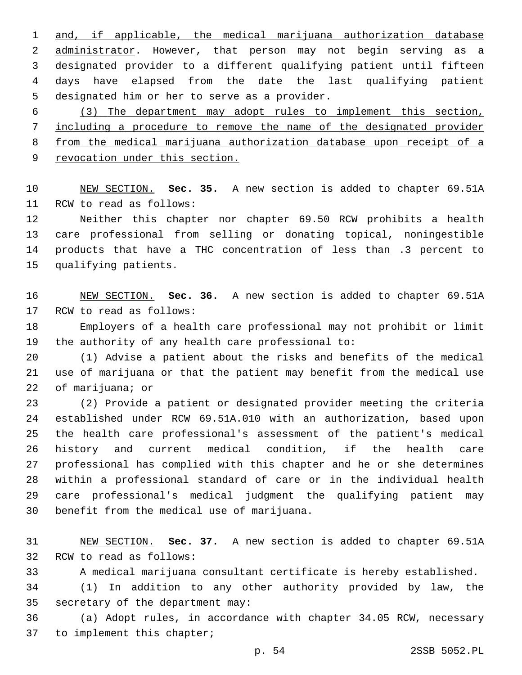and, if applicable, the medical marijuana authorization database 2 administrator. However, that person may not begin serving as a designated provider to a different qualifying patient until fifteen days have elapsed from the date the last qualifying patient 5 designated him or her to serve as a provider.

 (3) The department may adopt rules to implement this section, including a procedure to remove the name of the designated provider from the medical marijuana authorization database upon receipt of a revocation under this section.

 NEW SECTION. **Sec. 35.** A new section is added to chapter 69.51A 11 RCW to read as follows:

 Neither this chapter nor chapter 69.50 RCW prohibits a health care professional from selling or donating topical, noningestible products that have a THC concentration of less than .3 percent to 15 qualifying patients.

 NEW SECTION. **Sec. 36.** A new section is added to chapter 69.51A 17 RCW to read as follows:

 Employers of a health care professional may not prohibit or limit 19 the authority of any health care professional to:

 (1) Advise a patient about the risks and benefits of the medical use of marijuana or that the patient may benefit from the medical use 22 of marijuana; or

 (2) Provide a patient or designated provider meeting the criteria established under RCW 69.51A.010 with an authorization, based upon the health care professional's assessment of the patient's medical history and current medical condition, if the health care professional has complied with this chapter and he or she determines within a professional standard of care or in the individual health care professional's medical judgment the qualifying patient may 30 benefit from the medical use of marijuana.

 NEW SECTION. **Sec. 37.** A new section is added to chapter 69.51A 32 RCW to read as follows:

A medical marijuana consultant certificate is hereby established.

 (1) In addition to any other authority provided by law, the 35 secretary of the department may:

 (a) Adopt rules, in accordance with chapter 34.05 RCW, necessary 37 to implement this chapter;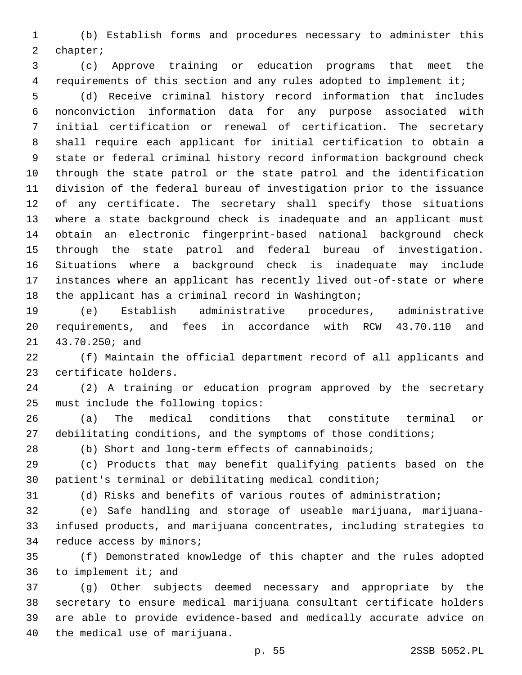(b) Establish forms and procedures necessary to administer this 2 chapter;

 (c) Approve training or education programs that meet the 4 requirements of this section and any rules adopted to implement it;

 (d) Receive criminal history record information that includes nonconviction information data for any purpose associated with initial certification or renewal of certification. The secretary shall require each applicant for initial certification to obtain a state or federal criminal history record information background check through the state patrol or the state patrol and the identification division of the federal bureau of investigation prior to the issuance of any certificate. The secretary shall specify those situations where a state background check is inadequate and an applicant must obtain an electronic fingerprint-based national background check through the state patrol and federal bureau of investigation. Situations where a background check is inadequate may include instances where an applicant has recently lived out-of-state or where the applicant has a criminal record in Washington;

 (e) Establish administrative procedures, administrative requirements, and fees in accordance with RCW 43.70.110 and 21 43.70.250; and

 (f) Maintain the official department record of all applicants and 23 certificate holders.

 (2) A training or education program approved by the secretary 25 must include the following topics:

 (a) The medical conditions that constitute terminal or 27 debilitating conditions, and the symptoms of those conditions;

(b) Short and long-term effects of cannabinoids;

 (c) Products that may benefit qualifying patients based on the patient's terminal or debilitating medical condition;

(d) Risks and benefits of various routes of administration;

 (e) Safe handling and storage of useable marijuana, marijuana- infused products, and marijuana concentrates, including strategies to 34 reduce access by minors;

 (f) Demonstrated knowledge of this chapter and the rules adopted to implement it; and

 (g) Other subjects deemed necessary and appropriate by the secretary to ensure medical marijuana consultant certificate holders are able to provide evidence-based and medically accurate advice on 40 the medical use of marijuana.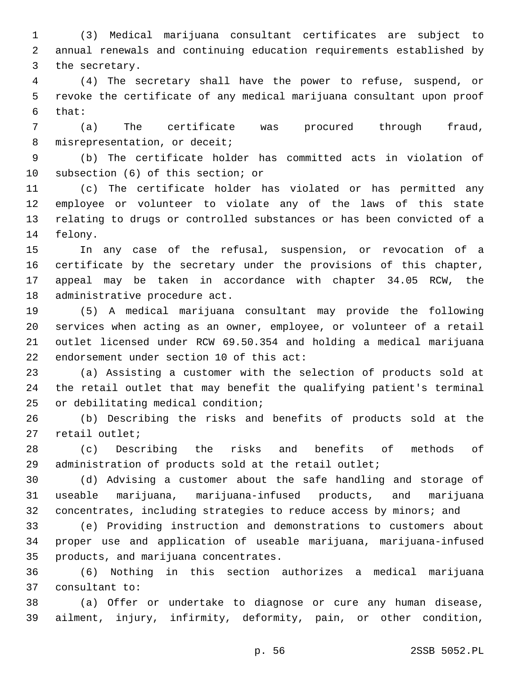(3) Medical marijuana consultant certificates are subject to annual renewals and continuing education requirements established by 3 the secretary.

 (4) The secretary shall have the power to refuse, suspend, or revoke the certificate of any medical marijuana consultant upon proof that:

 (a) The certificate was procured through fraud, 8 misrepresentation, or deceit;

 (b) The certificate holder has committed acts in violation of 10 subsection (6) of this section; or

 (c) The certificate holder has violated or has permitted any employee or volunteer to violate any of the laws of this state relating to drugs or controlled substances or has been convicted of a 14 felony.

 In any case of the refusal, suspension, or revocation of a certificate by the secretary under the provisions of this chapter, appeal may be taken in accordance with chapter 34.05 RCW, the 18 administrative procedure act.

 (5) A medical marijuana consultant may provide the following services when acting as an owner, employee, or volunteer of a retail outlet licensed under RCW 69.50.354 and holding a medical marijuana 22 endorsement under section of this act:

 (a) Assisting a customer with the selection of products sold at the retail outlet that may benefit the qualifying patient's terminal 25 or debilitating medical condition;

 (b) Describing the risks and benefits of products sold at the 27 retail outlet;

 (c) Describing the risks and benefits of methods of administration of products sold at the retail outlet;

 (d) Advising a customer about the safe handling and storage of useable marijuana, marijuana-infused products, and marijuana 32 concentrates, including strategies to reduce access by minors; and

 (e) Providing instruction and demonstrations to customers about proper use and application of useable marijuana, marijuana-infused 35 products, and marijuana concentrates.

 (6) Nothing in this section authorizes a medical marijuana 37 consultant to:

 (a) Offer or undertake to diagnose or cure any human disease, ailment, injury, infirmity, deformity, pain, or other condition,

p. 56 2SSB 5052.PL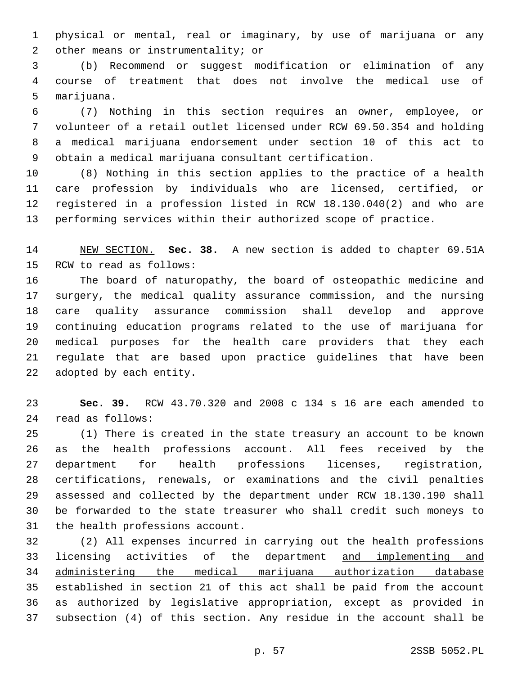physical or mental, real or imaginary, by use of marijuana or any 2 other means or instrumentality; or

 (b) Recommend or suggest modification or elimination of any course of treatment that does not involve the medical use of 5 marijuana.

 (7) Nothing in this section requires an owner, employee, or volunteer of a retail outlet licensed under RCW 69.50.354 and holding a medical marijuana endorsement under section 10 of this act to obtain a medical marijuana consultant certification.

 (8) Nothing in this section applies to the practice of a health care profession by individuals who are licensed, certified, or registered in a profession listed in RCW 18.130.040(2) and who are performing services within their authorized scope of practice.

 NEW SECTION. **Sec. 38.** A new section is added to chapter 69.51A 15 RCW to read as follows:

 The board of naturopathy, the board of osteopathic medicine and surgery, the medical quality assurance commission, and the nursing care quality assurance commission shall develop and approve continuing education programs related to the use of marijuana for medical purposes for the health care providers that they each regulate that are based upon practice guidelines that have been 22 adopted by each entity.

 **Sec. 39.** RCW 43.70.320 and 2008 c 134 s 16 are each amended to read as follows:24

 (1) There is created in the state treasury an account to be known as the health professions account. All fees received by the department for health professions licenses, registration, certifications, renewals, or examinations and the civil penalties assessed and collected by the department under RCW 18.130.190 shall be forwarded to the state treasurer who shall credit such moneys to 31 the health professions account.

 (2) All expenses incurred in carrying out the health professions 33 licensing activities of the department and implementing and administering the medical marijuana authorization database established in section 21 of this act shall be paid from the account as authorized by legislative appropriation, except as provided in subsection (4) of this section. Any residue in the account shall be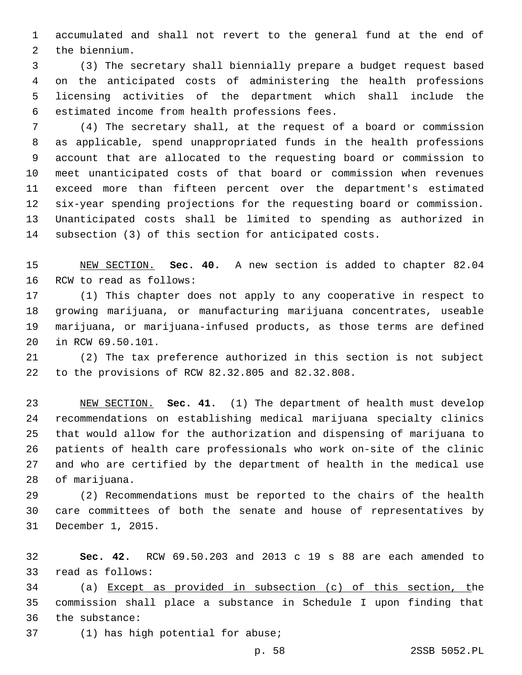accumulated and shall not revert to the general fund at the end of 2 the biennium.

 (3) The secretary shall biennially prepare a budget request based on the anticipated costs of administering the health professions licensing activities of the department which shall include the 6 estimated income from health professions fees.

 (4) The secretary shall, at the request of a board or commission as applicable, spend unappropriated funds in the health professions account that are allocated to the requesting board or commission to meet unanticipated costs of that board or commission when revenues exceed more than fifteen percent over the department's estimated six-year spending projections for the requesting board or commission. Unanticipated costs shall be limited to spending as authorized in subsection (3) of this section for anticipated costs.

 NEW SECTION. **Sec. 40.** A new section is added to chapter 82.04 16 RCW to read as follows:

 (1) This chapter does not apply to any cooperative in respect to growing marijuana, or manufacturing marijuana concentrates, useable marijuana, or marijuana-infused products, as those terms are defined 20 in RCW 69.50.101.

 (2) The tax preference authorized in this section is not subject to the provisions of RCW 82.32.805 and 82.32.808.22

 NEW SECTION. **Sec. 41.** (1) The department of health must develop recommendations on establishing medical marijuana specialty clinics that would allow for the authorization and dispensing of marijuana to patients of health care professionals who work on-site of the clinic and who are certified by the department of health in the medical use of marijuana.

 (2) Recommendations must be reported to the chairs of the health care committees of both the senate and house of representatives by 31 December 1, 2015.

 **Sec. 42.** RCW 69.50.203 and 2013 c 19 s 88 are each amended to 33 read as follows:

 (a) Except as provided in subsection (c) of this section, the commission shall place a substance in Schedule I upon finding that 36 the substance:

37 (1) has high potential for abuse;

p. 58 2SSB 5052.PL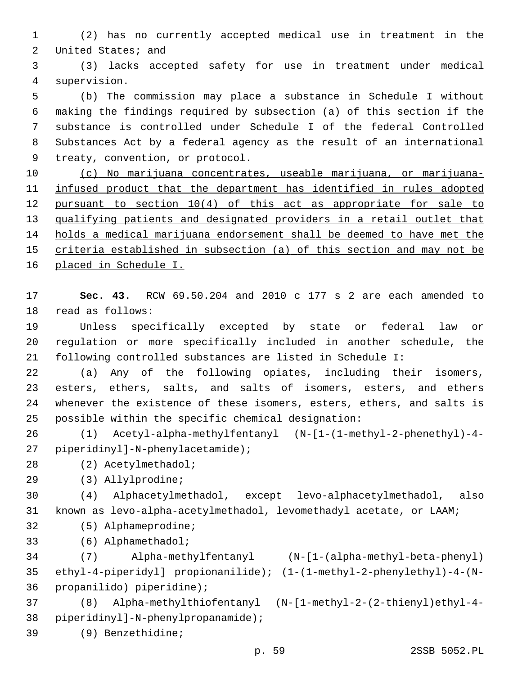(2) has no currently accepted medical use in treatment in the 2 United States; and

 (3) lacks accepted safety for use in treatment under medical supervision.4

 (b) The commission may place a substance in Schedule I without making the findings required by subsection (a) of this section if the substance is controlled under Schedule I of the federal Controlled Substances Act by a federal agency as the result of an international 9 treaty, convention, or protocol.

 (c) No marijuana concentrates, useable marijuana, or marijuana- infused product that the department has identified in rules adopted pursuant to section 10(4) of this act as appropriate for sale to qualifying patients and designated providers in a retail outlet that holds a medical marijuana endorsement shall be deemed to have met the criteria established in subsection (a) of this section and may not be placed in Schedule I.

 **Sec. 43.** RCW 69.50.204 and 2010 c 177 s 2 are each amended to 18 read as follows:

 Unless specifically excepted by state or federal law or regulation or more specifically included in another schedule, the following controlled substances are listed in Schedule I:

 (a) Any of the following opiates, including their isomers, esters, ethers, salts, and salts of isomers, esters, and ethers whenever the existence of these isomers, esters, ethers, and salts is possible within the specific chemical designation:

 (1) Acetyl-alpha-methylfentanyl (N-[1-(1-methyl-2-phenethyl)-4 piperidinyl]-N-phenylacetamide);27

- (2) Acetylmethadol;28
- (3) Allylprodine;29

 (4) Alphacetylmethadol, except levo-alphacetylmethadol, also known as levo-alpha-acetylmethadol, levomethadyl acetate, or LAAM;

32 (5) Alphameprodine;

(6) Alphamethadol;33

 (7) Alpha-methylfentanyl (N-[1-(alpha-methyl-beta-phenyl) ethyl-4-piperidyl] propionanilide); (1-(1-methyl-2-phenylethyl)-4-(N-36 propanilido) piperidine);

 (8) Alpha-methylthiofentanyl (N-[1-methyl-2-(2-thienyl)ethyl-4- 38 piperidinyl]-N-phenylpropanamide);

(9) Benzethidine;39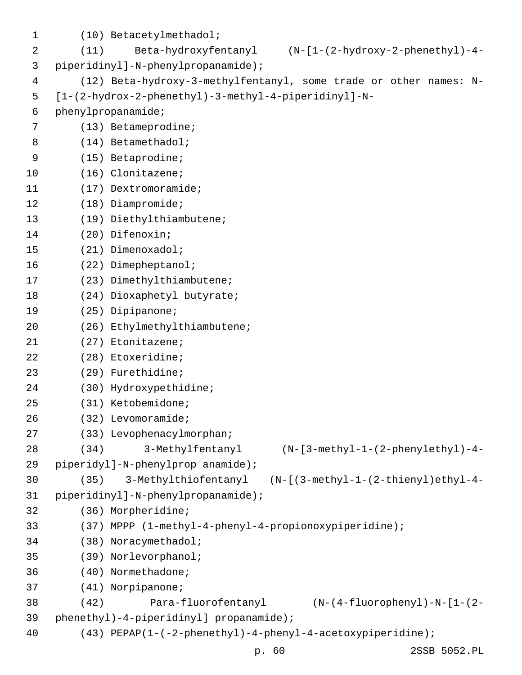| 1  |                                    | (10) Betacetylmethadol;                                                          |  |
|----|------------------------------------|----------------------------------------------------------------------------------|--|
| 2  | (11)                               | Beta-hydroxyfentanyl<br>$(N-[1-(2-hydroxy-2-phenethyl)-4-$                       |  |
| 3  | piperidinyl]-N-phenylpropanamide); |                                                                                  |  |
| 4  |                                    | (12) Beta-hydroxy-3-methylfentanyl, some trade or other names: N-                |  |
| 5  |                                    | $[1-(2-hydrox-2-phenethyl)-3-methyl-4-piperidinyl]-N-$                           |  |
| 6  |                                    | phenylpropanamide;                                                               |  |
| 7  |                                    | $(13)$ Betameprodine;                                                            |  |
| 8  |                                    | $(14)$ Betamethadol;                                                             |  |
| 9  |                                    | $(15)$ Betaprodine;                                                              |  |
| 10 |                                    | (16) Clonitazene;                                                                |  |
| 11 |                                    | $(17)$ Dextromoramide;                                                           |  |
| 12 |                                    | $(18)$ Diampromide;                                                              |  |
| 13 |                                    | (19) Diethylthiambutene;                                                         |  |
| 14 |                                    | (20) Difenoxin;                                                                  |  |
| 15 |                                    | (21) Dimenoxadol;                                                                |  |
| 16 |                                    | (22) Dimepheptanol;                                                              |  |
| 17 |                                    | (23) Dimethylthiambutene;                                                        |  |
| 18 |                                    | (24) Dioxaphetyl butyrate;                                                       |  |
| 19 |                                    | (25) Dipipanone;                                                                 |  |
| 20 |                                    | (26) Ethylmethylthiambutene;                                                     |  |
| 21 |                                    | (27) Etonitazene;                                                                |  |
| 22 |                                    | (28) Etoxeridine;                                                                |  |
| 23 |                                    | (29) Furethidine;                                                                |  |
| 24 |                                    | (30) Hydroxypethidine;                                                           |  |
| 25 |                                    | (31) Ketobemidone;                                                               |  |
| 26 |                                    | $(32)$ Levomoramide;                                                             |  |
| 27 |                                    | (33) Levophenacylmorphan;                                                        |  |
| 28 | (34)                               | 3-Methylfentanyl<br>$(N - [3 - \text{methyl-1} - (2 - \text{phenylethyl}) - 4 -$ |  |
| 29 |                                    | piperidyl]-N-phenylprop anamide);                                                |  |
| 30 | (35)                               | 3-Methylthiofentanyl (N-[(3-methyl-1-(2-thienyl)ethyl-4-                         |  |
| 31 |                                    | piperidinyl]-N-phenylpropanamide);                                               |  |
| 32 |                                    | (36) Morpheridine;                                                               |  |
| 33 |                                    | (37) MPPP (1-methyl-4-phenyl-4-propionoxypiperidine);                            |  |
| 34 |                                    | (38) Noracymethadol;                                                             |  |
| 35 |                                    | (39) Norlevorphanol;                                                             |  |
| 36 |                                    | (40) Normethadone;                                                               |  |
| 37 |                                    | (41) Norpipanone;                                                                |  |
| 38 | (42)                               | Para-fluorofentanyl<br>$(N-(4-fluorophenyl) - N-[1-(2-d)$                        |  |
| 39 |                                    | phenethyl)-4-piperidinyl] propanamide);                                          |  |
| 40 |                                    | (43) PEPAP(1-(-2-phenethyl)-4-phenyl-4-acetoxypiperidine);                       |  |
|    |                                    | p. 60<br>2SSB 5052.PL                                                            |  |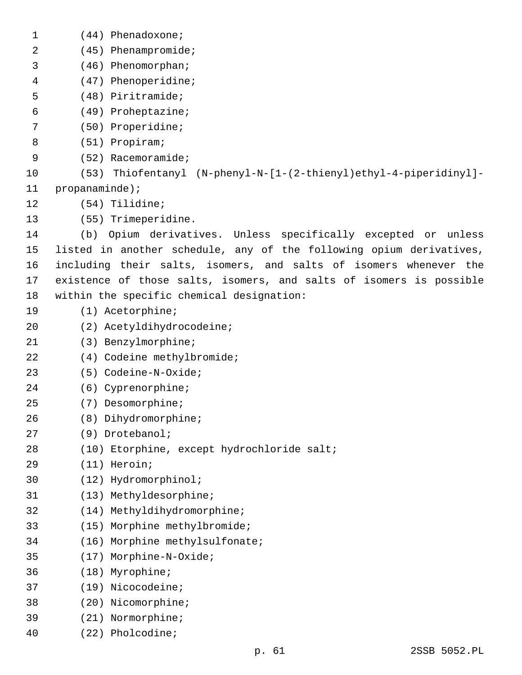| $\mathbf 1$ | $(44)$ Phenadoxone;                                                  |
|-------------|----------------------------------------------------------------------|
| 2           | (45) Phenampromide;                                                  |
| 3           | (46) Phenomorphan;                                                   |
| 4           | (47) Phenoperidine;                                                  |
| 5           | (48) Piritramide;                                                    |
| 6           | (49) Proheptazine;                                                   |
| 7           | (50) Properidine;                                                    |
| 8           | (51) Propiram;                                                       |
| 9           | $(52)$ Racemoramide;                                                 |
| 10          | Thiofentanyl (N-phenyl-N-[1-(2-thienyl)ethyl-4-piperidinyl]-<br>(53) |
| 11          | $propanaminde)$ ;                                                    |
| 12          | (54) Tilidine;                                                       |
| 13          | (55) Trimeperidine.                                                  |
| 14          | Opium derivatives. Unless specifically excepted or unless<br>(b)     |
| 15          | listed in another schedule, any of the following opium derivatives,  |
| 16          | including their salts, isomers, and salts of isomers whenever the    |
| 17          | existence of those salts, isomers, and salts of isomers is possible  |
| 18          | within the specific chemical designation:                            |
| 19          | $(1)$ Acetorphine;                                                   |
| 20          | (2) Acetyldihydrocodeine;                                            |
| 21          | (3) Benzylmorphine;                                                  |
| 22          | (4) Codeine methylbromide;                                           |
| 23          | (5) Codeine-N-Oxide;                                                 |
| 24          | (6) Cyprenorphine;                                                   |
| 25          | (7) Desomorphine;                                                    |
| 26          | Dihydromorphine;<br>(8)                                              |
| 27          | (9) Drotebanol;                                                      |
| 28          | (10) Etorphine, except hydrochloride salt;                           |
| 29          | (11) Heroin;                                                         |
| 30          | (12) Hydromorphinol;                                                 |
| 31          | (13) Methyldesorphine;                                               |
| 32          | (14) Methyldihydromorphine;                                          |
| 33          | Morphine methylbromide;<br>(15)                                      |
| 34          | Morphine methylsulfonate;<br>(16)                                    |
| 35          | Morphine-N-Oxide;<br>(17)                                            |
| 36          | (18)<br>Myrophine;                                                   |
| 37          | Nicocodeine;<br>(19)                                                 |
| 38          | (20) Nicomorphine;                                                   |
| 39          | (21) Normorphine;                                                    |
| 40          | (22) Pholcodine;                                                     |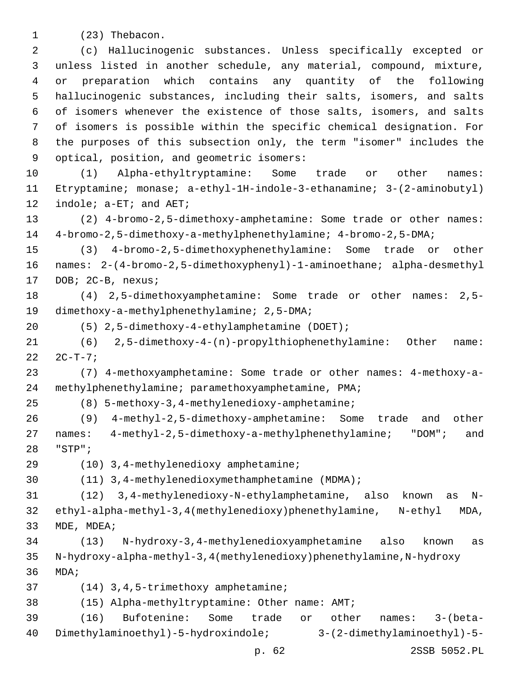1 (23) Thebacon.

 (c) Hallucinogenic substances. Unless specifically excepted or unless listed in another schedule, any material, compound, mixture, or preparation which contains any quantity of the following hallucinogenic substances, including their salts, isomers, and salts of isomers whenever the existence of those salts, isomers, and salts of isomers is possible within the specific chemical designation. For the purposes of this subsection only, the term "isomer" includes the 9 optical, position, and geometric isomers:

 (1) Alpha-ethyltryptamine: Some trade or other names: Etryptamine; monase; a-ethyl-1H-indole-3-ethanamine; 3-(2-aminobutyl) 12 indole; a-ET; and AET;

 (2) 4-bromo-2,5-dimethoxy-amphetamine: Some trade or other names: 4-bromo-2,5-dimethoxy-a-methylphenethylamine; 4-bromo-2,5-DMA;

 (3) 4-bromo-2,5-dimethoxyphenethylamine: Some trade or other names: 2-(4-bromo-2,5-dimethoxyphenyl)-1-aminoethane; alpha-desmethyl 17 DOB; 2C-B, nexus;

 (4) 2,5-dimethoxyamphetamine: Some trade or other names: 2,5- 19 dimethoxy-a-methylphenethylamine; 2,5-DMA;

(5) 2,5-dimethoxy-4-ethylamphetamine (DOET);20

 (6) 2,5-dimethoxy-4-(n)-propylthiophenethylamine: Other name:  $22 \t2C-T-7;$ 

 (7) 4-methoxyamphetamine: Some trade or other names: 4-methoxy-a-methylphenethylamine; paramethoxyamphetamine, PMA;

(8) 5-methoxy-3,4-methylenedioxy-amphetamine;25

 (9) 4-methyl-2,5-dimethoxy-amphetamine: Some trade and other names: 4-methyl-2,5-dimethoxy-a-methylphenethylamine; "DOM"; and "STP";28

(10) 3,4-methylenedioxy amphetamine;29

(11) 3,4-methylenedioxymethamphetamine (MDMA);

 (12) 3,4-methylenedioxy-N-ethylamphetamine, also known as N- ethyl-alpha-methyl-3,4(methylenedioxy)phenethylamine, N-ethyl MDA, 33 MDE, MDEA;

 (13) N-hydroxy-3,4-methylenedioxyamphetamine also known as N-hydroxy-alpha-methyl-3,4(methylenedioxy)phenethylamine,N-hydroxy MDA;

37 (14) 3, 4, 5-trimethoxy amphetamine;

(15) Alpha-methyltryptamine: Other name: AMT;38

 (16) Bufotenine: Some trade or other names: 3-(beta-Dimethylaminoethyl)-5-hydroxindole; 3-(2-dimethylaminoethyl)-5-

p. 62 2SSB 5052.PL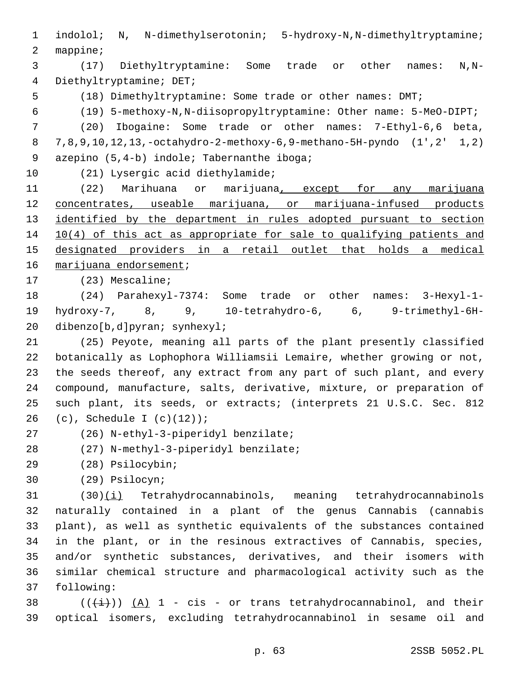1 indolol; N, N-dimethylserotonin; 5-hydroxy-N,N-dimethyltryptamine; 2 mappine;

3 (17) Diethyltryptamine: Some trade or other names: N,N-4 Diethyltryptamine; DET;

5 (18) Dimethyltryptamine: Some trade or other names: DMT;

6 (19) 5-methoxy-N,N-diisopropyltryptamine: Other name: 5-MeO-DIPT;

7 (20) Ibogaine: Some trade or other names: 7-Ethyl-6,6 beta, 8 7,8,9,10,12,13,-octahydro-2-methoxy-6,9-methano-5H-pyndo (1',2' 1,2) 9 azepino (5,4-b) indole; Tabernanthe iboga;

10 (21) Lysergic acid diethylamide;

11 (22) Marihuana or marijuana, except for any marijuana 12 concentrates, useable marijuana, or marijuana-infused products 13 identified by the department in rules adopted pursuant to section 14 10(4) of this act as appropriate for sale to qualifying patients and 15 designated providers in a retail outlet that holds a medical 16 marijuana endorsement;

17 (23) Mescaline;

18 (24) Parahexyl-7374: Some trade or other names: 3-Hexyl-1- 19 hydroxy-7, 8, 9, 10-tetrahydro-6, 6, 9-trimethyl-6H-20 dibenzo[b,d]pyran; synhexyl;

 (25) Peyote, meaning all parts of the plant presently classified botanically as Lophophora Williamsii Lemaire, whether growing or not, the seeds thereof, any extract from any part of such plant, and every compound, manufacture, salts, derivative, mixture, or preparation of such plant, its seeds, or extracts; (interprets 21 U.S.C. Sec. 812 26 (c), Schedule I  $(c)(12)$ ;

(26) N-ethyl-3-piperidyl benzilate;27

(27) N-methyl-3-piperidyl benzilate;28

(28) Psilocybin;29

(29) Psilocyn;30

 (30)(i) Tetrahydrocannabinols, meaning tetrahydrocannabinols naturally contained in a plant of the genus Cannabis (cannabis plant), as well as synthetic equivalents of the substances contained in the plant, or in the resinous extractives of Cannabis, species, and/or synthetic substances, derivatives, and their isomers with similar chemical structure and pharmacological activity such as the 37 following:

38  $((+i+))$   $(A)$  1 - cis - or trans tetrahydrocannabinol, and their 39 optical isomers, excluding tetrahydrocannabinol in sesame oil and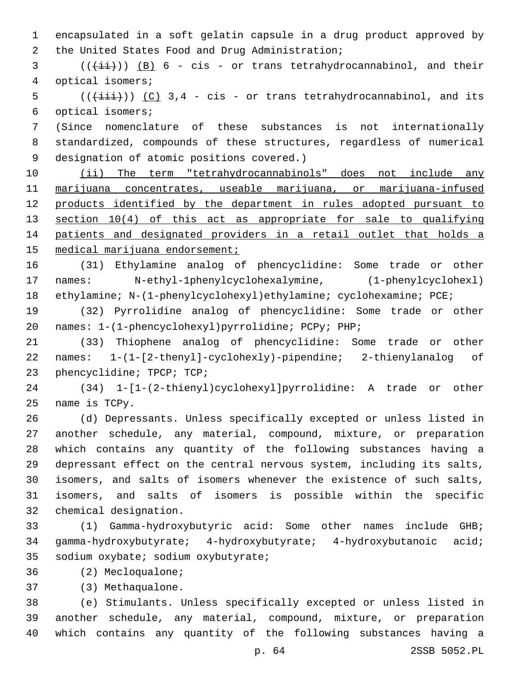encapsulated in a soft gelatin capsule in a drug product approved by 2 the United States Food and Drug Administration;

 ( $(\frac{1+i}{i})$ )  $(B)$  6 - cis - or trans tetrahydrocannabinol, and their 4 optical isomers;

 (( $(i\text{iii})$ ) (C) 3,4 - cis - or trans tetrahydrocannabinol, and its 6 optical isomers;

 (Since nomenclature of these substances is not internationally standardized, compounds of these structures, regardless of numerical 9 designation of atomic positions covered.)

 (ii) The term "tetrahydrocannabinols" does not include any marijuana concentrates, useable marijuana, or marijuana-infused 12 products identified by the department in rules adopted pursuant to 13 section 10(4) of this act as appropriate for sale to qualifying 14 patients and designated providers in a retail outlet that holds a 15 medical marijuana endorsement;

 (31) Ethylamine analog of phencyclidine: Some trade or other names: N-ethyl-1phenylcyclohexalymine, (1-phenylcyclohexl) ethylamine; N-(1-phenylcyclohexyl)ethylamine; cyclohexamine; PCE;

 (32) Pyrrolidine analog of phencyclidine: Some trade or other names: 1-(1-phencyclohexyl)pyrrolidine; PCPy; PHP;

 (33) Thiophene analog of phencyclidine: Some trade or other names: 1-(1-[2-thenyl]-cyclohexly)-pipendine; 2-thienylanalog of 23 phencyclidine; TPCP; TCP;

 (34) 1-[1-(2-thienyl)cyclohexyl]pyrrolidine: A trade or other 25 name is TCPy.

 (d) Depressants. Unless specifically excepted or unless listed in another schedule, any material, compound, mixture, or preparation which contains any quantity of the following substances having a depressant effect on the central nervous system, including its salts, isomers, and salts of isomers whenever the existence of such salts, isomers, and salts of isomers is possible within the specific 32 chemical designation.

 (1) Gamma-hydroxybutyric acid: Some other names include GHB; gamma-hydroxybutyrate; 4-hydroxybutyrate; 4-hydroxybutanoic acid; 35 sodium oxybate; sodium oxybutyrate;

36 (2) Mecloqualone;

(3) Methaqualone.37

 (e) Stimulants. Unless specifically excepted or unless listed in another schedule, any material, compound, mixture, or preparation which contains any quantity of the following substances having a

p. 64 2SSB 5052.PL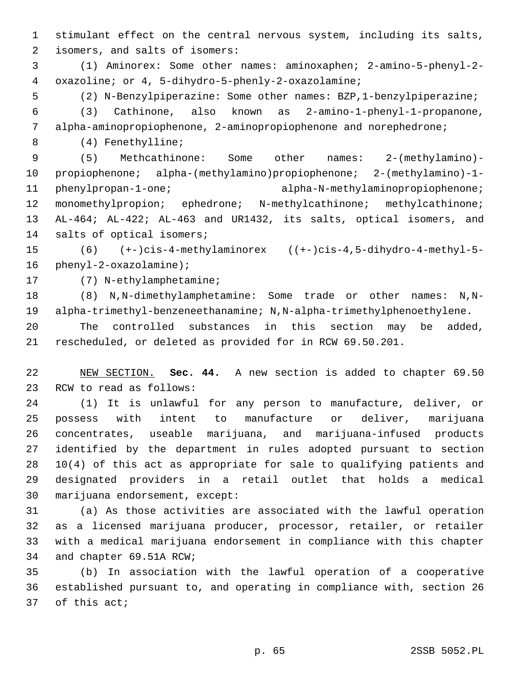stimulant effect on the central nervous system, including its salts, 2 isomers, and salts of isomers:

 (1) Aminorex: Some other names: aminoxaphen; 2-amino-5-phenyl-2 oxazoline; or 4, 5-dihydro-5-phenly-2-oxazolamine;4

(2) N-Benzylpiperazine: Some other names: BZP,1-benzylpiperazine;

 (3) Cathinone, also known as 2-amino-1-phenyl-1-propanone, alpha-aminopropiophenone, 2-aminopropiophenone and norephedrone;

(4) Fenethylline;8

 (5) Methcathinone: Some other names: 2-(methylamino)- propiophenone; alpha-(methylamino)propiophenone; 2-(methylamino)-1- phenylpropan-1-one; alpha-N-methylaminopropiophenone; 12 monomethylpropion; ephedrone; N-methylcathinone; methylcathinone; AL-464; AL-422; AL-463 and UR1432, its salts, optical isomers, and 14 salts of optical isomers;

 (6) (+-)cis-4-methylaminorex ((+-)cis-4,5-dihydro-4-methyl-5- 16  $phenyl-2-oxazolamine$ ;

17 (7) N-ethylamphetamine;

 (8) N,N-dimethylamphetamine: Some trade or other names: N,N-alpha-trimethyl-benzeneethanamine; N,N-alpha-trimethylphenoethylene.

 The controlled substances in this section may be added, rescheduled, or deleted as provided for in RCW 69.50.201.

 NEW SECTION. **Sec. 44.** A new section is added to chapter 69.50 23 RCW to read as follows:

 (1) It is unlawful for any person to manufacture, deliver, or possess with intent to manufacture or deliver, marijuana concentrates, useable marijuana, and marijuana-infused products identified by the department in rules adopted pursuant to section 10(4) of this act as appropriate for sale to qualifying patients and designated providers in a retail outlet that holds a medical 30 marijuana endorsement, except:

 (a) As those activities are associated with the lawful operation as a licensed marijuana producer, processor, retailer, or retailer with a medical marijuana endorsement in compliance with this chapter 34 and chapter 69.51A RCW;

 (b) In association with the lawful operation of a cooperative established pursuant to, and operating in compliance with, section 26 37 of this act;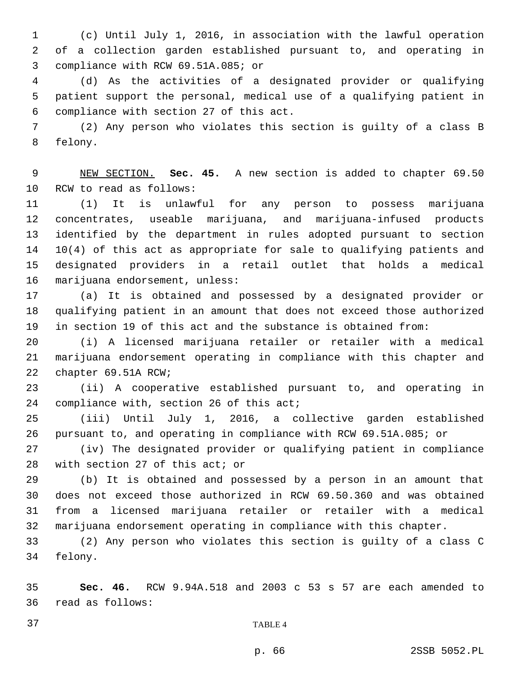(c) Until July 1, 2016, in association with the lawful operation of a collection garden established pursuant to, and operating in 3 compliance with RCW 69.51A.085; or

 (d) As the activities of a designated provider or qualifying patient support the personal, medical use of a qualifying patient in compliance with section 27 of this act.6

 (2) Any person who violates this section is guilty of a class B 8 felony.

 NEW SECTION. **Sec. 45.** A new section is added to chapter 69.50 10 RCW to read as follows:

 (1) It is unlawful for any person to possess marijuana concentrates, useable marijuana, and marijuana-infused products identified by the department in rules adopted pursuant to section 10(4) of this act as appropriate for sale to qualifying patients and designated providers in a retail outlet that holds a medical 16 marijuana endorsement, unless:

 (a) It is obtained and possessed by a designated provider or qualifying patient in an amount that does not exceed those authorized in section 19 of this act and the substance is obtained from:

 (i) A licensed marijuana retailer or retailer with a medical marijuana endorsement operating in compliance with this chapter and 22 chapter 69.51A RCW;

 (ii) A cooperative established pursuant to, and operating in 24 compliance with, section 26 of this act;

 (iii) Until July 1, 2016, a collective garden established pursuant to, and operating in compliance with RCW 69.51A.085; or

 (iv) The designated provider or qualifying patient in compliance 28 with section 27 of this act; or

 (b) It is obtained and possessed by a person in an amount that does not exceed those authorized in RCW 69.50.360 and was obtained from a licensed marijuana retailer or retailer with a medical marijuana endorsement operating in compliance with this chapter.

 (2) Any person who violates this section is guilty of a class C 34 felony.

 **Sec. 46.** RCW 9.94A.518 and 2003 c 53 s 57 are each amended to read as follows:36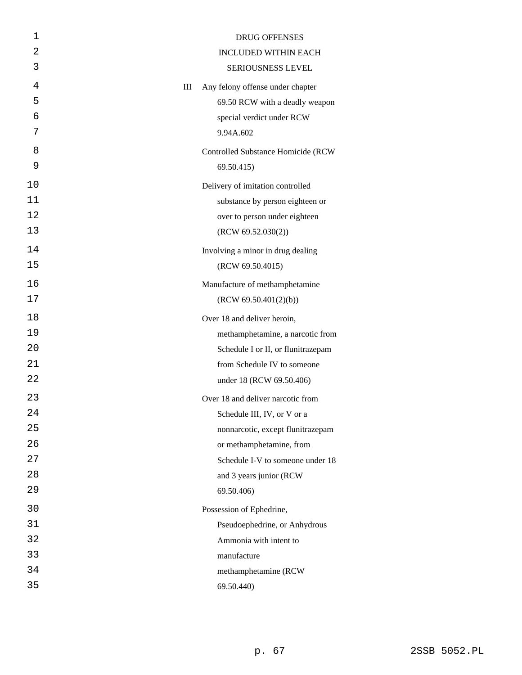| 1  | <b>DRUG OFFENSES</b>                      |
|----|-------------------------------------------|
| 2  | <b>INCLUDED WITHIN EACH</b>               |
| 3  | SERIOUSNESS LEVEL                         |
| 4  | Any felony offense under chapter<br>Ш     |
| 5  | 69.50 RCW with a deadly weapon            |
| 6  | special verdict under RCW                 |
| 7  | 9.94A.602                                 |
| 8  | <b>Controlled Substance Homicide (RCW</b> |
| 9  | 69.50.415)                                |
| 10 | Delivery of imitation controlled          |
| 11 | substance by person eighteen or           |
| 12 | over to person under eighteen             |
| 13 | (RCW 69.52.030(2))                        |
| 14 | Involving a minor in drug dealing         |
| 15 | (RCW 69.50.4015)                          |
| 16 | Manufacture of methamphetamine            |
| 17 | (RCW 69.50.401(2)(b))                     |
| 18 | Over 18 and deliver heroin,               |
| 19 | methamphetamine, a narcotic from          |
| 20 | Schedule I or II, or flunitrazepam        |
| 21 | from Schedule IV to someone               |
| 22 | under 18 (RCW 69.50.406)                  |
| 23 | Over 18 and deliver narcotic from         |
| 24 | Schedule III, IV, or V or a               |
| 25 | nonnarcotic, except flunitrazepam         |
| 26 | or methamphetamine, from                  |
| 27 | Schedule I-V to someone under 18          |
| 28 | and 3 years junior (RCW)                  |
| 29 | 69.50.406)                                |
| 30 | Possession of Ephedrine,                  |
| 31 | Pseudoephedrine, or Anhydrous             |
| 32 | Ammonia with intent to                    |
| 33 | manufacture                               |
| 34 | methamphetamine (RCW                      |
| 35 | 69.50.440)                                |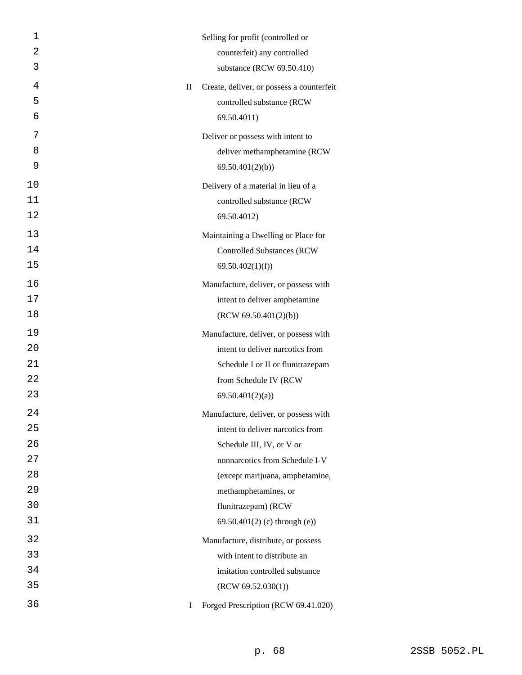| 1  |          | Selling for profit (controlled or         |
|----|----------|-------------------------------------------|
| 2  |          | counterfeit) any controlled               |
| 3  |          | substance (RCW 69.50.410)                 |
| 4  | $\rm II$ | Create, deliver, or possess a counterfeit |
| 5  |          | controlled substance (RCW                 |
| 6  |          | 69.50.4011)                               |
| 7  |          | Deliver or possess with intent to         |
| 8  |          | deliver methamphetamine (RCW              |
| 9  |          | 69.50.401(2)(b)                           |
| 10 |          | Delivery of a material in lieu of a       |
| 11 |          | controlled substance (RCW                 |
| 12 |          | 69.50.4012)                               |
| 13 |          | Maintaining a Dwelling or Place for       |
| 14 |          | <b>Controlled Substances (RCW</b>         |
| 15 |          | 69.50.402(1)(f)                           |
| 16 |          | Manufacture, deliver, or possess with     |
| 17 |          | intent to deliver amphetamine             |
| 18 |          | (RCW 69.50.401(2)(b))                     |
| 19 |          | Manufacture, deliver, or possess with     |
| 20 |          | intent to deliver narcotics from          |
| 21 |          | Schedule I or II or flunitrazepam         |
| 22 |          | from Schedule IV (RCW                     |
| 23 |          | 69.50.401(2)(a)                           |
| 24 |          | Manufacture, deliver, or possess with     |
| 25 |          | intent to deliver narcotics from          |
| 26 |          | Schedule III, IV, or V or                 |
| 27 |          | nonnarcotics from Schedule I-V            |
| 28 |          | (except marijuana, amphetamine,           |
| 29 |          | methamphetamines, or                      |
| 30 |          | flunitrazepam) (RCW                       |
| 31 |          | $69.50.401(2)$ (c) through (e))           |
| 32 |          | Manufacture, distribute, or possess       |
| 33 |          | with intent to distribute an              |
| 34 |          | imitation controlled substance            |
| 35 |          | (RCW 69.52.030(1))                        |
| 36 | T        | Forged Prescription (RCW 69.41.020)       |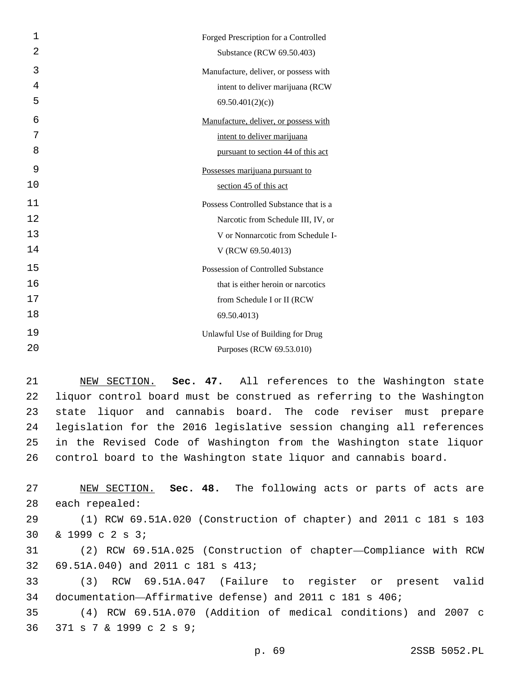| 1  | Forged Prescription for a Controlled   |
|----|----------------------------------------|
| 2  | Substance (RCW 69.50.403)              |
| 3  | Manufacture, deliver, or possess with  |
| 4  | intent to deliver marijuana (RCW       |
| 5  | 69.50.401(2)(c)                        |
| 6  | Manufacture, deliver, or possess with  |
| 7  | intent to deliver marijuana            |
| 8  | pursuant to section 44 of this act     |
| 9  | Possesses marijuana pursuant to        |
| 10 | section 45 of this act                 |
| 11 | Possess Controlled Substance that is a |
| 12 | Narcotic from Schedule III, IV, or     |
| 13 | V or Nonnarcotic from Schedule I-      |
| 14 | V (RCW 69.50.4013)                     |
| 15 | Possession of Controlled Substance     |
| 16 | that is either heroin or narcotics     |
| 17 | from Schedule I or II (RCW             |
| 18 | 69.50.4013)                            |
| 19 | Unlawful Use of Building for Drug      |
| 20 | Purposes (RCW 69.53.010)               |

 NEW SECTION. **Sec. 47.** All references to the Washington state liquor control board must be construed as referring to the Washington state liquor and cannabis board. The code reviser must prepare legislation for the 2016 legislative session changing all references in the Revised Code of Washington from the Washington state liquor control board to the Washington state liquor and cannabis board.

 NEW SECTION. **Sec. 48.** The following acts or parts of acts are each repealed: (1) RCW 69.51A.020 (Construction of chapter) and 2011 c 181 s 103 30 & 1999 c 2 s 3; (2) RCW 69.51A.025 (Construction of chapter—Compliance with RCW 69.51A.040) and 2011 c 181 s 413; (3) RCW 69.51A.047 (Failure to register or present valid documentation—Affirmative defense) and 2011 c 181 s 406; (4) RCW 69.51A.070 (Addition of medical conditions) and 2007 c

36 371 s 7 & 1999 c 2 s 9;

p. 69 2SSB 5052.PL